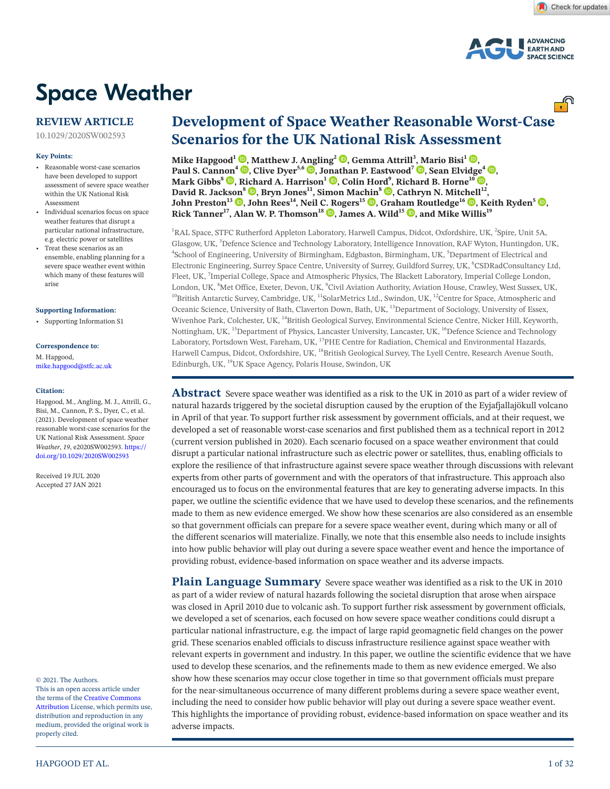

# **Space Weather**

**REVIEW ARTICLE**

10.1029/2020SW002593

#### **Key Points:**

- Reasonable worst-case scenarios have been developed to support assessment of severe space weather within the UK National Risk Assessment
- Individual scenarios focus on space weather features that disrupt a particular national infrastructure, e.g. electric power or satellites
- Treat these scenarios as an ensemble, enabling planning for a severe space weather event within which many of these features will arise

#### **Supporting Information:**

• Supporting Information S1

# **Correspondence to:**

M. Hapgood, mike.hapgood@stfc.ac.uk

#### **Citation:**

Hapgood, M., Angling, M. J., Attrill, G., Bisi, M., Cannon, P. S., Dyer, C., et al. (2021). Development of space weather reasonable worst-case scenarios for the UK National Risk Assessment. *Space Weather*, *19*, e2020SW002593. [https://](https://doi.org/10.1029/2020SW002593) [doi.org/10.1029/2020SW002593](https://doi.org/10.1029/2020SW002593)

Received 19 JUL 2020 Accepted 27 JAN 2021

#### © 2021. The Authors.

This is an open access article under the terms of the Creative Commons Attribution License, which permits use, distribution and reproduction in any medium, provided the original work is properly cited.

# **Development of Space Weather Reasonable Worst-Case Scenarios for the UK National Risk Assessment**

**Mike Hapgood<sup>1</sup> [,](https://orcid.org/0000-0002-0211-0241) Matthew J. [Ang](https://orcid.org/0000-0002-3778-9821)ling2 [,](https://orcid.org/0000-0002-8160-787X) Gemma Attrill3 [, M](https://orcid.org/0000-0003-4733-8319)ario Bisi1 [,](https://orcid.org/0000-0001-6821-9576) Paul S. Can[non](https://orcid.org/0000-0001-8055-0915)<sup>4</sup> <b>.**[,](https://orcid.org/0000-0003-2846-0730) Clive Dyer<sup>5,6</sup> **.**, J[onat](https://orcid.org/0000-0002-0843-8045)han P. Eastwood<sup>7</sup> **.**, Sean Elvid[ge](https://orcid.org/0000-0002-0412-6407)<sup>4</sup> **.)**, **Mark Gibbs<sup>8</sup>**  $\bullet$ **, R[ich](https://orcid.org/0000-0001-6387-6876)ard A. Harrison<sup>1</sup>**  $\bullet$ **, Colin Hord<sup>9</sup>, Richard B. Horne<sup>10</sup>**  $\bullet$ **, David R. Jacks[on](https://orcid.org/0000-0003-1219-4108)<sup>8</sup> , Bryn Jones11, Simon Mac[hin](https://orcid.org/0000-0002-8423-6306)8 [,](https://orcid.org/0000-0002-6960-8204) Cathryn N. Mitc[hel](https://orcid.org/0000-0002-5734-5697)l12, John Preston<sup>13</sup> <b>.**, John Rees<sup>14</sup>, Neil [C. R](https://orcid.org/0000-0002-7677-5158)ogers<sup>15</sup> **.**, Grah[am R](https://orcid.org/0000-0001-8025-8869)outledge<sup>16</sup> **.**[,](https://orcid.org/0000-0002-1963-6696) Keith Ryden<sup>5</sup> **.. Rick Tanner<sup>17</sup>, Alan W. P. Thomson<sup>18</sup>**  $\bullet$ **, James A. Wild<sup>15</sup>**  $\bullet$ **, and Mike Willis<sup>19</sup>** 

<sup>1</sup>RAL Space, STFC Rutherford Appleton Laboratory, Harwell Campus, Didcot, Oxfordshire, UK, <sup>2</sup>Spire, Unit 5A, Glasgow, UK, <sup>3</sup>Defence Science and Technology Laboratory, Intelligence Innovation, RAF Wyton, Huntingdon, UK, <sup>4</sup>School of Engineering, University of Pirmingham, Edghestian Pirmingham, UK, <sup>5</sup>Department of Electrical and School of Engineering, University of Birmingham, Edgbaston, Birmingham, UK, <sup>5</sup>Department of Electrical and Electronic Engineering, Surrey Space Centre, University of Surrey, Guildford Surrey, UK, <sup>6</sup>CSDRadConsultancy Ltd, Fleet, UK, <sup>7</sup>Imperial College, Space and Atmospheric Physics, The Blackett Laboratory, Imperial College London, London, UK,  ${}^{8}$ Met Office, Exeter, Devon, UK,  ${}^{9}$ <sup>10</sup>British Antarctic Survey, Cambridge, UK, <sup>11</sup>SolarMetrics Ltd., Swindon, UK, <sup>12</sup>Centre for Space, Atmospheric and Oceanic Science, University of Bath, Claverton Down, Bath, UK, 13Department of Sociology, University of Essex, Wivenhoe Park, Colchester, UK, 14British Geological Survey, Environmental Science Centre, Nicker Hill, Keyworth, Nottingham, UK, <sup>15</sup>Department of Physics, Lancaster University, Lancaster, UK, <sup>16</sup>Defence Science and Technology Laboratory, Portsdown West, Fareham, UK, <sup>17</sup>PHE Centre for Radiation, Chemical and Environmental Hazards, Harwell Campus, Didcot, Oxfordshire, UK, <sup>18</sup>British Geological Survey, The Lyell Centre, Research Avenue South, Edinburgh, UK, 19UK Space Agency, Polaris House, Swindon, UK

**Abstract** Severe space weather was identified as a risk to the UK in 2010 as part of a wider review of natural hazards triggered by the societal disruption caused by the eruption of the Eyjafjallajökull volcano in April of that year. To support further risk assessment by government officials, and at their request, we developed a set of reasonable worst-case scenarios and first published them as a technical report in 2012 (current version published in 2020). Each scenario focused on a space weather environment that could disrupt a particular national infrastructure such as electric power or satellites, thus, enabling officials to explore the resilience of that infrastructure against severe space weather through discussions with relevant experts from other parts of government and with the operators of that infrastructure. This approach also encouraged us to focus on the environmental features that are key to generating adverse impacts. In this paper, we outline the scientific evidence that we have used to develop these scenarios, and the refinements made to them as new evidence emerged. We show how these scenarios are also considered as an ensemble so that government officials can prepare for a severe space weather event, during which many or all of the different scenarios will materialize. Finally, we note that this ensemble also needs to include insights into how public behavior will play out during a severe space weather event and hence the importance of providing robust, evidence-based information on space weather and its adverse impacts.

**Plain Language Summary** Severe space weather was identified as a risk to the UK in 2010 as part of a wider review of natural hazards following the societal disruption that arose when airspace was closed in April 2010 due to volcanic ash. To support further risk assessment by government officials, we developed a set of scenarios, each focused on how severe space weather conditions could disrupt a particular national infrastructure, e.g. the impact of large rapid geomagnetic field changes on the power grid. These scenarios enabled officials to discuss infrastructure resilience against space weather with relevant experts in government and industry. In this paper, we outline the scientific evidence that we have used to develop these scenarios, and the refinements made to them as new evidence emerged. We also show how these scenarios may occur close together in time so that government officials must prepare for the near-simultaneous occurrence of many different problems during a severe space weather event, including the need to consider how public behavior will play out during a severe space weather event. This highlights the importance of providing robust, evidence-based information on space weather and its adverse impacts.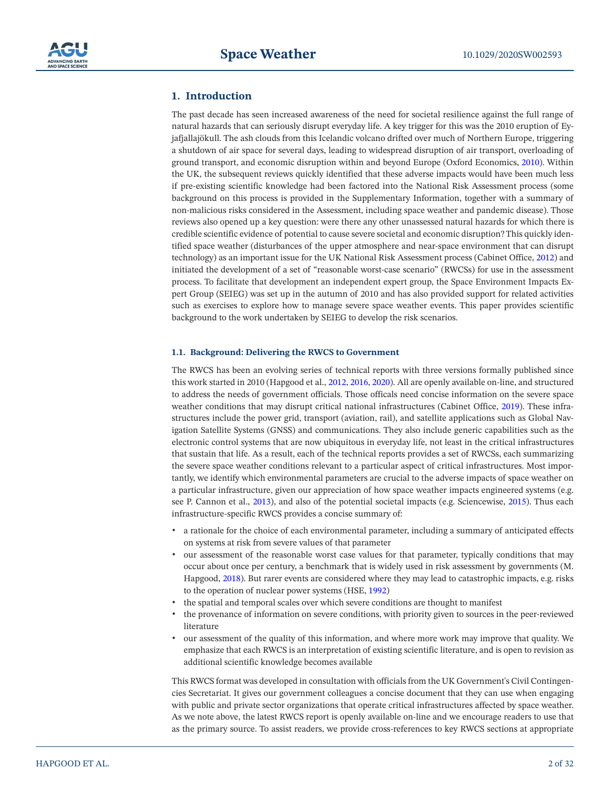

# **1. Introduction**

The past decade has seen increased awareness of the need for societal resilience against the full range of natural hazards that can seriously disrupt everyday life. A key trigger for this was the 2010 eruption of Eyjafjallajökull. The ash clouds from this Icelandic volcano drifted over much of Northern Europe, triggering a shutdown of air space for several days, leading to widespread disruption of air transport, overloading of ground transport, and economic disruption within and beyond Europe (Oxford Economics, [2010\)](#page-30-0). Within the UK, the subsequent reviews quickly identified that these adverse impacts would have been much less if pre-existing scientific knowledge had been factored into the National Risk Assessment process (some background on this process is provided in the Supplementary Information, together with a summary of non-malicious risks considered in the Assessment, including space weather and pandemic disease). Those reviews also opened up a key question: were there any other unassessed natural hazards for which there is credible scientific evidence of potential to cause severe societal and economic disruption? This quickly identified space weather (disturbances of the upper atmosphere and near-space environment that can disrupt technology) as an important issue for the UK National Risk Assessment process (Cabinet Office, [2012](#page-26-0)) and initiated the development of a set of "reasonable worst-case scenario" (RWCSs) for use in the assessment process. To facilitate that development an independent expert group, the Space Environment Impacts Expert Group (SEIEG) was set up in the autumn of 2010 and has also provided support for related activities such as exercises to explore how to manage severe space weather events. This paper provides scientific background to the work undertaken by SEIEG to develop the risk scenarios.

## **1.1. Background: Delivering the RWCS to Government**

The RWCS has been an evolving series of technical reports with three versions formally published since this work started in 2010 (Hapgood et al., [2012,](#page-28-0) [2016,](#page-27-0) [2020\)](#page-27-1). All are openly available on-line, and structured to address the needs of government officials. Those officals need concise information on the severe space weather conditions that may disrupt critical national infrastructures (Cabinet Office, [2019](#page-26-1)). These infrastructures include the power grid, transport (aviation, rail), and satellite applications such as Global Navigation Satellite Systems (GNSS) and communications. They also include generic capabilities such as the electronic control systems that are now ubiquitous in everyday life, not least in the critical infrastructures that sustain that life. As a result, each of the technical reports provides a set of RWCSs, each summarizing the severe space weather conditions relevant to a particular aspect of critical infrastructures. Most importantly, we identify which environmental parameters are crucial to the adverse impacts of space weather on a particular infrastructure, given our appreciation of how space weather impacts engineered systems (e.g. see P. Cannon et al., [2013\)](#page-26-2), and also of the potential societal impacts (e.g. Sciencewise, [2015](#page-30-1)). Thus each infrastructure-specific RWCS provides a concise summary of:

- a rationale for the choice of each environmental parameter, including a summary of anticipated effects on systems at risk from severe values of that parameter
- our assessment of the reasonable worst case values for that parameter, typically conditions that may occur about once per century, a benchmark that is widely used in risk assessment by governments (M. Hapgood, [2018\)](#page-27-2). But rarer events are considered where they may lead to catastrophic impacts, e.g. risks to the operation of nuclear power systems (HSE, [1992\)](#page-28-1)
- the spatial and temporal scales over which severe conditions are thought to manifest
- the provenance of information on severe conditions, with priority given to sources in the peer-reviewed literature
- our assessment of the quality of this information, and where more work may improve that quality. We emphasize that each RWCS is an interpretation of existing scientific literature, and is open to revision as additional scientific knowledge becomes available

This RWCS format was developed in consultation with officials from the UK Government's Civil Contingencies Secretariat. It gives our government colleagues a concise document that they can use when engaging with public and private sector organizations that operate critical infrastructures affected by space weather. As we note above, the latest RWCS report is openly available on-line and we encourage readers to use that as the primary source. To assist readers, we provide cross-references to key RWCS sections at appropriate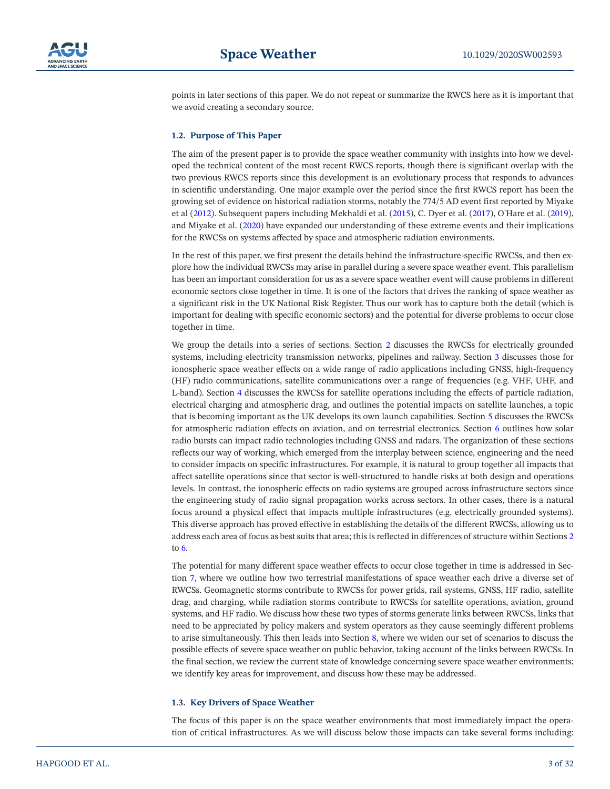

points in later sections of this paper. We do not repeat or summarize the RWCS here as it is important that we avoid creating a secondary source.

#### <span id="page-2-1"></span>**1.2. Purpose of This Paper**

The aim of the present paper is to provide the space weather community with insights into how we developed the technical content of the most recent RWCS reports, though there is significant overlap with the two previous RWCS reports since this development is an evolutionary process that responds to advances in scientific understanding. One major example over the period since the first RWCS report has been the growing set of evidence on historical radiation storms, notably the 774/5 AD event first reported by Miyake et al [\(2012\)](#page-29-0). Subsequent papers including Mekhaldi et al. [\(2015](#page-29-1)), C. Dyer et al. [\(2017](#page-27-3)), O'Hare et al. ([2019\)](#page-29-2), and Miyake et al. ([2020\)](#page-29-3) have expanded our understanding of these extreme events and their implications for the RWCSs on systems affected by space and atmospheric radiation environments.

In the rest of this paper, we first present the details behind the infrastructure-specific RWCSs, and then explore how the individual RWCSs may arise in parallel during a severe space weather event. This parallelism has been an important consideration for us as a severe space weather event will cause problems in different economic sectors close together in time. It is one of the factors that drives the ranking of space weather as a significant risk in the UK National Risk Register. Thus our work has to capture both the detail (which is important for dealing with specific economic sectors) and the potential for diverse problems to occur close together in time.

We group the details into a series of sections. Section [2](#page-4-0) discusses the RWCSs for electrically grounded systems, including electricity transmission networks, pipelines and railway. Section [3](#page-4-1) discusses those for ionospheric space weather effects on a wide range of radio applications including GNSS, high-frequency (HF) radio communications, satellite communications over a range of frequencies (e.g. VHF, UHF, and L-band). Section [4](#page-6-0) discusses the RWCSs for satellite operations including the effects of particle radiation, electrical charging and atmospheric drag, and outlines the potential impacts on satellite launches, a topic that is becoming important as the UK develops its own launch capabilities. Section [5](#page-11-0) discusses the RWCSs for atmospheric radiation effects on aviation, and on terrestrial electronics. Section [6](#page-16-0) outlines how solar radio bursts can impact radio technologies including GNSS and radars. The organization of these sections reflects our way of working, which emerged from the interplay between science, engineering and the need to consider impacts on specific infrastructures. For example, it is natural to group together all impacts that affect satellite operations since that sector is well-structured to handle risks at both design and operations levels. In contrast, the ionospheric effects on radio systems are grouped across infrastructure sectors since the engineering study of radio signal propagation works across sectors. In other cases, there is a natural focus around a physical effect that impacts multiple infrastructures (e.g. electrically grounded systems). This diverse approach has proved effective in establishing the details of the different RWCSs, allowing us to address each area of focus as best suits that area; this is reflected in differences of structure within Sections [2](#page-4-0) to [6](#page-16-0).

The potential for many different space weather effects to occur close together in time is addressed in Section [7](#page-19-0), where we outline how two terrestrial manifestations of space weather each drive a diverse set of RWCSs. Geomagnetic storms contribute to RWCSs for power grids, rail systems, GNSS, HF radio, satellite drag, and charging, while radiation storms contribute to RWCSs for satellite operations, aviation, ground systems, and HF radio. We discuss how these two types of storms generate links between RWCSs, links that need to be appreciated by policy makers and system operators as they cause seemingly different problems to arise simultaneously. This then leads into Section [8,](#page-20-0) where we widen our set of scenarios to discuss the possible effects of severe space weather on public behavior, taking account of the links between RWCSs. In the final section, we review the current state of knowledge concerning severe space weather environments; we identify key areas for improvement, and discuss how these may be addressed.

#### <span id="page-2-0"></span>**1.3. Key Drivers of Space Weather**

The focus of this paper is on the space weather environments that most immediately impact the operation of critical infrastructures. As we will discuss below those impacts can take several forms including: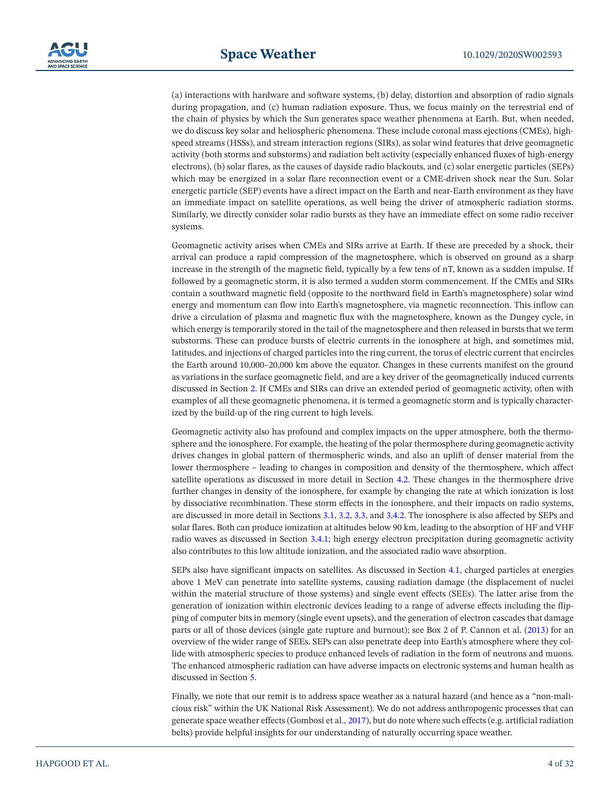(a) interactions with hardware and software systems, (b) delay, distortion and absorption of radio signals during propagation, and (c) human radiation exposure. Thus, we focus mainly on the terrestrial end of the chain of physics by which the Sun generates space weather phenomena at Earth. But, when needed, we do discuss key solar and heliospheric phenomena. These include coronal mass ejections (CMEs), highspeed streams (HSSs), and stream interaction regions (SIRs), as solar wind features that drive geomagnetic activity (both storms and substorms) and radiation belt activity (especially enhanced fluxes of high-energy electrons), (b) solar flares, as the causes of dayside radio blackouts, and (c) solar energetic particles (SEPs) which may be energized in a solar flare reconnection event or a CME-driven shock near the Sun. Solar energetic particle (SEP) events have a direct impact on the Earth and near-Earth environment as they have an immediate impact on satellite operations, as well being the driver of atmospheric radiation storms. Similarly, we directly consider solar radio bursts as they have an immediate effect on some radio receiver systems.

Geomagnetic activity arises when CMEs and SIRs arrive at Earth. If these are preceded by a shock, their arrival can produce a rapid compression of the magnetosphere, which is observed on ground as a sharp increase in the strength of the magnetic field, typically by a few tens of nT, known as a sudden impulse. If followed by a geomagnetic storm, it is also termed a sudden storm commencement. If the CMEs and SIRs contain a southward magnetic field (opposite to the northward field in Earth's magnetosphere) solar wind energy and momentum can flow into Earth's magnetosphere, via magnetic reconnection. This inflow can drive a circulation of plasma and magnetic flux with the magnetosphere, known as the Dungey cycle, in which energy is temporarily stored in the tail of the magnetosphere and then released in bursts that we term substorms. These can produce bursts of electric currents in the ionosphere at high, and sometimes mid, latitudes, and injections of charged particles into the ring current, the torus of electric current that encircles the Earth around 10,000–20,000 km above the equator. Changes in these currents manifest on the ground as variations in the surface geomagnetic field, and are a key driver of the geomagnetically induced currents discussed in Section [2](#page-4-0). If CMEs and SIRs can drive an extended period of geomagnetic activity, often with examples of all these geomagnetic phenomena, it is termed a geomagnetic storm and is typically characterized by the build-up of the ring current to high levels.

Geomagnetic activity also has profound and complex impacts on the upper atmosphere, both the thermosphere and the ionosphere. For example, the heating of the polar thermosphere during geomagnetic activity drives changes in global pattern of thermospheric winds, and also an uplift of denser material from the lower thermosphere – leading to changes in composition and density of the thermosphere, which affect satellite operations as discussed in more detail in Section [4.2.](#page-14-0) These changes in the thermosphere drive further changes in density of the ionosphere, for example by changing the rate at which ionization is lost by dissociative recombination. These storm effects in the ionosphere, and their impacts on radio systems, are discussed in more detail in Sections [3.1,](#page-6-1) [3.2](#page-8-0), [3.3,](#page-8-1) and [3.4.2.](#page-11-1) The ionosphere is also affected by SEPs and solar flares. Both can produce ionization at altitudes below 90 km, leading to the absorption of HF and VHF radio waves as discussed in Section [3.4.1;](#page-10-0) high energy electron precipitation during geomagnetic activity also contributes to this low altitude ionization, and the associated radio wave absorption.

SEPs also have significant impacts on satellites. As discussed in Section [4.1,](#page-12-0) charged particles at energies above 1 MeV can penetrate into satellite systems, causing radiation damage (the displacement of nuclei within the material structure of those systems) and single event effects (SEEs). The latter arise from the generation of ionization within electronic devices leading to a range of adverse effects including the flipping of computer bits in memory (single event upsets), and the generation of electron cascades that damage parts or all of those devices (single gate rupture and burnout); see Box 2 of P. Cannon et al. ([2013](#page-26-2)) for an overview of the wider range of SEEs. SEPs can also penetrate deep into Earth's atmosphere where they collide with atmospheric species to produce enhanced levels of radiation in the form of neutrons and muons. The enhanced atmospheric radiation can have adverse impacts on electronic systems and human health as discussed in Section [5](#page-11-0).

Finally, we note that our remit is to address space weather as a natural hazard (and hence as a "non-malicious risk" within the UK National Risk Assessment). We do not address anthropogenic processes that can generate space weather effects (Gombosi et al., [2017](#page-27-4)), but do note where such effects (e.g. artificial radiation belts) provide helpful insights for our understanding of naturally occurring space weather.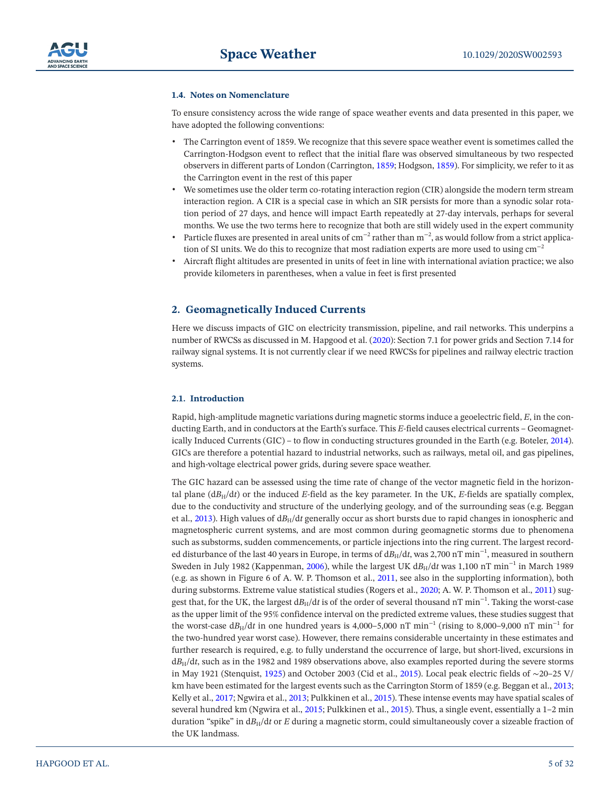#### **1.4. Notes on Nomenclature**

To ensure consistency across the wide range of space weather events and data presented in this paper, we have adopted the following conventions:

- The Carrington event of 1859. We recognize that this severe space weather event is sometimes called the Carrington-Hodgson event to reflect that the initial flare was observed simultaneous by two respected observers in different parts of London (Carrington, [1859;](#page-26-3) Hodgson, [1859](#page-28-2)). For simplicity, we refer to it as the Carrington event in the rest of this paper
- We sometimes use the older term co-rotating interaction region (CIR) alongside the modern term stream interaction region. A CIR is a special case in which an SIR persists for more than a synodic solar rotation period of 27 days, and hence will impact Earth repeatedly at 27-day intervals, perhaps for several months. We use the two terms here to recognize that both are still widely used in the expert community
- Particle fluxes are presented in areal units of cm−2 rather than m−2, as would follow from a strict application of SI units. We do this to recognize that most radiation experts are more used to using  $\text{cm}^{-2}$
- Aircraft flight altitudes are presented in units of feet in line with international aviation practice; we also provide kilometers in parentheses, when a value in feet is first presented

# <span id="page-4-0"></span>**2. Geomagnetically Induced Currents**

Here we discuss impacts of GIC on electricity transmission, pipeline, and rail networks. This underpins a number of RWCSs as discussed in M. Hapgood et al. [\(2020\)](#page-27-1): Section 7.1 for power grids and Section 7.14 for railway signal systems. It is not currently clear if we need RWCSs for pipelines and railway electric traction systems.

#### <span id="page-4-1"></span>**2.1. Introduction**

Rapid, high-amplitude magnetic variations during magnetic storms induce a geoelectric field, *E*, in the conducting Earth, and in conductors at the Earth's surface. This *E*-field causes electrical currents – Geomagnetically Induced Currents (GIC) – to flow in conducting structures grounded in the Earth (e.g. Boteler, [2014\)](#page-26-4). GICs are therefore a potential hazard to industrial networks, such as railways, metal oil, and gas pipelines, and high-voltage electrical power grids, during severe space weather.

The GIC hazard can be assessed using the time rate of change of the vector magnetic field in the horizontal plane  $(dB_H/dt)$  or the induced *E*-field as the key parameter. In the UK, *E*-fields are spatially complex, due to the conductivity and structure of the underlying geology, and of the surrounding seas (e.g. Beggan et al., [2013](#page-26-5)). High values of  $dB_H/dt$  generally occur as short bursts due to rapid changes in ionospheric and magnetospheric current systems, and are most common during geomagnetic storms due to phenomena such as substorms, sudden commencements, or particle injections into the ring current. The largest recorded disturbance of the last 40 years in Europe, in terms of d*B*H/d*t*, was 2,700 nT min−1, measured in southern Sweden in July 1982 (Kappenman, [2006\)](#page-28-3), while the largest UK dB<sub>H</sub>/dt was 1,100 nT min<sup>-1</sup> in March 1989 (e.g. as shown in Figure 6 of A. W. P. Thomson et al., [2011,](#page-30-2) see also in the supplorting information), both during substorms. Extreme value statistical studies (Rogers et al., [2020;](#page-30-3) A. W. P. Thomson et al., [2011\)](#page-30-2) suggest that, for the UK, the largest d*B*<sub>H</sub>/d*t* is of the order of several thousand nT min<sup>-1</sup>. Taking the worst-case as the upper limit of the 95% confidence interval on the predicted extreme values, these studies suggest that the worst-case d*B*H/d*t* in one hundred years is 4,000–5,000 nT min−1 (rising to 8,000–9,000 nT min−1 for the two-hundred year worst case). However, there remains considerable uncertainty in these estimates and further research is required, e.g. to fully understand the occurrence of large, but short-lived, excursions in d*B*H/d*t*, such as in the 1982 and 1989 observations above, also examples reported during the severe storms in May 1921 (Stenquist, [1925](#page-30-4)) and October 2003 (Cid et al., [2015\)](#page-26-6). Local peak electric fields of ∼20–25 V/ km have been estimated for the largest events such as the Carrington Storm of 1859 (e.g. Beggan et al., [2013;](#page-26-5) Kelly et al., [2017](#page-28-4); Ngwira et al., [2013;](#page-29-4) Pulkkinen et al., [2015](#page-30-5)). These intense events may have spatial scales of several hundred km (Ngwira et al., [2015;](#page-29-5) Pulkkinen et al., [2015](#page-30-5)). Thus, a single event, essentially a 1–2 min duration "spike" in  $dB_H/dt$  or *E* during a magnetic storm, could simultaneously cover a sizeable fraction of the UK landmass.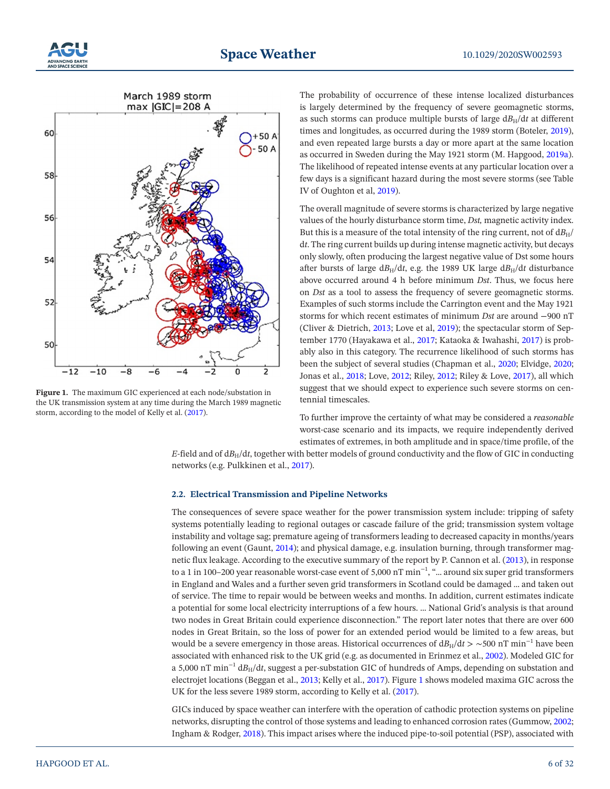



<span id="page-5-0"></span>**Figure 1.** The maximum GIC experienced at each node/substation in the UK transmission system at any time during the March 1989 magnetic storm, according to the model of Kelly et al. [\(2017](#page-28-4)).

The probability of occurrence of these intense localized disturbances is largely determined by the frequency of severe geomagnetic storms, as such storms can produce multiple bursts of large  $dB_H/dt$  at different times and longitudes, as occurred during the 1989 storm (Boteler, [2019\)](#page-26-7), and even repeated large bursts a day or more apart at the same location as occurred in Sweden during the May 1921 storm (M. Hapgood, [2019a\)](#page-27-5). The likelihood of repeated intense events at any particular location over a few days is a significant hazard during the most severe storms (see Table IV of Oughton et al, [2019\)](#page-30-6).

The overall magnitude of severe storms is characterized by large negative values of the hourly disturbance storm time, *Dst,* magnetic activity index. But this is a measure of the total intensity of the ring current, not of  $dB_H$ / d*t*. The ring current builds up during intense magnetic activity, but decays only slowly, often producing the largest negative value of Dst some hours after bursts of large  $dB_H/dt$ , e.g. the 1989 UK large  $dB_H/dt$  disturbance above occurred around 4 h before minimum *Dst*. Thus, we focus here on *Dst* as a tool to assess the frequency of severe geomagnetic storms. Examples of such storms include the Carrington event and the May 1921 storms for which recent estimates of minimum *Dst* are around −900 nT (Cliver & Dietrich, [2013](#page-26-8); Love et al, [2019\)](#page-29-6); the spectacular storm of September 1770 (Hayakawa et al., [2017;](#page-28-5) Kataoka & Iwahashi, [2017\)](#page-28-6) is probably also in this category. The recurrence likelihood of such storms has been the subject of several studies (Chapman et al., [2020](#page-26-9); Elvidge, [2020;](#page-27-6) Jonas et al., [2018;](#page-28-7) Love, [2012;](#page-29-7) Riley, [2012;](#page-30-7) Riley & Love, [2017\)](#page-30-8), all which suggest that we should expect to experience such severe storms on centennial timescales.

To further improve the certainty of what may be considered a *reasonable* worst-case scenario and its impacts, we require independently derived estimates of extremes, in both amplitude and in space/time profile, of the

*E*-field and of  $dB_H/dt$ , together with better models of ground conductivity and the flow of GIC in conducting networks (e.g. Pulkkinen et al., [2017\)](#page-30-9).

#### **2.2. Electrical Transmission and Pipeline Networks**

The consequences of severe space weather for the power transmission system include: tripping of safety systems potentially leading to regional outages or cascade failure of the grid; transmission system voltage instability and voltage sag; premature ageing of transformers leading to decreased capacity in months/years following an event (Gaunt, [2014\)](#page-27-7); and physical damage, e.g. insulation burning, through transformer magnetic flux leakage. According to the executive summary of the report by P. Cannon et al. ([2013\)](#page-26-2), in response to a 1 in 100–200 year reasonable worst-case event of 5,000 nT min−1, "… around six super grid transformers in England and Wales and a further seven grid transformers in Scotland could be damaged … and taken out of service. The time to repair would be between weeks and months. In addition, current estimates indicate a potential for some local electricity interruptions of a few hours. … National Grid's analysis is that around two nodes in Great Britain could experience disconnection." The report later notes that there are over 600 nodes in Great Britain, so the loss of power for an extended period would be limited to a few areas, but would be a severe emergency in those areas. Historical occurrences of  $d_{\text{H}}/dt > \sim 500 \text{ nT min}^{-1}$  have been associated with enhanced risk to the UK grid (e.g. as documented in Erinmez et al., [2002](#page-27-8)). Modeled GIC for a 5,000 nT min−1 d*B*H/d*t*, suggest a per-substation GIC of hundreds of Amps, depending on substation and electrojet locations (Beggan et al., [2013;](#page-26-5) Kelly et al., [2017](#page-28-4)). Figure [1](#page-5-0) shows modeled maxima GIC across the UK for the less severe 1989 storm, according to Kelly et al. ([2017](#page-28-4)).

GICs induced by space weather can interfere with the operation of cathodic protection systems on pipeline networks, disrupting the control of those systems and leading to enhanced corrosion rates (Gummow, [2002;](#page-27-9) Ingham & Rodger, [2018\)](#page-28-8). This impact arises where the induced pipe-to-soil potential (PSP), associated with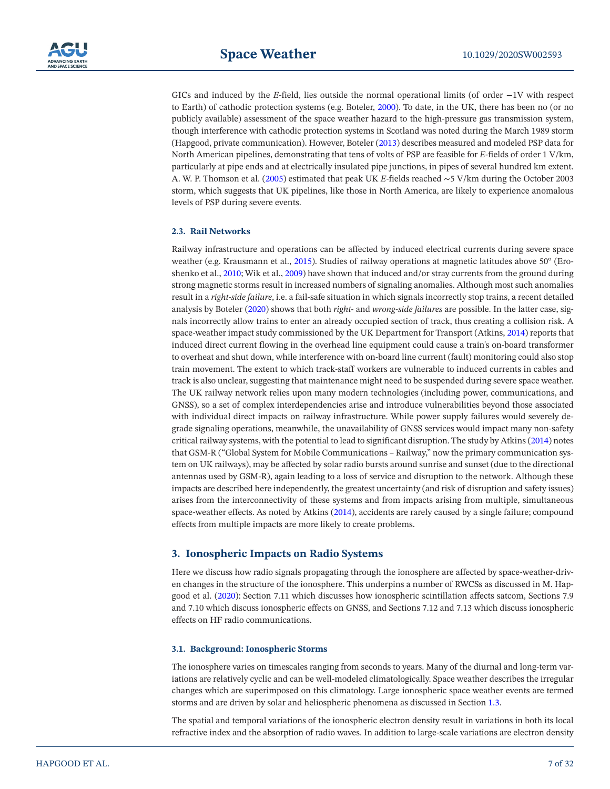

GICs and induced by the *E*-field, lies outside the normal operational limits (of order −1V with respect to Earth) of cathodic protection systems (e.g. Boteler, [2000](#page-26-10)). To date, in the UK, there has been no (or no publicly available) assessment of the space weather hazard to the high-pressure gas transmission system, though interference with cathodic protection systems in Scotland was noted during the March 1989 storm (Hapgood, private communication). However, Boteler [\(2013](#page-26-11)) describes measured and modeled PSP data for North American pipelines, demonstrating that tens of volts of PSP are feasible for *E*-fields of order 1 V/km, particularly at pipe ends and at electrically insulated pipe junctions, in pipes of several hundred km extent. A. W. P. Thomson et al. ([2005](#page-30-10)) estimated that peak UK *E*-fields reached ∼5 V/km during the October 2003 storm, which suggests that UK pipelines, like those in North America, are likely to experience anomalous levels of PSP during severe events.

#### **2.3. Rail Networks**

Railway infrastructure and operations can be affected by induced electrical currents during severe space weather (e.g. Krausmann et al., [2015](#page-28-9)). Studies of railway operations at magnetic latitudes above 50° (Eroshenko et al., [2010](#page-27-10); Wik et al., [2009\)](#page-31-0) have shown that induced and/or stray currents from the ground during strong magnetic storms result in increased numbers of signaling anomalies. Although most such anomalies result in a *right-side failure*, i.e. a fail-safe situation in which signals incorrectly stop trains, a recent detailed analysis by Boteler [\(2020\)](#page-26-12) shows that both *right-* and *wrong-side failures* are possible. In the latter case, signals incorrectly allow trains to enter an already occupied section of track, thus creating a collision risk. A space-weather impact study commissioned by the UK Department for Transport (Atkins, [2014](#page-25-0)) reports that induced direct current flowing in the overhead line equipment could cause a train's on-board transformer to overheat and shut down, while interference with on-board line current (fault) monitoring could also stop train movement. The extent to which track-staff workers are vulnerable to induced currents in cables and track is also unclear, suggesting that maintenance might need to be suspended during severe space weather. The UK railway network relies upon many modern technologies (including power, communications, and GNSS), so a set of complex interdependencies arise and introduce vulnerabilities beyond those associated with individual direct impacts on railway infrastructure. While power supply failures would severely degrade signaling operations, meanwhile, the unavailability of GNSS services would impact many non-safety critical railway systems, with the potential to lead to significant disruption. The study by Atkins [\(2014\)](#page-25-0) notes that GSM-R ("Global System for Mobile Communications – Railway," now the primary communication system on UK railways), may be affected by solar radio bursts around sunrise and sunset (due to the directional antennas used by GSM-R), again leading to a loss of service and disruption to the network. Although these impacts are described here independently, the greatest uncertainty (and risk of disruption and safety issues) arises from the interconnectivity of these systems and from impacts arising from multiple, simultaneous space-weather effects. As noted by Atkins [\(2014](#page-25-0)), accidents are rarely caused by a single failure; compound effects from multiple impacts are more likely to create problems.

#### <span id="page-6-0"></span>**3. Ionospheric Impacts on Radio Systems**

Here we discuss how radio signals propagating through the ionosphere are affected by space-weather-driven changes in the structure of the ionosphere. This underpins a number of RWCSs as discussed in M. Hapgood et al. ([2020](#page-27-1)): Section 7.11 which discusses how ionospheric scintillation affects satcom, Sections 7.9 and 7.10 which discuss ionospheric effects on GNSS, and Sections 7.12 and 7.13 which discuss ionospheric effects on HF radio communications.

#### <span id="page-6-1"></span>**3.1. Background: Ionospheric Storms**

The ionosphere varies on timescales ranging from seconds to years. Many of the diurnal and long-term variations are relatively cyclic and can be well-modeled climatologically. Space weather describes the irregular changes which are superimposed on this climatology. Large ionospheric space weather events are termed storms and are driven by solar and heliospheric phenomena as discussed in Section [1.3](#page-2-0).

The spatial and temporal variations of the ionospheric electron density result in variations in both its local refractive index and the absorption of radio waves. In addition to large-scale variations are electron density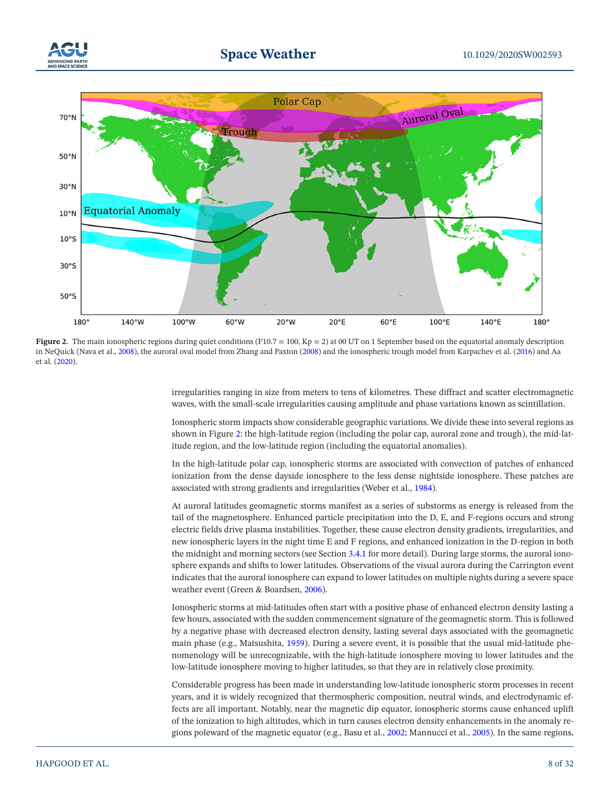



<span id="page-7-0"></span>**Figure 2.** The main ionospheric regions during quiet conditions  $(F10.7 = 100, Kp = 2)$  at 00 UT on 1 September based on the equatorial anomaly description in NeQuick (Nava et al., [2008\)](#page-29-10), the auroral oval model from Zhang and Paxton ([2008\)](#page-31-1) and the ionospheric trough model from Karpachev et al. ([2016](#page-28-10)) and Aa et al. [\(2020\)](#page-25-2).

> irregularities ranging in size from meters to tens of kilometres. These diffract and scatter electromagnetic waves, with the small-scale irregularities causing amplitude and phase variations known as scintillation.

> Ionospheric storm impacts show considerable geographic variations. We divide these into several regions as shown in Figure [2](#page-7-0): the high-latitude region (including the polar cap, auroral zone and trough), the mid-latitude region, and the low-latitude region (including the equatorial anomalies).

> In the high-latitude polar cap, ionospheric storms are associated with convection of patches of enhanced ionization from the dense dayside ionosphere to the less dense nightside ionosphere. These patches are associated with strong gradients and irregularities (Weber et al., [1984\)](#page-30-11).

> At auroral latitudes geomagnetic storms manifest as a series of substorms as energy is released from the tail of the magnetosphere. Enhanced particle precipitation into the D, E, and F-regions occurs and strong electric fields drive plasma instabilities. Together, these cause electron density gradients, irregularities, and new ionospheric layers in the night time E and F regions, and enhanced ionization in the D-region in both the midnight and morning sectors (see Section [3.4.1](#page-10-0) for more detail). During large storms, the auroral ionosphere expands and shifts to lower latitudes. Observations of the visual aurora during the Carrington event indicates that the auroral ionosphere can expand to lower latitudes on multiple nights during a severe space weather event (Green & Boardsen, [2006](#page-27-11)).

> Ionospheric storms at mid-latitudes often start with a positive phase of enhanced electron density lasting a few hours, associated with the sudden commencement signature of the geomagnetic storm. This is followed by a negative phase with decreased electron density, lasting several days associated with the geomagnetic main phase (e.g., Matsushita, [1959\)](#page-29-8). During a severe event, it is possible that the usual mid-latitude phenomenology will be unrecognizable, with the high-latitude ionosphere moving to lower latitudes and the low-latitude ionosphere moving to higher latitudes, so that they are in relatively close proximity.

> Considerable progress has been made in understanding low-latitude ionospheric storm processes in recent years, and it is widely recognized that thermospheric composition, neutral winds, and electrodynamic effects are all important. Notably, near the magnetic dip equator, ionospheric storms cause enhanced uplift of the ionization to high altitudes, which in turn causes electron density enhancements in the anomaly regions poleward of the magnetic equator (e.g., Basu et al., [2002](#page-25-1); Mannucci et al., [2005](#page-29-9)). In the same regions,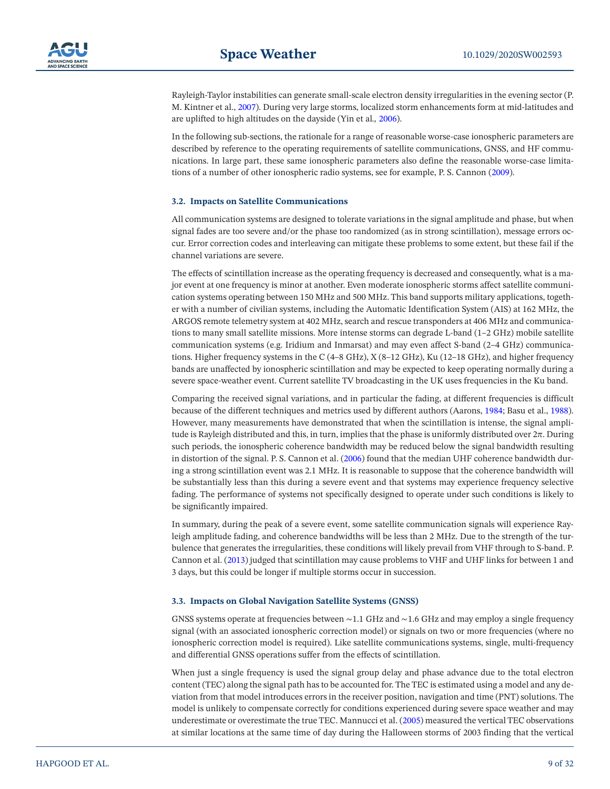Rayleigh-Taylor instabilities can generate small-scale electron density irregularities in the evening sector (P. M. Kintner et al., [2007\)](#page-28-11). During very large storms, localized storm enhancements form at mid-latitudes and are uplifted to high altitudes on the dayside (Yin et al*.,* [2006](#page-31-2)).

In the following sub-sections, the rationale for a range of reasonable worse-case ionospheric parameters are described by reference to the operating requirements of satellite communications, GNSS, and HF communications. In large part, these same ionospheric parameters also define the reasonable worse-case limitations of a number of other ionospheric radio systems, see for example, P. S. Cannon ([2009\)](#page-26-13).

#### <span id="page-8-0"></span>**3.2. Impacts on Satellite Communications**

All communication systems are designed to tolerate variations in the signal amplitude and phase, but when signal fades are too severe and/or the phase too randomized (as in strong scintillation), message errors occur. Error correction codes and interleaving can mitigate these problems to some extent, but these fail if the channel variations are severe.

The effects of scintillation increase as the operating frequency is decreased and consequently, what is a major event at one frequency is minor at another. Even moderate ionospheric storms affect satellite communication systems operating between 150 MHz and 500 MHz. This band supports military applications, together with a number of civilian systems, including the Automatic Identification System (AIS) at 162 MHz, the ARGOS remote telemetry system at 402 MHz, search and rescue transponders at 406 MHz and communications to many small satellite missions. More intense storms can degrade L-band (1–2 GHz) mobile satellite communication systems (e.g. Iridium and Inmarsat) and may even affect S-band (2–4 GHz) communications. Higher frequency systems in the C (4–8 GHz), X (8–12 GHz), Ku (12–18 GHz), and higher frequency bands are unaffected by ionospheric scintillation and may be expected to keep operating normally during a severe space-weather event. Current satellite TV broadcasting in the UK uses frequencies in the Ku band.

Comparing the received signal variations, and in particular the fading, at different frequencies is difficult because of the different techniques and metrics used by different authors (Aarons, [1984;](#page-25-3) Basu et al., [1988\)](#page-26-14). However, many measurements have demonstrated that when the scintillation is intense, the signal amplitude is Rayleigh distributed and this, in turn, implies that the phase is uniformly distributed over  $2\pi$ . During such periods, the ionospheric coherence bandwidth may be reduced below the signal bandwidth resulting in distortion of the signal. P. S. Cannon et al. [\(2006](#page-26-15)) found that the median UHF coherence bandwidth during a strong scintillation event was 2.1 MHz. It is reasonable to suppose that the coherence bandwidth will be substantially less than this during a severe event and that systems may experience frequency selective fading. The performance of systems not specifically designed to operate under such conditions is likely to be significantly impaired.

In summary, during the peak of a severe event, some satellite communication signals will experience Rayleigh amplitude fading, and coherence bandwidths will be less than 2 MHz. Due to the strength of the turbulence that generates the irregularities, these conditions will likely prevail from VHF through to S-band. P. Cannon et al. [\(2013](#page-26-2)) judged that scintillation may cause problems to VHF and UHF links for between 1 and 3 days, but this could be longer if multiple storms occur in succession.

#### <span id="page-8-1"></span>**3.3. Impacts on Global Navigation Satellite Systems (GNSS)**

GNSS systems operate at frequencies between ∼1.1 GHz and ∼1.6 GHz and may employ a single frequency signal (with an associated ionospheric correction model) or signals on two or more frequencies (where no ionospheric correction model is required). Like satellite communications systems, single, multi-frequency and differential GNSS operations suffer from the effects of scintillation.

When just a single frequency is used the signal group delay and phase advance due to the total electron content (TEC) along the signal path has to be accounted for. The TEC is estimated using a model and any deviation from that model introduces errors in the receiver position, navigation and time (PNT) solutions. The model is unlikely to compensate correctly for conditions experienced during severe space weather and may underestimate or overestimate the true TEC. Mannucci et al. [\(2005](#page-29-9)) measured the vertical TEC observations at similar locations at the same time of day during the Halloween storms of 2003 finding that the vertical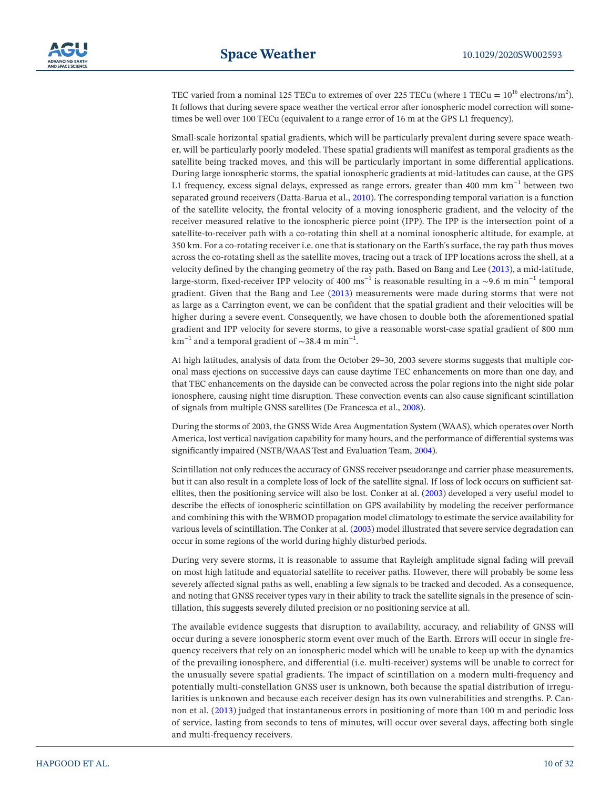TEC varied from a nominal 125 TECu to extremes of over 225 TECu (where 1 TECu =  $10^{16}$  electrons/m<sup>2</sup>). It follows that during severe space weather the vertical error after ionospheric model correction will sometimes be well over 100 TECu (equivalent to a range error of 16 m at the GPS L1 frequency).

Small-scale horizontal spatial gradients, which will be particularly prevalent during severe space weather, will be particularly poorly modeled. These spatial gradients will manifest as temporal gradients as the satellite being tracked moves, and this will be particularly important in some differential applications. During large ionospheric storms, the spatial ionospheric gradients at mid-latitudes can cause, at the GPS L1 frequency, excess signal delays, expressed as range errors, greater than 400 mm km−1 between two separated ground receivers (Datta-Barua et al., [2010](#page-26-16)). The corresponding temporal variation is a function of the satellite velocity, the frontal velocity of a moving ionospheric gradient, and the velocity of the receiver measured relative to the ionospheric pierce point (IPP). The IPP is the intersection point of a satellite-to-receiver path with a co-rotating thin shell at a nominal ionospheric altitude, for example, at 350 km. For a co-rotating receiver i.e. one that is stationary on the Earth's surface, the ray path thus moves across the co-rotating shell as the satellite moves, tracing out a track of IPP locations across the shell, at a velocity defined by the changing geometry of the ray path. Based on Bang and Lee [\(2013\)](#page-25-4), a mid-latitude, large-storm, fixed-receiver IPP velocity of 400 ms<sup>-1</sup> is reasonable resulting in a  $\sim$ 9.6 m min<sup>-1</sup> temporal gradient. Given that the Bang and Lee ([2013\)](#page-25-4) measurements were made during storms that were not as large as a Carrington event, we can be confident that the spatial gradient and their velocities will be higher during a severe event. Consequently, we have chosen to double both the aforementioned spatial gradient and IPP velocity for severe storms, to give a reasonable worst-case spatial gradient of 800 mm km<sup>-1</sup> and a temporal gradient of ~38.4 m min<sup>-1</sup>.

At high latitudes, analysis of data from the October 29–30, 2003 severe storms suggests that multiple coronal mass ejections on successive days can cause daytime TEC enhancements on more than one day, and that TEC enhancements on the dayside can be convected across the polar regions into the night side polar ionosphere, causing night time disruption. These convection events can also cause significant scintillation of signals from multiple GNSS satellites (De Francesca et al., [2008\)](#page-26-17).

During the storms of 2003, the GNSS Wide Area Augmentation System (WAAS), which operates over North America, lost vertical navigation capability for many hours, and the performance of differential systems was significantly impaired (NSTB/WAAS Test and Evaluation Team, [2004\)](#page-29-11).

Scintillation not only reduces the accuracy of GNSS receiver pseudorange and carrier phase measurements, but it can also result in a complete loss of lock of the satellite signal. If loss of lock occurs on sufficient satellites, then the positioning service will also be lost. Conker at al. ([2003\)](#page-26-18) developed a very useful model to describe the effects of ionospheric scintillation on GPS availability by modeling the receiver performance and combining this with the WBMOD propagation model climatology to estimate the service availability for various levels of scintillation. The Conker at al. ([2003\)](#page-26-18) model illustrated that severe service degradation can occur in some regions of the world during highly disturbed periods.

During very severe storms, it is reasonable to assume that Rayleigh amplitude signal fading will prevail on most high latitude and equatorial satellite to receiver paths. However, there will probably be some less severely affected signal paths as well, enabling a few signals to be tracked and decoded. As a consequence, and noting that GNSS receiver types vary in their ability to track the satellite signals in the presence of scintillation, this suggests severely diluted precision or no positioning service at all.

The available evidence suggests that disruption to availability, accuracy, and reliability of GNSS will occur during a severe ionospheric storm event over much of the Earth. Errors will occur in single frequency receivers that rely on an ionospheric model which will be unable to keep up with the dynamics of the prevailing ionosphere, and differential (i.e. multi-receiver) systems will be unable to correct for the unusually severe spatial gradients. The impact of scintillation on a modern multi-frequency and potentially multi-constellation GNSS user is unknown, both because the spatial distribution of irregularities is unknown and because each receiver design has its own vulnerabilities and strengths. P. Cannon et al. ([2013](#page-26-2)) judged that instantaneous errors in positioning of more than 100 m and periodic loss of service, lasting from seconds to tens of minutes, will occur over several days, affecting both single and multi-frequency receivers.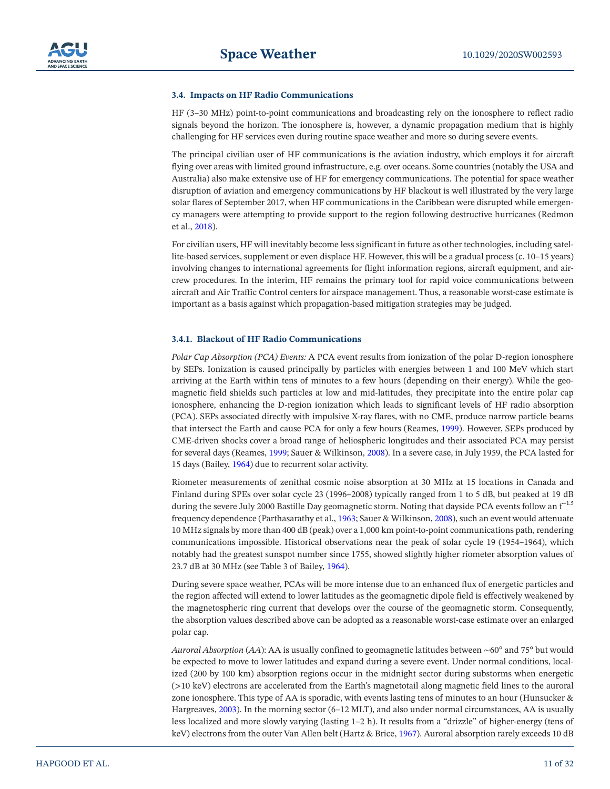#### **3.4. Impacts on HF Radio Communications**

HF (3–30 MHz) point-to-point communications and broadcasting rely on the ionosphere to reflect radio signals beyond the horizon. The ionosphere is, however, a dynamic propagation medium that is highly challenging for HF services even during routine space weather and more so during severe events.

The principal civilian user of HF communications is the aviation industry, which employs it for aircraft flying over areas with limited ground infrastructure, e.g. over oceans. Some countries (notably the USA and Australia) also make extensive use of HF for emergency communications. The potential for space weather disruption of aviation and emergency communications by HF blackout is well illustrated by the very large solar flares of September 2017, when HF communications in the Caribbean were disrupted while emergency managers were attempting to provide support to the region following destructive hurricanes (Redmon et al., [2018](#page-30-12)).

For civilian users, HF will inevitably become less significant in future as other technologies, including satellite-based services, supplement or even displace HF. However, this will be a gradual process (c. 10–15 years) involving changes to international agreements for flight information regions, aircraft equipment, and aircrew procedures. In the interim, HF remains the primary tool for rapid voice communications between aircraft and Air Traffic Control centers for airspace management. Thus, a reasonable worst-case estimate is important as a basis against which propagation-based mitigation strategies may be judged.

#### <span id="page-10-0"></span>**3.4.1. Blackout of HF Radio Communications**

*Polar Cap Absorption (PCA) Events:* A PCA event results from ionization of the polar D-region ionosphere by SEPs. Ionization is caused principally by particles with energies between 1 and 100 MeV which start arriving at the Earth within tens of minutes to a few hours (depending on their energy). While the geomagnetic field shields such particles at low and mid-latitudes, they precipitate into the entire polar cap ionosphere, enhancing the D-region ionization which leads to significant levels of HF radio absorption (PCA). SEPs associated directly with impulsive X-ray flares, with no CME, produce narrow particle beams that intersect the Earth and cause PCA for only a few hours (Reames, [1999\)](#page-30-13). However, SEPs produced by CME-driven shocks cover a broad range of heliospheric longitudes and their associated PCA may persist for several days (Reames, [1999;](#page-30-13) Sauer & Wilkinson, [2008\)](#page-30-14). In a severe case, in July 1959, the PCA lasted for 15 days (Bailey, [1964\)](#page-25-5) due to recurrent solar activity.

Riometer measurements of zenithal cosmic noise absorption at 30 MHz at 15 locations in Canada and Finland during SPEs over solar cycle 23 (1996–2008) typically ranged from 1 to 5 dB, but peaked at 19 dB during the severe July 2000 Bastille Day geomagnetic storm. Noting that dayside PCA events follow an f−1.5 frequency dependence (Parthasarathy et al., [1963](#page-30-15); Sauer & Wilkinson, [2008](#page-30-14)), such an event would attenuate 10 MHz signals by more than 400 dB (peak) over a 1,000 km point-to-point communications path, rendering communications impossible. Historical observations near the peak of solar cycle 19 (1954–1964), which notably had the greatest sunspot number since 1755, showed slightly higher riometer absorption values of 23.7 dB at 30 MHz (see Table 3 of Bailey, [1964](#page-25-5)).

During severe space weather, PCAs will be more intense due to an enhanced flux of energetic particles and the region affected will extend to lower latitudes as the geomagnetic dipole field is effectively weakened by the magnetospheric ring current that develops over the course of the geomagnetic storm. Consequently, the absorption values described above can be adopted as a reasonable worst-case estimate over an enlarged polar cap.

*Auroral Absorption* (*AA*): AA is usually confined to geomagnetic latitudes between ∼60° and 75° but would be expected to move to lower latitudes and expand during a severe event. Under normal conditions, localized (200 by 100 km) absorption regions occur in the midnight sector during substorms when energetic (>10 keV) electrons are accelerated from the Earth's magnetotail along magnetic field lines to the auroral zone ionosphere. This type of AA is sporadic, with events lasting tens of minutes to an hour (Hunsucker & Hargreaves, [2003\)](#page-28-12). In the morning sector (6–12 MLT), and also under normal circumstances, AA is usually less localized and more slowly varying (lasting 1–2 h). It results from a "drizzle" of higher-energy (tens of keV) electrons from the outer Van Allen belt (Hartz & Brice, [1967](#page-28-13)). Auroral absorption rarely exceeds 10 dB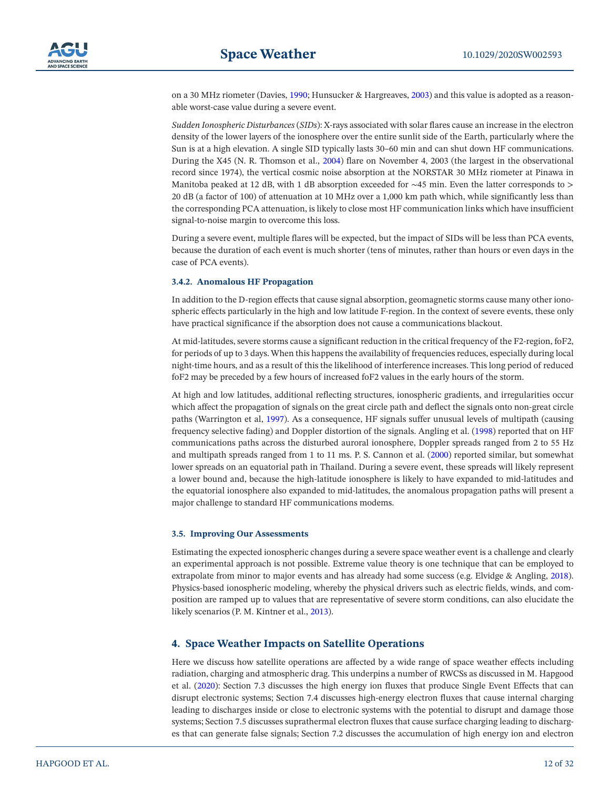on a 30 MHz riometer (Davies, [1990;](#page-26-19) Hunsucker & Hargreaves, [2003\)](#page-28-12) and this value is adopted as a reasonable worst-case value during a severe event.

*Sudden Ionospheric Disturbances* (*SIDs*): X-rays associated with solar flares cause an increase in the electron density of the lower layers of the ionosphere over the entire sunlit side of the Earth, particularly where the Sun is at a high elevation. A single SID typically lasts 30–60 min and can shut down HF communications. During the X45 (N. R. Thomson et al., [2004\)](#page-30-16) flare on November 4, 2003 (the largest in the observational record since 1974), the vertical cosmic noise absorption at the NORSTAR 30 MHz riometer at Pinawa in Manitoba peaked at 12 dB, with 1 dB absorption exceeded for ∼45 min. Even the latter corresponds to > 20 dB (a factor of 100) of attenuation at 10 MHz over a 1,000 km path which, while significantly less than the corresponding PCA attenuation, is likely to close most HF communication links which have insufficient signal-to-noise margin to overcome this loss.

During a severe event, multiple flares will be expected, but the impact of SIDs will be less than PCA events, because the duration of each event is much shorter (tens of minutes, rather than hours or even days in the case of PCA events).

## <span id="page-11-1"></span>**3.4.2. Anomalous HF Propagation**

In addition to the D-region effects that cause signal absorption, geomagnetic storms cause many other ionospheric effects particularly in the high and low latitude F-region. In the context of severe events, these only have practical significance if the absorption does not cause a communications blackout.

At mid-latitudes, severe storms cause a significant reduction in the critical frequency of the F2-region, foF2, for periods of up to 3 days. When this happens the availability of frequencies reduces, especially during local night-time hours, and as a result of this the likelihood of interference increases. This long period of reduced foF2 may be preceded by a few hours of increased foF2 values in the early hours of the storm.

At high and low latitudes, additional reflecting structures, ionospheric gradients, and irregularities occur which affect the propagation of signals on the great circle path and deflect the signals onto non-great circle paths (Warrington et al, [1997](#page-30-17)). As a consequence, HF signals suffer unusual levels of multipath (causing frequency selective fading) and Doppler distortion of the signals. Angling et al. ([1998\)](#page-25-6) reported that on HF communications paths across the disturbed auroral ionosphere, Doppler spreads ranged from 2 to 55 Hz and multipath spreads ranged from 1 to 11 ms. P. S. Cannon et al. [\(2000](#page-26-20)) reported similar, but somewhat lower spreads on an equatorial path in Thailand. During a severe event, these spreads will likely represent a lower bound and, because the high-latitude ionosphere is likely to have expanded to mid-latitudes and the equatorial ionosphere also expanded to mid-latitudes, the anomalous propagation paths will present a major challenge to standard HF communications modems.

#### **3.5. Improving Our Assessments**

Estimating the expected ionospheric changes during a severe space weather event is a challenge and clearly an experimental approach is not possible. Extreme value theory is one technique that can be employed to extrapolate from minor to major events and has already had some success (e.g. Elvidge & Angling, [2018\)](#page-27-12). Physics-based ionospheric modeling, whereby the physical drivers such as electric fields, winds, and composition are ramped up to values that are representative of severe storm conditions, can also elucidate the likely scenarios (P. M. Kintner et al., [2013\)](#page-28-14).

# <span id="page-11-0"></span>**4. Space Weather Impacts on Satellite Operations**

Here we discuss how satellite operations are affected by a wide range of space weather effects including radiation, charging and atmospheric drag. This underpins a number of RWCSs as discussed in M. Hapgood et al. [\(2020\)](#page-27-1): Section 7.3 discusses the high energy ion fluxes that produce Single Event Effects that can disrupt electronic systems; Section 7.4 discusses high-energy electron fluxes that cause internal charging leading to discharges inside or close to electronic systems with the potential to disrupt and damage those systems; Section 7.5 discusses suprathermal electron fluxes that cause surface charging leading to discharges that can generate false signals; Section 7.2 discusses the accumulation of high energy ion and electron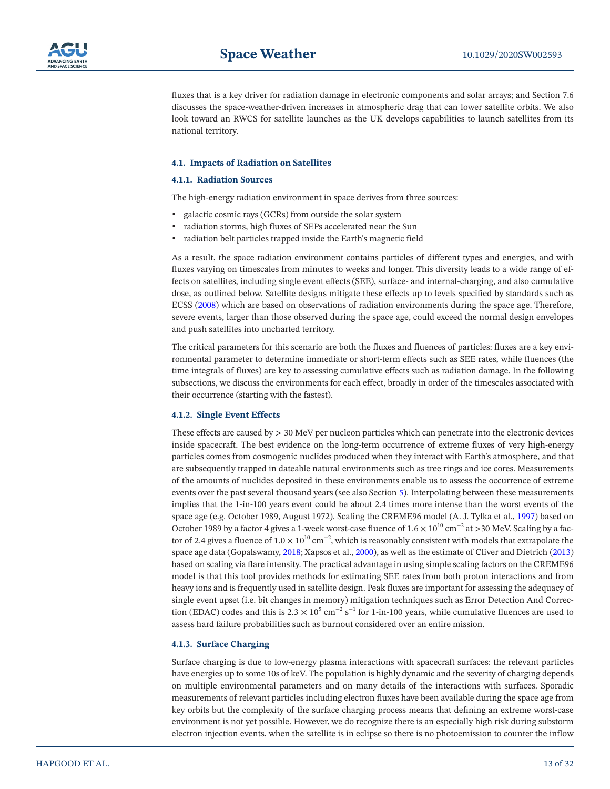

fluxes that is a key driver for radiation damage in electronic components and solar arrays; and Section 7.6 discusses the space-weather-driven increases in atmospheric drag that can lower satellite orbits. We also look toward an RWCS for satellite launches as the UK develops capabilities to launch satellites from its national territory.

#### <span id="page-12-0"></span>**4.1. Impacts of Radiation on Satellites**

#### **4.1.1. Radiation Sources**

The high-energy radiation environment in space derives from three sources:

- galactic cosmic rays (GCRs) from outside the solar system
- radiation storms, high fluxes of SEPs accelerated near the Sun
- radiation belt particles trapped inside the Earth's magnetic field

As a result, the space radiation environment contains particles of different types and energies, and with fluxes varying on timescales from minutes to weeks and longer. This diversity leads to a wide range of effects on satellites, including single event effects (SEE), surface- and internal-charging, and also cumulative dose, as outlined below. Satellite designs mitigate these effects up to levels specified by standards such as ECSS ([2008\)](#page-27-13) which are based on observations of radiation environments during the space age. Therefore, severe events, larger than those observed during the space age, could exceed the normal design envelopes and push satellites into uncharted territory.

The critical parameters for this scenario are both the fluxes and fluences of particles: fluxes are a key environmental parameter to determine immediate or short-term effects such as SEE rates, while fluences (the time integrals of fluxes) are key to assessing cumulative effects such as radiation damage. In the following subsections, we discuss the environments for each effect, broadly in order of the timescales associated with their occurrence (starting with the fastest).

#### **4.1.2. Single Event Effects**

These effects are caused by > 30 MeV per nucleon particles which can penetrate into the electronic devices inside spacecraft. The best evidence on the long-term occurrence of extreme fluxes of very high-energy particles comes from cosmogenic nuclides produced when they interact with Earth's atmosphere, and that are subsequently trapped in dateable natural environments such as tree rings and ice cores. Measurements of the amounts of nuclides deposited in these environments enable us to assess the occurrence of extreme events over the past several thousand years (see also Section [5](#page-11-0)). Interpolating between these measurements implies that the 1-in-100 years event could be about 2.4 times more intense than the worst events of the space age (e.g. October 1989, August 1972). Scaling the CREME96 model (A. J. Tylka et al., [1997](#page-30-18)) based on October 1989 by a factor 4 gives a 1-week worst-case fluence of  $1.6 \times 10^{10}$  cm<sup>-2</sup> at >30 MeV. Scaling by a factor of 2.4 gives a fluence of  $1.0 \times 10^{10}$  cm<sup>-2</sup>, which is reasonably consistent with models that extrapolate the space age data (Gopalswamy, [2018;](#page-27-14) Xapsos et al., [2000](#page-31-3)), as well as the estimate of Cliver and Dietrich [\(2013\)](#page-26-8) based on scaling via flare intensity. The practical advantage in using simple scaling factors on the CREME96 model is that this tool provides methods for estimating SEE rates from both proton interactions and from heavy ions and is frequently used in satellite design. Peak fluxes are important for assessing the adequacy of single event upset (i.e. bit changes in memory) mitigation techniques such as Error Detection And Correction (EDAC) codes and this is  $2.3 \times 10^5$  cm<sup>-2</sup> s<sup>-1</sup> for 1-in-100 years, while cumulative fluences are used to assess hard failure probabilities such as burnout considered over an entire mission.

#### **4.1.3. Surface Charging**

Surface charging is due to low-energy plasma interactions with spacecraft surfaces: the relevant particles have energies up to some 10s of keV. The population is highly dynamic and the severity of charging depends on multiple environmental parameters and on many details of the interactions with surfaces. Sporadic measurements of relevant particles including electron fluxes have been available during the space age from key orbits but the complexity of the surface charging process means that defining an extreme worst-case environment is not yet possible. However, we do recognize there is an especially high risk during substorm electron injection events, when the satellite is in eclipse so there is no photoemission to counter the inflow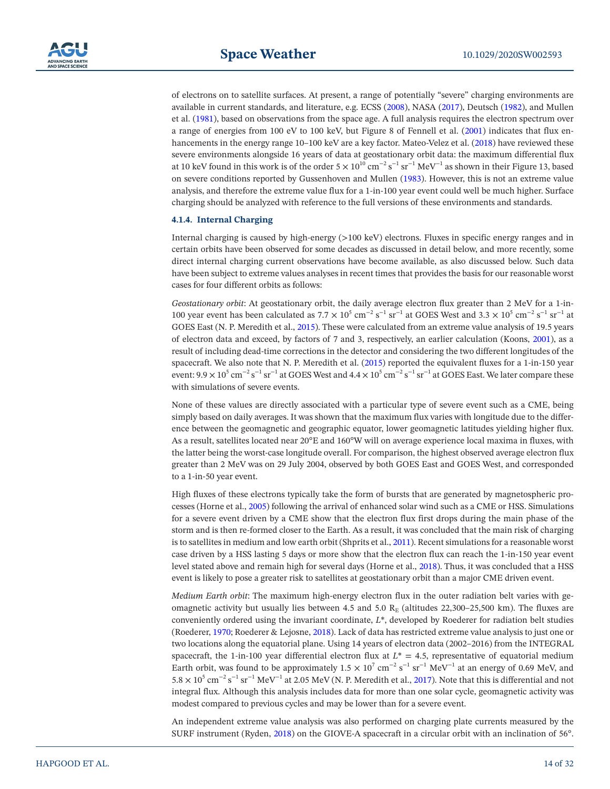

of electrons on to satellite surfaces. At present, a range of potentially "severe" charging environments are available in current standards, and literature, e.g. ECSS [\(2008](#page-27-13)), NASA [\(2017](#page-29-12)), Deutsch [\(1982\)](#page-26-21), and Mullen et al. ([1981](#page-29-13)), based on observations from the space age. A full analysis requires the electron spectrum over a range of energies from 100 eV to 100 keV, but Figure 8 of Fennell et al. ([2001\)](#page-27-15) indicates that flux enhancements in the energy range 10–100 keV are a key factor. Mateo-Velez et al. ([2018\)](#page-29-14) have reviewed these severe environments alongside 16 years of data at geostationary orbit data: the maximum differential flux at 10 keV found in this work is of the order  $5 \times 10^{10}$  cm<sup>-2</sup> s<sup>-1</sup> sr<sup>-1</sup> MeV<sup>-1</sup> as shown in their Figure 13, based on severe conditions reported by Gussenhoven and Mullen [\(1983\)](#page-27-16). However, this is not an extreme value analysis, and therefore the extreme value flux for a 1-in-100 year event could well be much higher. Surface charging should be analyzed with reference to the full versions of these environments and standards.

#### **4.1.4. Internal Charging**

Internal charging is caused by high-energy (>100 keV) electrons. Fluxes in specific energy ranges and in certain orbits have been observed for some decades as discussed in detail below, and more recently, some direct internal charging current observations have become available, as also discussed below. Such data have been subject to extreme values analyses in recent times that provides the basis for our reasonable worst cases for four different orbits as follows:

*Geostationary orbit*: At geostationary orbit, the daily average electron flux greater than 2 MeV for a 1-in-100 year event has been calculated as  $7.7 \times 10^5$  cm<sup>-2</sup> s<sup>-1</sup> sr<sup>-1</sup> at GOES West and  $3.3 \times 10^5$  cm<sup>-2</sup> s<sup>-1</sup> sr<sup>-1</sup> at GOES East (N. P. Meredith et al., [2015](#page-29-15)). These were calculated from an extreme value analysis of 19.5 years of electron data and exceed, by factors of 7 and 3, respectively, an earlier calculation (Koons, [2001\)](#page-28-15), as a result of including dead-time corrections in the detector and considering the two different longitudes of the spacecraft. We also note that N. P. Meredith et al. [\(2015\)](#page-29-15) reported the equivalent fluxes for a 1-in-150 year event:  $9.9 \times 10^5$  cm<sup>-2</sup> s<sup>-1</sup> sr<sup>-1</sup> at GOES West and  $4.4 \times 10^5$  cm<sup>-2</sup> s<sup>-1</sup> sr<sup>-1</sup> at GOES East. We later compare these with simulations of severe events.

None of these values are directly associated with a particular type of severe event such as a CME, being simply based on daily averages. It was shown that the maximum flux varies with longitude due to the difference between the geomagnetic and geographic equator, lower geomagnetic latitudes yielding higher flux. As a result, satellites located near 20°E and 160°W will on average experience local maxima in fluxes, with the latter being the worst-case longitude overall. For comparison, the highest observed average electron flux greater than 2 MeV was on 29 July 2004, observed by both GOES East and GOES West, and corresponded to a 1-in-50 year event.

High fluxes of these electrons typically take the form of bursts that are generated by magnetospheric processes (Horne et al., [2005\)](#page-28-16) following the arrival of enhanced solar wind such as a CME or HSS. Simulations for a severe event driven by a CME show that the electron flux first drops during the main phase of the storm and is then re-formed closer to the Earth. As a result, it was concluded that the main risk of charging is to satellites in medium and low earth orbit (Shprits et al., [2011](#page-30-19)). Recent simulations for a reasonable worst case driven by a HSS lasting 5 days or more show that the electron flux can reach the 1-in-150 year event level stated above and remain high for several days (Horne et al., [2018\)](#page-28-17). Thus, it was concluded that a HSS event is likely to pose a greater risk to satellites at geostationary orbit than a major CME driven event.

*Medium Earth orbit*: The maximum high-energy electron flux in the outer radiation belt varies with geomagnetic activity but usually lies between 4.5 and 5.0 RE (altitudes 22,300–25,500 km). The fluxes are conveniently ordered using the invariant coordinate, *L*\*, developed by Roederer for radiation belt studies (Roederer, [1970;](#page-30-20) Roederer & Lejosne, [2018](#page-30-21)). Lack of data has restricted extreme value analysis to just one or two locations along the equatorial plane. Using 14 years of electron data (2002–2016) from the INTEGRAL spacecraft, the 1-in-100 year differential electron flux at  $L^* = 4.5$ , representative of equatorial medium Earth orbit, was found to be approximately  $1.5 \times 10^7$  cm<sup>-2</sup> s<sup>-1</sup>  $\text{yr}^{-1}$  MeV<sup>-1</sup> at an energy of 0.69 MeV, and  $5.8 \times 10^5$  cm<sup>-2</sup> s<sup>-1</sup> sr<sup>-1</sup> MeV<sup>-1</sup> at 2.05 MeV (N. P. Meredith et al., [2017](#page-29-16)). Note that this is differential and not integral flux. Although this analysis includes data for more than one solar cycle, geomagnetic activity was modest compared to previous cycles and may be lower than for a severe event.

An independent extreme value analysis was also performed on charging plate currents measured by the SURF instrument (Ryden, [2018\)](#page-30-22) on the GIOVE-A spacecraft in a circular orbit with an inclination of 56°.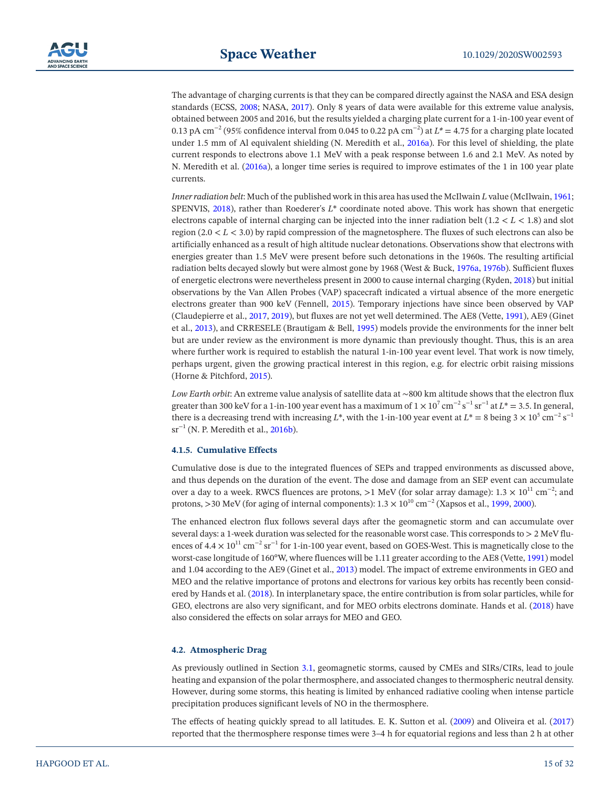The advantage of charging currents is that they can be compared directly against the NASA and ESA design standards (ECSS, [2008;](#page-27-13) NASA, [2017](#page-29-12)). Only 8 years of data were available for this extreme value analysis, obtained between 2005 and 2016, but the results yielded a charging plate current for a 1-in-100 year event of 0.13 pA cm−2 (95% confidence interval from 0.045 to 0.22 pA cm−2) at *L\** = 4.75 for a charging plate located under 1.5 mm of Al equivalent shielding (N. Meredith et al., [2016a](#page-29-17)). For this level of shielding, the plate current responds to electrons above 1.1 MeV with a peak response between 1.6 and 2.1 MeV. As noted by N. Meredith et al. [\(2016a](#page-29-17)), a longer time series is required to improve estimates of the 1 in 100 year plate currents.

*Inner radiation belt*: Much of the published work in this area has used the McIlwain *L* value (McIlwain, [1961;](#page-29-18) SPENVIS, [2018\)](#page-30-23), rather than Roederer's *L*\* coordinate noted above. This work has shown that energetic electrons capable of internal charging can be injected into the inner radiation belt (1.2 < *L* < 1.8) and slot region (2.0 < *L* < 3.0) by rapid compression of the magnetosphere. The fluxes of such electrons can also be artificially enhanced as a result of high altitude nuclear detonations. Observations show that electrons with energies greater than 1.5 MeV were present before such detonations in the 1960s. The resulting artificial radiation belts decayed slowly but were almost gone by 1968 (West & Buck, [1976a,](#page-31-4) [1976b\)](#page-31-5). Sufficient fluxes of energetic electrons were nevertheless present in 2000 to cause internal charging (Ryden, [2018\)](#page-30-22) but initial observations by the Van Allen Probes (VAP) spacecraft indicated a virtual absence of the more energetic electrons greater than 900 keV (Fennell, [2015](#page-27-17)). Temporary injections have since been observed by VAP (Claudepierre et al., [2017](#page-26-22), [2019](#page-26-23)), but fluxes are not yet well determined. The AE8 (Vette, [1991\)](#page-30-24), AE9 (Ginet et al., [2013\)](#page-27-18), and CRRESELE (Brautigam & Bell, [1995](#page-26-24)) models provide the environments for the inner belt but are under review as the environment is more dynamic than previously thought. Thus, this is an area where further work is required to establish the natural 1-in-100 year event level. That work is now timely, perhaps urgent, given the growing practical interest in this region, e.g. for electric orbit raising missions (Horne & Pitchford, [2015](#page-28-18)).

*Low Earth orbit*: An extreme value analysis of satellite data at ∼800 km altitude shows that the electron flux greater than 300 keV for a 1-in-100 year event has a maximum of  $1 \times 10^7$  cm<sup>-2</sup> s<sup>-1</sup> sr<sup>-1</sup> at  $L^*=$  3.5. In general, there is a decreasing trend with increasing *L*\*, with the 1-in-100 year event at *L*\* = 8 being  $3 \times 10^5$  cm<sup>-2</sup> s<sup>-1</sup>  $sr^{-1}$  (N. P. Meredith et al., [2016b\)](#page-29-19).

#### **4.1.5. Cumulative Effects**

Cumulative dose is due to the integrated fluences of SEPs and trapped environments as discussed above, and thus depends on the duration of the event. The dose and damage from an SEP event can accumulate over a day to a week. RWCS fluences are protons, >1 MeV (for solar array damage):  $1.3 \times 10^{11}$  cm<sup>-2</sup>; and protons, >30 MeV (for aging of internal components):  $1.3 \times 10^{10}$  cm<sup>-2</sup> (Xapsos et al., [1999](#page-31-6), [2000](#page-31-3)).

The enhanced electron flux follows several days after the geomagnetic storm and can accumulate over several days: a 1-week duration was selected for the reasonable worst case. This corresponds to > 2 MeV fluences of  $4.4 \times 10^{11}$  cm<sup>-2</sup> sr<sup>-1</sup> for 1-in-100 year event, based on GOES-West. This is magnetically close to the worst-case longitude of 160°W, where fluences will be 1.11 greater according to the AE8 (Vette, [1991](#page-30-24)) model and 1.04 according to the AE9 (Ginet et al., [2013](#page-27-18)) model. The impact of extreme environments in GEO and MEO and the relative importance of protons and electrons for various key orbits has recently been considered by Hands et al. [\(2018](#page-27-19)). In interplanetary space, the entire contribution is from solar particles, while for GEO, electrons are also very significant, and for MEO orbits electrons dominate. Hands et al. ([2018\)](#page-27-19) have also considered the effects on solar arrays for MEO and GEO.

#### <span id="page-14-0"></span>**4.2. Atmospheric Drag**

As previously outlined in Section [3.1](#page-6-1), geomagnetic storms, caused by CMEs and SIRs/CIRs, lead to joule heating and expansion of the polar thermosphere, and associated changes to thermospheric neutral density. However, during some storms, this heating is limited by enhanced radiative cooling when intense particle precipitation produces significant levels of NO in the thermosphere.

The effects of heating quickly spread to all latitudes. E. K. Sutton et al. [\(2009](#page-30-25)) and Oliveira et al. [\(2017\)](#page-29-20) reported that the thermosphere response times were 3–4 h for equatorial regions and less than 2 h at other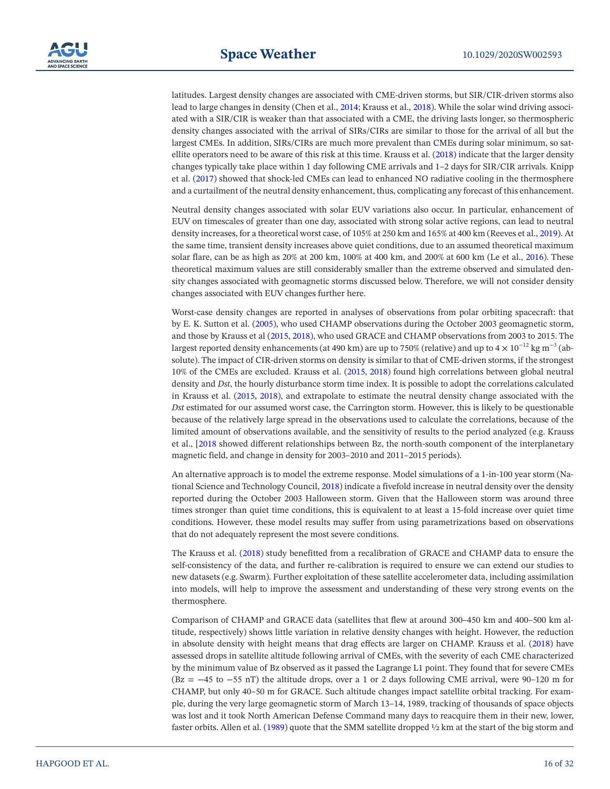latitudes. Largest density changes are associated with CME-driven storms, but SIR/CIR-driven storms also lead to large changes in density (Chen et al., [2014;](#page-26-25) Krauss et al., [2018\)](#page-28-19). While the solar wind driving associated with a SIR/CIR is weaker than that associated with a CME, the driving lasts longer, so thermospheric density changes associated with the arrival of SIRs/CIRs are similar to those for the arrival of all but the largest CMEs. In addition, SIRs/CIRs are much more prevalent than CMEs during solar minimum, so satellite operators need to be aware of this risk at this time. Krauss et al. [\(2018](#page-28-19)) indicate that the larger density changes typically take place within 1 day following CME arrivals and 1–2 days for SIR/CIR arrivals. Knipp et al. ([2017\)](#page-28-20) showed that shock-led CMEs can lead to enhanced NO radiative cooling in the thermosphere and a curtailment of the neutral density enhancement, thus, complicating any forecast of this enhancement.

Neutral density changes associated with solar EUV variations also occur. In particular, enhancement of EUV on timescales of greater than one day, associated with strong solar active regions, can lead to neutral density increases, for a theoretical worst case, of 105% at 250 km and 165% at 400 km (Reeves et al., [2019\)](#page-30-26). At the same time, transient density increases above quiet conditions, due to an assumed theoretical maximum solar flare, can be as high as 20% at 200 km, 100% at 400 km, and 200% at 600 km (Le et al., [2016\)](#page-29-21). These theoretical maximum values are still considerably smaller than the extreme observed and simulated density changes associated with geomagnetic storms discussed below. Therefore, we will not consider density changes associated with EUV changes further here.

Worst-case density changes are reported in analyses of observations from polar orbiting spacecraft: that by E. K. Sutton et al. [\(2005](#page-30-27)), who used CHAMP observations during the October 2003 geomagnetic storm, and those by Krauss et al ([2015](#page-28-21), [2018](#page-28-19)), who used GRACE and CHAMP observations from 2003 to 2015. The largest reported density enhancements (at 490 km) are up to 750% (relative) and up to 4  $\times$  10<sup>-12</sup> kg m<sup>-3</sup> (absolute). The impact of CIR-driven storms on density is similar to that of CME-driven storms, if the strongest 10% of the CMEs are excluded. Krauss et al. ([2015,](#page-28-21) [2018](#page-28-19)) found high correlations between global neutral density and *Dst*, the hourly disturbance storm time index. It is possible to adopt the correlations calculated in Krauss et al. ([2015,](#page-28-21) [2018\)](#page-28-19), and extrapolate to estimate the neutral density change associated with the *Dst* estimated for our assumed worst case, the Carrington storm. However, this is likely to be questionable because of the relatively large spread in the observations used to calculate the correlations, because of the limited amount of observations available, and the sensitivity of results to the period analyzed (e.g. Krauss et al., [[2018](#page-28-19) showed different relationships between Bz, the north-south component of the interplanetary magnetic field, and change in density for 2003–2010 and 2011–2015 periods).

An alternative approach is to model the extreme response. Model simulations of a 1-in-100 year storm (National Science and Technology Council, [2018\)](#page-29-22) indicate a fivefold increase in neutral density over the density reported during the October 2003 Halloween storm. Given that the Halloween storm was around three times stronger than quiet time conditions, this is equivalent to at least a 15-fold increase over quiet time conditions. However, these model results may suffer from using parametrizations based on observations that do not adequately represent the most severe conditions.

The Krauss et al. ([2018\)](#page-28-19) study benefitted from a recalibration of GRACE and CHAMP data to ensure the self-consistency of the data, and further re-calibration is required to ensure we can extend our studies to new datasets (e.g. Swarm). Further exploitation of these satellite accelerometer data, including assimilation into models, will help to improve the assessment and understanding of these very strong events on the thermosphere.

Comparison of CHAMP and GRACE data (satellites that flew at around 300–450 km and 400–500 km altitude, respectively) shows little variation in relative density changes with height. However, the reduction in absolute density with height means that drag effects are larger on CHAMP. Krauss et al. [\(2018](#page-28-19)) have assessed drops in satellite altitude following arrival of CMEs, with the severity of each CME characterized by the minimum value of Bz observed as it passed the Lagrange L1 point. They found that for severe CMEs (Bz = −45 to −55 nT) the altitude drops, over a 1 or 2 days following CME arrival, were 90–120 m for CHAMP, but only 40–50 m for GRACE. Such altitude changes impact satellite orbital tracking. For example, during the very large geomagnetic storm of March 13–14, 1989, tracking of thousands of space objects was lost and it took North American Defense Command many days to reacquire them in their new, lower, faster orbits. Allen et al. ([1989\)](#page-25-7) quote that the SMM satellite dropped ½ km at the start of the big storm and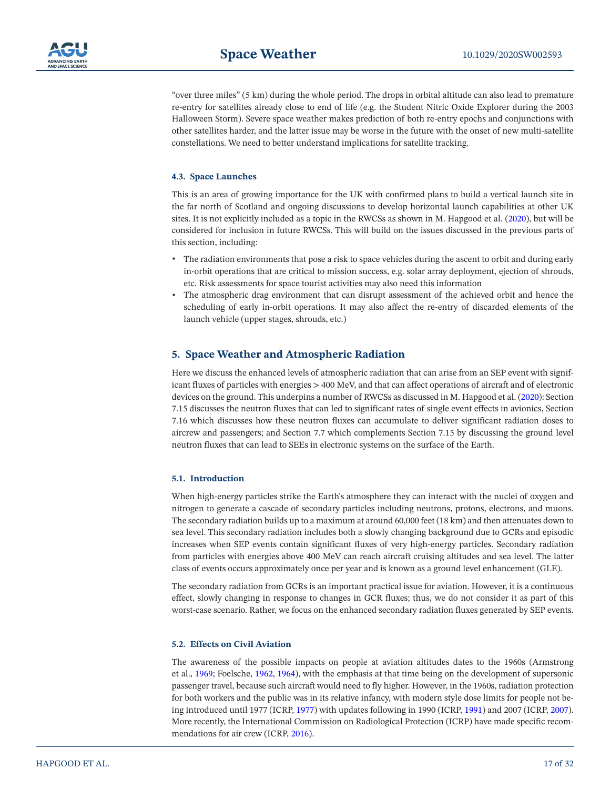

"over three miles" (5 km) during the whole period. The drops in orbital altitude can also lead to premature re-entry for satellites already close to end of life (e.g. the Student Nitric Oxide Explorer during the 2003 Halloween Storm). Severe space weather makes prediction of both re-entry epochs and conjunctions with other satellites harder, and the latter issue may be worse in the future with the onset of new multi-satellite constellations. We need to better understand implications for satellite tracking.

#### **4.3. Space Launches**

This is an area of growing importance for the UK with confirmed plans to build a vertical launch site in the far north of Scotland and ongoing discussions to develop horizontal launch capabilities at other UK sites. It is not explicitly included as a topic in the RWCSs as shown in M. Hapgood et al. [\(2020](#page-27-1)), but will be considered for inclusion in future RWCSs. This will build on the issues discussed in the previous parts of this section, including:

- The radiation environments that pose a risk to space vehicles during the ascent to orbit and during early in-orbit operations that are critical to mission success, e.g. solar array deployment, ejection of shrouds, etc. Risk assessments for space tourist activities may also need this information
- The atmospheric drag environment that can disrupt assessment of the achieved orbit and hence the scheduling of early in-orbit operations. It may also affect the re-entry of discarded elements of the launch vehicle (upper stages, shrouds, etc.)

# <span id="page-16-0"></span>**5. Space Weather and Atmospheric Radiation**

Here we discuss the enhanced levels of atmospheric radiation that can arise from an SEP event with significant fluxes of particles with energies > 400 MeV, and that can affect operations of aircraft and of electronic devices on the ground. This underpins a number of RWCSs as discussed in M. Hapgood et al. [\(2020](#page-27-1)): Section 7.15 discusses the neutron fluxes that can led to significant rates of single event effects in avionics, Section 7.16 which discusses how these neutron fluxes can accumulate to deliver significant radiation doses to aircrew and passengers; and Section 7.7 which complements Section 7.15 by discussing the ground level neutron fluxes that can lead to SEEs in electronic systems on the surface of the Earth.

#### **5.1. Introduction**

When high-energy particles strike the Earth's atmosphere they can interact with the nuclei of oxygen and nitrogen to generate a cascade of secondary particles including neutrons, protons, electrons, and muons. The secondary radiation builds up to a maximum at around 60,000 feet (18 km) and then attenuates down to sea level. This secondary radiation includes both a slowly changing background due to GCRs and episodic increases when SEP events contain significant fluxes of very high-energy particles. Secondary radiation from particles with energies above 400 MeV can reach aircraft cruising altitudes and sea level. The latter class of events occurs approximately once per year and is known as a ground level enhancement (GLE).

The secondary radiation from GCRs is an important practical issue for aviation. However, it is a continuous effect, slowly changing in response to changes in GCR fluxes; thus, we do not consider it as part of this worst-case scenario. Rather, we focus on the enhanced secondary radiation fluxes generated by SEP events.

#### **5.2. Effects on Civil Aviation**

The awareness of the possible impacts on people at aviation altitudes dates to the 1960s (Armstrong et al., [1969;](#page-25-8) Foelsche, [1962](#page-27-20), [1964](#page-27-21)), with the emphasis at that time being on the development of supersonic passenger travel, because such aircraft would need to fly higher. However, in the 1960s, radiation protection for both workers and the public was in its relative infancy, with modern style dose limits for people not being introduced until 1977 (ICRP, [1977](#page-28-22)) with updates following in 1990 (ICRP, [1991](#page-28-23)) and 2007 (ICRP, [2007\)](#page-28-24). More recently, the International Commission on Radiological Protection (ICRP) have made specific recommendations for air crew (ICRP, [2016](#page-28-25)).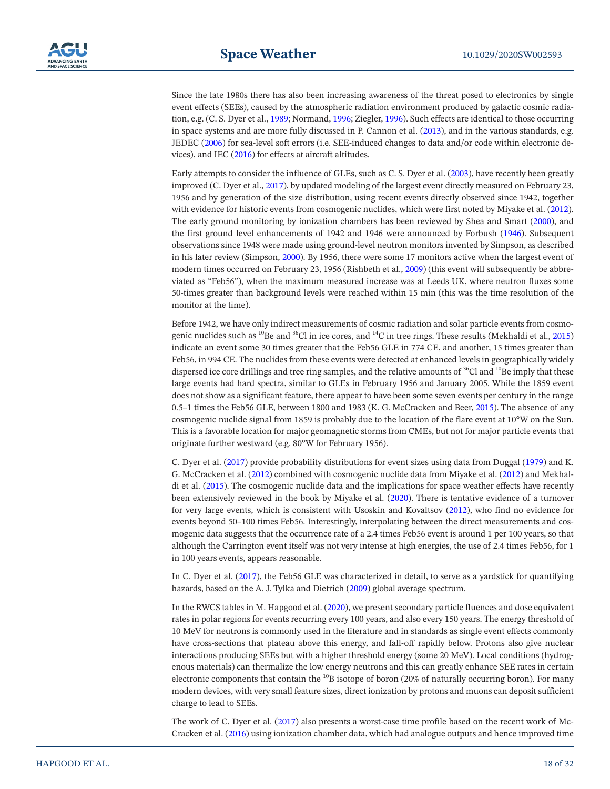Since the late 1980s there has also been increasing awareness of the threat posed to electronics by single event effects (SEEs), caused by the atmospheric radiation environment produced by galactic cosmic radiation, e.g. (C. S. Dyer et al., [1989](#page-27-22); Normand, [1996](#page-29-23); Ziegler, [1996\)](#page-31-7). Such effects are identical to those occurring in space systems and are more fully discussed in P. Cannon et al. ([2013\)](#page-26-2), and in the various standards, e.g. JEDEC [\(2006](#page-28-26)) for sea-level soft errors (i.e. SEE-induced changes to data and/or code within electronic devices), and IEC [\(2016\)](#page-28-27) for effects at aircraft altitudes.

Early attempts to consider the influence of GLEs, such as C. S. Dyer et al. ([2003](#page-27-23)), have recently been greatly improved (C. Dyer et al., [2017\)](#page-27-3), by updated modeling of the largest event directly measured on February 23, 1956 and by generation of the size distribution, using recent events directly observed since 1942, together with evidence for historic events from cosmogenic nuclides, which were first noted by Miyake et al. ([2012\)](#page-29-0). The early ground monitoring by ionization chambers has been reviewed by Shea and Smart ([2000](#page-30-28)), and the first ground level enhancements of 1942 and 1946 were announced by Forbush ([1946](#page-27-24)). Subsequent observations since 1948 were made using ground-level neutron monitors invented by Simpson, as described in his later review (Simpson, [2000](#page-30-29)). By 1956, there were some 17 monitors active when the largest event of modern times occurred on February 23, 1956 (Rishbeth et al., [2009\)](#page-30-30) (this event will subsequently be abbreviated as "Feb56"), when the maximum measured increase was at Leeds UK, where neutron fluxes some 50-times greater than background levels were reached within 15 min (this was the time resolution of the monitor at the time).

Before 1942, we have only indirect measurements of cosmic radiation and solar particle events from cosmogenic nuclides such as  $^{10}$ Be and  $^{36}$ Cl in ice cores, and  $^{14}$ C in tree rings. These results (Mekhaldi et al., [2015\)](#page-29-1) indicate an event some 30 times greater that the Feb56 GLE in 774 CE, and another, 15 times greater than Feb56, in 994 CE. The nuclides from these events were detected at enhanced levels in geographically widely dispersed ice core drillings and tree ring samples, and the relative amounts of  ${}^{36}$ Cl and  ${}^{10}$ Be imply that these large events had hard spectra, similar to GLEs in February 1956 and January 2005. While the 1859 event does not show as a significant feature, there appear to have been some seven events per century in the range 0.5–1 times the Feb56 GLE, between 1800 and 1983 (K. G. McCracken and Beer, [2015\)](#page-29-24). The absence of any cosmogenic nuclide signal from 1859 is probably due to the location of the flare event at 10°W on the Sun. This is a favorable location for major geomagnetic storms from CMEs, but not for major particle events that originate further westward (e.g. 80°W for February 1956).

C. Dyer et al. ([2017\)](#page-27-3) provide probability distributions for event sizes using data from Duggal ([1979](#page-26-26)) and K. G. McCracken et al. ([2012](#page-29-25)) combined with cosmogenic nuclide data from Miyake et al. ([2012](#page-29-0)) and Mekhaldi et al. ([2015\)](#page-29-1). The cosmogenic nuclide data and the implications for space weather effects have recently been extensively reviewed in the book by Miyake et al. [\(2020\)](#page-29-3). There is tentative evidence of a turnover for very large events, which is consistent with Usoskin and Kovaltsov [\(2012\)](#page-30-31), who find no evidence for events beyond 50–100 times Feb56. Interestingly, interpolating between the direct measurements and cosmogenic data suggests that the occurrence rate of a 2.4 times Feb56 event is around 1 per 100 years, so that although the Carrington event itself was not very intense at high energies, the use of 2.4 times Feb56, for 1 in 100 years events, appears reasonable.

In C. Dyer et al. ([2017\)](#page-27-3), the Feb56 GLE was characterized in detail, to serve as a yardstick for quantifying hazards, based on the A. J. Tylka and Dietrich ([2009\)](#page-30-32) global average spectrum.

In the RWCS tables in M. Hapgood et al. ([2020](#page-27-1)), we present secondary particle fluences and dose equivalent rates in polar regions for events recurring every 100 years, and also every 150 years. The energy threshold of 10 MeV for neutrons is commonly used in the literature and in standards as single event effects commonly have cross-sections that plateau above this energy, and fall-off rapidly below. Protons also give nuclear interactions producing SEEs but with a higher threshold energy (some 20 MeV). Local conditions (hydrogenous materials) can thermalize the low energy neutrons and this can greatly enhance SEE rates in certain electronic components that contain the <sup>10</sup>B isotope of boron (20% of naturally occurring boron). For many modern devices, with very small feature sizes, direct ionization by protons and muons can deposit sufficient charge to lead to SEEs.

The work of C. Dyer et al. ([2017\)](#page-27-3) also presents a worst-case time profile based on the recent work of Mc-Cracken et al. [\(2016](#page-29-26)) using ionization chamber data, which had analogue outputs and hence improved time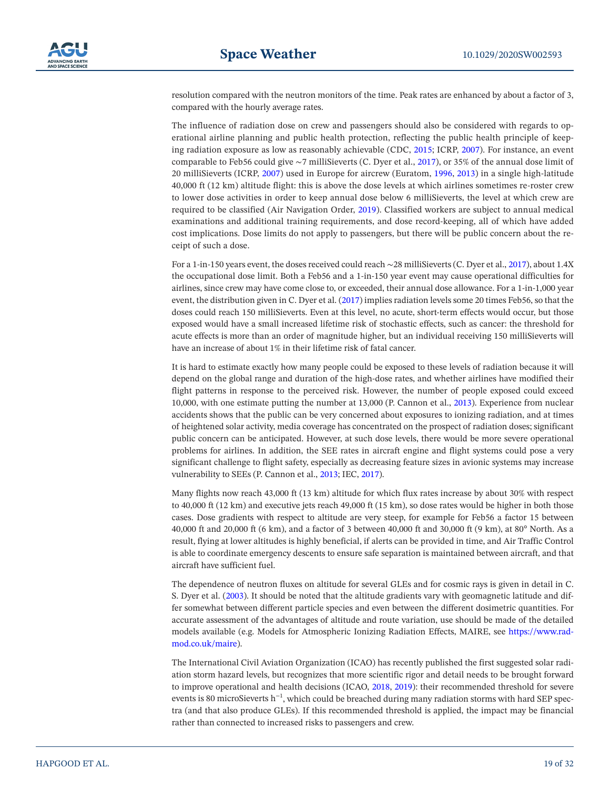resolution compared with the neutron monitors of the time. Peak rates are enhanced by about a factor of 3, compared with the hourly average rates.

The influence of radiation dose on crew and passengers should also be considered with regards to operational airline planning and public health protection, reflecting the public health principle of keeping radiation exposure as low as reasonably achievable (CDC, [2015;](#page-26-27) ICRP, [2007\)](#page-28-24). For instance, an event comparable to Feb56 could give ∼7 milliSieverts (C. Dyer et al., [2017](#page-27-3)), or 35% of the annual dose limit of 20 milliSieverts (ICRP, [2007](#page-28-24)) used in Europe for aircrew (Euratom, [1996](#page-27-25), [2013](#page-27-26)) in a single high-latitude 40,000 ft (12 km) altitude flight: this is above the dose levels at which airlines sometimes re-roster crew to lower dose activities in order to keep annual dose below 6 milliSieverts, the level at which crew are required to be classified (Air Navigation Order, [2019\)](#page-25-9). Classified workers are subject to annual medical examinations and additional training requirements, and dose record-keeping, all of which have added cost implications. Dose limits do not apply to passengers, but there will be public concern about the receipt of such a dose.

For a 1-in-150 years event, the doses received could reach ∼28 milliSieverts (C. Dyer et al., [2017](#page-27-3)), about 1.4X the occupational dose limit. Both a Feb56 and a 1-in-150 year event may cause operational difficulties for airlines, since crew may have come close to, or exceeded, their annual dose allowance. For a 1-in-1,000 year event, the distribution given in C. Dyer et al. [\(2017\)](#page-27-3) implies radiation levels some 20 times Feb56, so that the doses could reach 150 milliSieverts. Even at this level, no acute, short-term effects would occur, but those exposed would have a small increased lifetime risk of stochastic effects, such as cancer: the threshold for acute effects is more than an order of magnitude higher, but an individual receiving 150 milliSieverts will have an increase of about 1% in their lifetime risk of fatal cancer.

It is hard to estimate exactly how many people could be exposed to these levels of radiation because it will depend on the global range and duration of the high-dose rates, and whether airlines have modified their flight patterns in response to the perceived risk. However, the number of people exposed could exceed 10,000, with one estimate putting the number at 13,000 (P. Cannon et al., [2013\)](#page-26-2). Experience from nuclear accidents shows that the public can be very concerned about exposures to ionizing radiation, and at times of heightened solar activity, media coverage has concentrated on the prospect of radiation doses; significant public concern can be anticipated. However, at such dose levels, there would be more severe operational problems for airlines. In addition, the SEE rates in aircraft engine and flight systems could pose a very significant challenge to flight safety, especially as decreasing feature sizes in avionic systems may increase vulnerability to SEEs (P. Cannon et al., [2013](#page-26-2); IEC, [2017\)](#page-28-28).

Many flights now reach 43,000 ft (13 km) altitude for which flux rates increase by about 30% with respect to 40,000 ft (12 km) and executive jets reach 49,000 ft (15 km), so dose rates would be higher in both those cases. Dose gradients with respect to altitude are very steep, for example for Feb56 a factor 15 between 40,000 ft and 20,000 ft (6 km), and a factor of 3 between 40,000 ft and 30,000 ft (9 km), at 80° North. As a result, flying at lower altitudes is highly beneficial, if alerts can be provided in time, and Air Traffic Control is able to coordinate emergency descents to ensure safe separation is maintained between aircraft, and that aircraft have sufficient fuel.

The dependence of neutron fluxes on altitude for several GLEs and for cosmic rays is given in detail in C. S. Dyer et al. ([2003\)](#page-27-23). It should be noted that the altitude gradients vary with geomagnetic latitude and differ somewhat between different particle species and even between the different dosimetric quantities. For accurate assessment of the advantages of altitude and route variation, use should be made of the detailed models available (e.g. Models for Atmospheric Ionizing Radiation Effects, MAIRE, see [https://www.rad](https://www.radmod.co.uk/maire)[mod.co.uk/maire](https://www.radmod.co.uk/maire)).

The International Civil Aviation Organization (ICAO) has recently published the first suggested solar radiation storm hazard levels, but recognizes that more scientific rigor and detail needs to be brought forward to improve operational and health decisions (ICAO, [2018](#page-28-29), [2019](#page-28-30)): their recommended threshold for severe events is 80 microSieverts h<sup>-1</sup>, which could be breached during many radiation storms with hard SEP spectra (and that also produce GLEs). If this recommended threshold is applied, the impact may be financial rather than connected to increased risks to passengers and crew.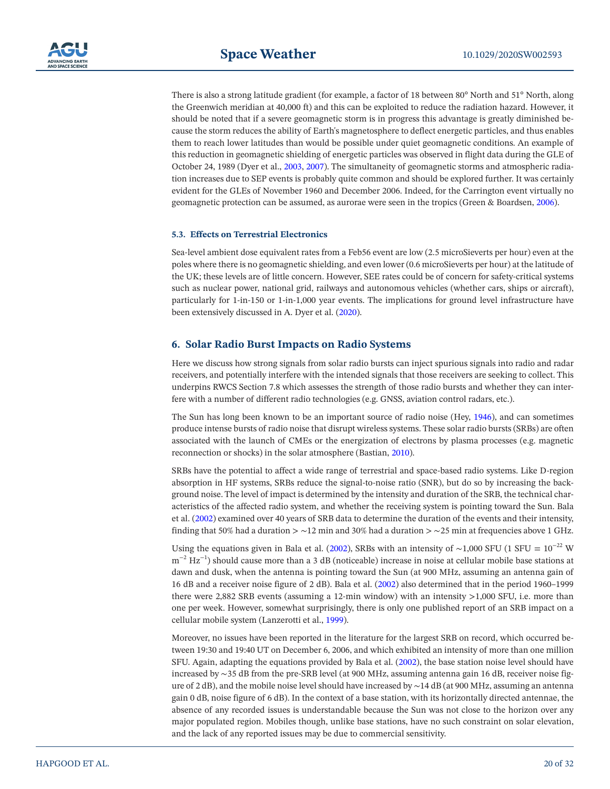There is also a strong latitude gradient (for example, a factor of 18 between 80° North and 51° North, along the Greenwich meridian at 40,000 ft) and this can be exploited to reduce the radiation hazard. However, it should be noted that if a severe geomagnetic storm is in progress this advantage is greatly diminished because the storm reduces the ability of Earth's magnetosphere to deflect energetic particles, and thus enables them to reach lower latitudes than would be possible under quiet geomagnetic conditions. An example of this reduction in geomagnetic shielding of energetic particles was observed in flight data during the GLE of October 24, 1989 (Dyer et al., [2003](#page-27-23), [2007](#page-27-27)). The simultaneity of geomagnetic storms and atmospheric radiation increases due to SEP events is probably quite common and should be explored further. It was certainly evident for the GLEs of November 1960 and December 2006. Indeed, for the Carrington event virtually no geomagnetic protection can be assumed, as aurorae were seen in the tropics (Green & Boardsen, [2006](#page-27-11)).

#### **5.3. Effects on Terrestrial Electronics**

Sea-level ambient dose equivalent rates from a Feb56 event are low (2.5 microSieverts per hour) even at the poles where there is no geomagnetic shielding, and even lower (0.6 microSieverts per hour) at the latitude of the UK; these levels are of little concern. However, SEE rates could be of concern for safety-critical systems such as nuclear power, national grid, railways and autonomous vehicles (whether cars, ships or aircraft), particularly for 1-in-150 or 1-in-1,000 year events. The implications for ground level infrastructure have been extensively discussed in A. Dyer et al. [\(2020](#page-27-28)).

## <span id="page-19-0"></span>**6. Solar Radio Burst Impacts on Radio Systems**

Here we discuss how strong signals from solar radio bursts can inject spurious signals into radio and radar receivers, and potentially interfere with the intended signals that those receivers are seeking to collect. This underpins RWCS Section 7.8 which assesses the strength of those radio bursts and whether they can interfere with a number of different radio technologies (e.g. GNSS, aviation control radars, etc.).

The Sun has long been known to be an important source of radio noise (Hey, [1946\)](#page-28-31), and can sometimes produce intense bursts of radio noise that disrupt wireless systems. These solar radio bursts (SRBs) are often associated with the launch of CMEs or the energization of electrons by plasma processes (e.g. magnetic reconnection or shocks) in the solar atmosphere (Bastian, [2010](#page-25-10)).

SRBs have the potential to affect a wide range of terrestrial and space-based radio systems. Like D-region absorption in HF systems, SRBs reduce the signal-to-noise ratio (SNR), but do so by increasing the background noise. The level of impact is determined by the intensity and duration of the SRB, the technical characteristics of the affected radio system, and whether the receiving system is pointing toward the Sun. Bala et al. ([2002\)](#page-25-11) examined over 40 years of SRB data to determine the duration of the events and their intensity, finding that 50% had a duration > ∼12 min and 30% had a duration > ∼25 min at frequencies above 1 GHz.

Using the equations given in Bala et al. ([2002\)](#page-25-11), SRBs with an intensity of ~1,000 SFU (1 SFU =  $10^{-22}$  W  $m^{-2}$  Hz<sup>-1</sup>) should cause more than a 3 dB (noticeable) increase in noise at cellular mobile base stations at dawn and dusk, when the antenna is pointing toward the Sun (at 900 MHz, assuming an antenna gain of 16 dB and a receiver noise figure of 2 dB). Bala et al. [\(2002](#page-25-11)) also determined that in the period 1960–1999 there were 2,882 SRB events (assuming a 12-min window) with an intensity >1,000 SFU, i.e. more than one per week. However, somewhat surprisingly, there is only one published report of an SRB impact on a cellular mobile system (Lanzerotti et al., [1999\)](#page-29-27).

Moreover, no issues have been reported in the literature for the largest SRB on record, which occurred between 19:30 and 19:40 UT on December 6, 2006, and which exhibited an intensity of more than one million SFU. Again, adapting the equations provided by Bala et al. [\(2002](#page-25-11)), the base station noise level should have increased by ∼35 dB from the pre-SRB level (at 900 MHz, assuming antenna gain 16 dB, receiver noise figure of 2 dB), and the mobile noise level should have increased by ∼14 dB (at 900 MHz, assuming an antenna gain 0 dB, noise figure of 6 dB). In the context of a base station, with its horizontally directed antennae, the absence of any recorded issues is understandable because the Sun was not close to the horizon over any major populated region. Mobiles though, unlike base stations, have no such constraint on solar elevation, and the lack of any reported issues may be due to commercial sensitivity.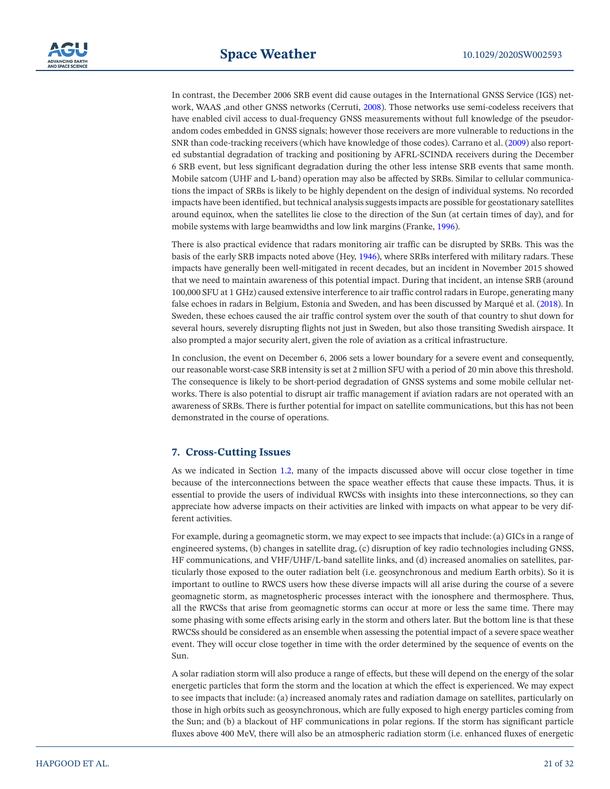In contrast, the December 2006 SRB event did cause outages in the International GNSS Service (IGS) network, WAAS ,and other GNSS networks (Cerruti, [2008\)](#page-26-28). Those networks use semi-codeless receivers that have enabled civil access to dual-frequency GNSS measurements without full knowledge of the pseudorandom codes embedded in GNSS signals; however those receivers are more vulnerable to reductions in the SNR than code-tracking receivers (which have knowledge of those codes). Carrano et al. [\(2009](#page-26-29)) also reported substantial degradation of tracking and positioning by AFRL-SCINDA receivers during the December 6 SRB event, but less significant degradation during the other less intense SRB events that same month. Mobile satcom (UHF and L-band) operation may also be affected by SRBs. Similar to cellular communications the impact of SRBs is likely to be highly dependent on the design of individual systems. No recorded impacts have been identified, but technical analysis suggests impacts are possible for geostationary satellites around equinox, when the satellites lie close to the direction of the Sun (at certain times of day), and for mobile systems with large beamwidths and low link margins (Franke, [1996\)](#page-27-29).

There is also practical evidence that radars monitoring air traffic can be disrupted by SRBs. This was the basis of the early SRB impacts noted above (Hey, [1946](#page-28-31)), where SRBs interfered with military radars. These impacts have generally been well-mitigated in recent decades, but an incident in November 2015 showed that we need to maintain awareness of this potential impact. During that incident, an intense SRB (around 100,000 SFU at 1 GHz) caused extensive interference to air traffic control radars in Europe, generating many false echoes in radars in Belgium, Estonia and Sweden, and has been discussed by Marqué et al. [\(2018](#page-29-28)). In Sweden, these echoes caused the air traffic control system over the south of that country to shut down for several hours, severely disrupting flights not just in Sweden, but also those transiting Swedish airspace. It also prompted a major security alert, given the role of aviation as a critical infrastructure.

In conclusion, the event on December 6, 2006 sets a lower boundary for a severe event and consequently, our reasonable worst-case SRB intensity is set at 2 million SFU with a period of 20 min above this threshold. The consequence is likely to be short-period degradation of GNSS systems and some mobile cellular networks. There is also potential to disrupt air traffic management if aviation radars are not operated with an awareness of SRBs. There is further potential for impact on satellite communications, but this has not been demonstrated in the course of operations.

# <span id="page-20-0"></span>**7. Cross-Cutting Issues**

As we indicated in Section [1.2,](#page-2-1) many of the impacts discussed above will occur close together in time because of the interconnections between the space weather effects that cause these impacts. Thus, it is essential to provide the users of individual RWCSs with insights into these interconnections, so they can appreciate how adverse impacts on their activities are linked with impacts on what appear to be very different activities.

For example, during a geomagnetic storm, we may expect to see impacts that include: (a) GICs in a range of engineered systems, (b) changes in satellite drag, (c) disruption of key radio technologies including GNSS, HF communications, and VHF/UHF/L-band satellite links, and (d) increased anomalies on satellites, particularly those exposed to the outer radiation belt (i.e. geosynchronous and medium Earth orbits). So it is important to outline to RWCS users how these diverse impacts will all arise during the course of a severe geomagnetic storm, as magnetospheric processes interact with the ionosphere and thermosphere. Thus, all the RWCSs that arise from geomagnetic storms can occur at more or less the same time. There may some phasing with some effects arising early in the storm and others later. But the bottom line is that these RWCSs should be considered as an ensemble when assessing the potential impact of a severe space weather event. They will occur close together in time with the order determined by the sequence of events on the Sun.

A solar radiation storm will also produce a range of effects, but these will depend on the energy of the solar energetic particles that form the storm and the location at which the effect is experienced. We may expect to see impacts that include: (a) increased anomaly rates and radiation damage on satellites, particularly on those in high orbits such as geosynchronous, which are fully exposed to high energy particles coming from the Sun; and (b) a blackout of HF communications in polar regions. If the storm has significant particle fluxes above 400 MeV, there will also be an atmospheric radiation storm (i.e. enhanced fluxes of energetic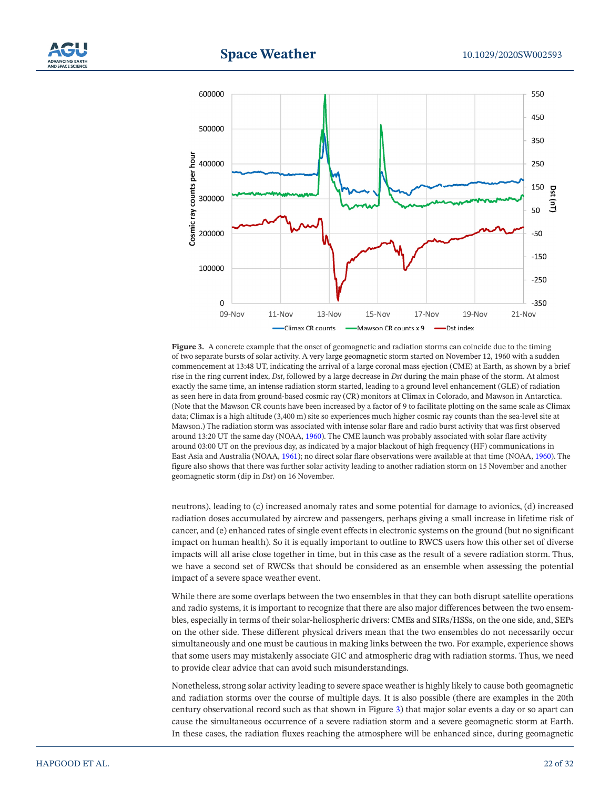



<span id="page-21-0"></span>Figure 3. A concrete example that the onset of geomagnetic and radiation storms can coincide due to the timing of two separate bursts of solar activity. A very large geomagnetic storm started on November 12, 1960 with a sudden commencement at 13:48 UT, indicating the arrival of a large coronal mass ejection (CME) at Earth, as shown by a brief rise in the ring current index, *Dst*, followed by a large decrease in *Dst* during the main phase of the storm. At almost exactly the same time, an intense radiation storm started, leading to a ground level enhancement (GLE) of radiation as seen here in data from ground-based cosmic ray (CR) monitors at Climax in Colorado, and Mawson in Antarctica. (Note that the Mawson CR counts have been increased by a factor of 9 to facilitate plotting on the same scale as Climax data; Climax is a high altitude (3,400 m) site so experiences much higher cosmic ray counts than the sea-level site at Mawson.) The radiation storm was associated with intense solar flare and radio burst activity that was first observed around 13:20 UT the same day (NOAA, [1960\)](#page-29-29). The CME launch was probably associated with solar flare activity around 03:00 UT on the previous day, as indicated by a major blackout of high frequency (HF) communications in East Asia and Australia (NOAA, [1961\)](#page-29-30); no direct solar flare observations were available at that time (NOAA, [1960](#page-29-29)). The figure also shows that there was further solar activity leading to another radiation storm on 15 November and another geomagnetic storm (dip in *Dst*) on 16 November.

neutrons), leading to (c) increased anomaly rates and some potential for damage to avionics, (d) increased radiation doses accumulated by aircrew and passengers, perhaps giving a small increase in lifetime risk of cancer, and (e) enhanced rates of single event effects in electronic systems on the ground (but no significant impact on human health). So it is equally important to outline to RWCS users how this other set of diverse impacts will all arise close together in time, but in this case as the result of a severe radiation storm. Thus, we have a second set of RWCSs that should be considered as an ensemble when assessing the potential impact of a severe space weather event.

While there are some overlaps between the two ensembles in that they can both disrupt satellite operations and radio systems, it is important to recognize that there are also major differences between the two ensembles, especially in terms of their solar-heliospheric drivers: CMEs and SIRs/HSSs, on the one side, and, SEPs on the other side. These different physical drivers mean that the two ensembles do not necessarily occur simultaneously and one must be cautious in making links between the two. For example, experience shows that some users may mistakenly associate GIC and atmospheric drag with radiation storms. Thus, we need to provide clear advice that can avoid such misunderstandings.

Nonetheless, strong solar activity leading to severe space weather is highly likely to cause both geomagnetic and radiation storms over the course of multiple days. It is also possible (there are examples in the 20th century observational record such as that shown in Figure [3\)](#page-21-0) that major solar events a day or so apart can cause the simultaneous occurrence of a severe radiation storm and a severe geomagnetic storm at Earth. In these cases, the radiation fluxes reaching the atmosphere will be enhanced since, during geomagnetic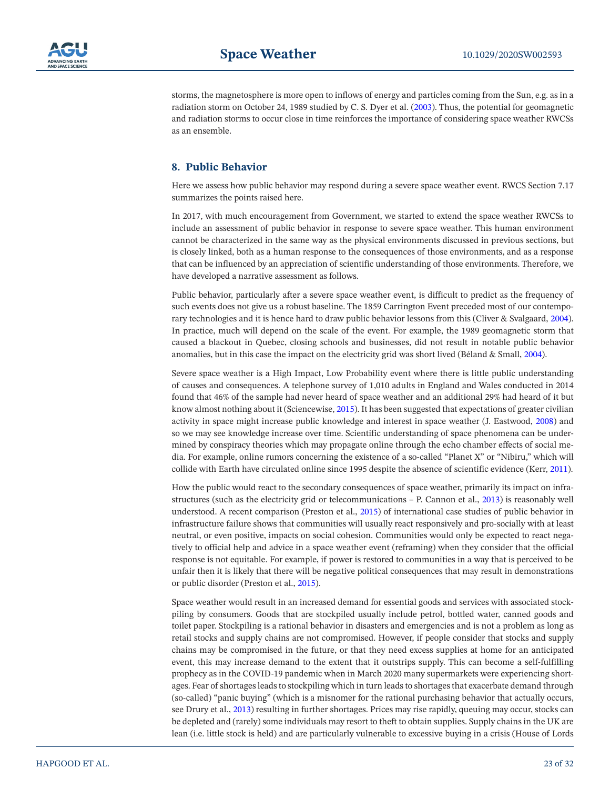

storms, the magnetosphere is more open to inflows of energy and particles coming from the Sun, e.g. as in a radiation storm on October 24, 1989 studied by C. S. Dyer et al. ([2003\)](#page-27-23). Thus, the potential for geomagnetic and radiation storms to occur close in time reinforces the importance of considering space weather RWCSs as an ensemble.

# **8. Public Behavior**

Here we assess how public behavior may respond during a severe space weather event. RWCS Section 7.17 summarizes the points raised here.

In 2017, with much encouragement from Government, we started to extend the space weather RWCSs to include an assessment of public behavior in response to severe space weather. This human environment cannot be characterized in the same way as the physical environments discussed in previous sections, but is closely linked, both as a human response to the consequences of those environments, and as a response that can be influenced by an appreciation of scientific understanding of those environments. Therefore, we have developed a narrative assessment as follows.

Public behavior, particularly after a severe space weather event, is difficult to predict as the frequency of such events does not give us a robust baseline. The 1859 Carrington Event preceded most of our contemporary technologies and it is hence hard to draw public behavior lessons from this (Cliver & Svalgaard, [2004\)](#page-26-30). In practice, much will depend on the scale of the event. For example, the 1989 geomagnetic storm that caused a blackout in Quebec, closing schools and businesses, did not result in notable public behavior anomalies, but in this case the impact on the electricity grid was short lived (Béland & Small, [2004](#page-26-31)).

Severe space weather is a High Impact, Low Probability event where there is little public understanding of causes and consequences. A telephone survey of 1,010 adults in England and Wales conducted in 2014 found that 46% of the sample had never heard of space weather and an additional 29% had heard of it but know almost nothing about it (Sciencewise, [2015\)](#page-30-1). It has been suggested that expectations of greater civilian activity in space might increase public knowledge and interest in space weather (J. Eastwood, [2008\)](#page-27-30) and so we may see knowledge increase over time. Scientific understanding of space phenomena can be undermined by conspiracy theories which may propagate online through the echo chamber effects of social media. For example, online rumors concerning the existence of a so-called "Planet X" or "Nibiru," which will collide with Earth have circulated online since 1995 despite the absence of scientific evidence (Kerr, [2011](#page-28-32)).

How the public would react to the secondary consequences of space weather, primarily its impact on infrastructures (such as the electricity grid or telecommunications – P. Cannon et al., [2013\)](#page-26-2) is reasonably well understood. A recent comparison (Preston et al., [2015](#page-30-33)) of international case studies of public behavior in infrastructure failure shows that communities will usually react responsively and pro-socially with at least neutral, or even positive, impacts on social cohesion. Communities would only be expected to react negatively to official help and advice in a space weather event (reframing) when they consider that the official response is not equitable. For example, if power is restored to communities in a way that is perceived to be unfair then it is likely that there will be negative political consequences that may result in demonstrations or public disorder (Preston et al., [2015\)](#page-30-33).

Space weather would result in an increased demand for essential goods and services with associated stockpiling by consumers. Goods that are stockpiled usually include petrol, bottled water, canned goods and toilet paper. Stockpiling is a rational behavior in disasters and emergencies and is not a problem as long as retail stocks and supply chains are not compromised. However, if people consider that stocks and supply chains may be compromised in the future, or that they need excess supplies at home for an anticipated event, this may increase demand to the extent that it outstrips supply. This can become a self-fulfilling prophecy as in the COVID-19 pandemic when in March 2020 many supermarkets were experiencing shortages. Fear of shortages leads to stockpiling which in turn leads to shortages that exacerbate demand through (so-called) "panic buying" (which is a misnomer for the rational purchasing behavior that actually occurs, see Drury et al., [2013\)](#page-26-32) resulting in further shortages. Prices may rise rapidly, queuing may occur, stocks can be depleted and (rarely) some individuals may resort to theft to obtain supplies. Supply chains in the UK are lean (i.e. little stock is held) and are particularly vulnerable to excessive buying in a crisis (House of Lords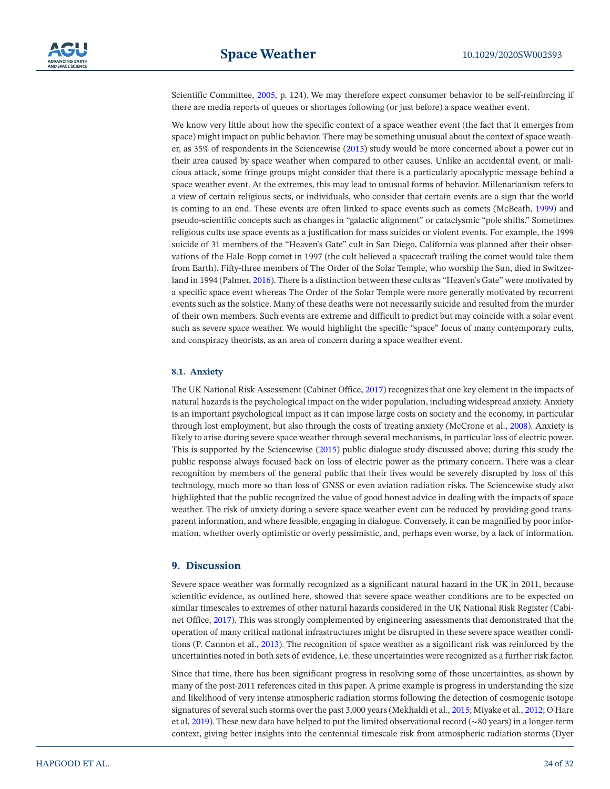Scientific Committee, [2005](#page-28-33), p. 124). We may therefore expect consumer behavior to be self-reinforcing if there are media reports of queues or shortages following (or just before) a space weather event.

We know very little about how the specific context of a space weather event (the fact that it emerges from space) might impact on public behavior. There may be something unusual about the context of space weather, as 35% of respondents in the Sciencewise ([2015\)](#page-30-1) study would be more concerned about a power cut in their area caused by space weather when compared to other causes. Unlike an accidental event, or malicious attack, some fringe groups might consider that there is a particularly apocalyptic message behind a space weather event. At the extremes, this may lead to unusual forms of behavior. Millenarianism refers to a view of certain religious sects, or individuals, who consider that certain events are a sign that the world is coming to an end. These events are often linked to space events such as comets (McBeath, [1999\)](#page-29-31) and pseudo-scientific concepts such as changes in "galactic alignment" or cataclysmic "pole shifts." Sometimes religious cults use space events as a justification for mass suicides or violent events. For example, the 1999 suicide of 31 members of the "Heaven's Gate" cult in San Diego, California was planned after their observations of the Hale-Bopp comet in 1997 (the cult believed a spacecraft trailing the comet would take them from Earth). Fifty-three members of The Order of the Solar Temple, who worship the Sun, died in Switzerland in 1994 (Palmer, [2016\)](#page-30-34). There is a distinction between these cults as "Heaven's Gate" were motivated by a specific space event whereas The Order of the Solar Temple were more generally motivated by recurrent events such as the solstice. Many of these deaths were not necessarily suicide and resulted from the murder of their own members. Such events are extreme and difficult to predict but may coincide with a solar event such as severe space weather. We would highlight the specific "space" focus of many contemporary cults, and conspiracy theorists, as an area of concern during a space weather event.

#### **8.1. Anxiety**

The UK National Risk Assessment (Cabinet Office, [2017\)](#page-26-33) recognizes that one key element in the impacts of natural hazards is the psychological impact on the wider population, including widespread anxiety. Anxiety is an important psychological impact as it can impose large costs on society and the economy, in particular through lost employment, but also through the costs of treating anxiety (McCrone et al., [2008\)](#page-29-32). Anxiety is likely to arise during severe space weather through several mechanisms, in particular loss of electric power. This is supported by the Sciencewise [\(2015](#page-30-1)) public dialogue study discussed above; during this study the public response always focused back on loss of electric power as the primary concern. There was a clear recognition by members of the general public that their lives would be severely disrupted by loss of this technology, much more so than loss of GNSS or even aviation radiation risks. The Sciencewise study also highlighted that the public recognized the value of good honest advice in dealing with the impacts of space weather. The risk of anxiety during a severe space weather event can be reduced by providing good transparent information, and where feasible, engaging in dialogue. Conversely, it can be magnified by poor information, whether overly optimistic or overly pessimistic, and, perhaps even worse, by a lack of information.

#### **9. Discussion**

Severe space weather was formally recognized as a significant natural hazard in the UK in 2011, because scientific evidence, as outlined here, showed that severe space weather conditions are to be expected on similar timescales to extremes of other natural hazards considered in the UK National Risk Register (Cabinet Office, [2017](#page-26-33)). This was strongly complemented by engineering assessments that demonstrated that the operation of many critical national infrastructures might be disrupted in these severe space weather conditions (P. Cannon et al., [2013](#page-26-2)). The recognition of space weather as a significant risk was reinforced by the uncertainties noted in both sets of evidence, i.e. these uncertainties were recognized as a further risk factor.

Since that time, there has been significant progress in resolving some of those uncertainties, as shown by many of the post-2011 references cited in this paper. A prime example is progress in understanding the size and likelihood of very intense atmospheric radiation storms following the detection of cosmogenic isotope signatures of several such storms over the past 3,000 years (Mekhaldi et al., [2015;](#page-29-1) Miyake et al., [2012;](#page-29-0) O'Hare et al, [2019](#page-29-2)). These new data have helped to put the limited observational record (∼80 years) in a longer-term context, giving better insights into the centennial timescale risk from atmospheric radiation storms (Dyer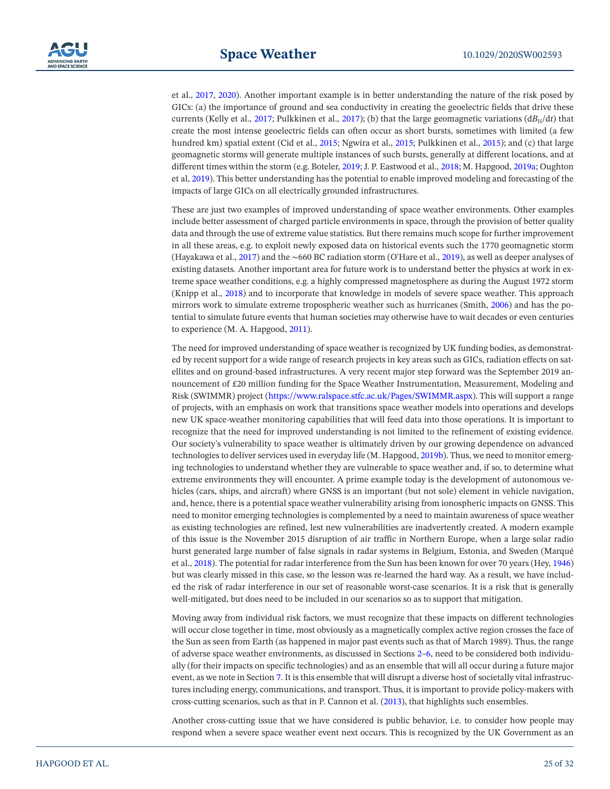et al., [2017](#page-27-3), [2020](#page-27-28)). Another important example is in better understanding the nature of the risk posed by GICs: (a) the importance of ground and sea conductivity in creating the geoelectric fields that drive these currents (Kelly et al., [2017](#page-30-9); Pulkkinen et al., 2017); (b) that the large geomagnetic variations (dB<sub>H</sub>/dt) that create the most intense geoelectric fields can often occur as short bursts, sometimes with limited (a few hundred km) spatial extent (Cid et al., [2015;](#page-26-6) Ngwira et al., [2015;](#page-29-5) Pulkkinen et al., [2015\)](#page-30-5); and (c) that large geomagnetic storms will generate multiple instances of such bursts, generally at different locations, and at different times within the storm (e.g. Boteler, [2019](#page-26-7); J. P. Eastwood et al., [2018;](#page-27-31) M. Hapgood, [2019a;](#page-27-5) Oughton et al, [2019](#page-30-6)). This better understanding has the potential to enable improved modeling and forecasting of the impacts of large GICs on all electrically grounded infrastructures.

These are just two examples of improved understanding of space weather environments. Other examples include better assessment of charged particle environments in space, through the provision of better quality data and through the use of extreme value statistics. But there remains much scope for further improvement in all these areas, e.g. to exploit newly exposed data on historical events such the 1770 geomagnetic storm (Hayakawa et al., [2017\)](#page-28-5) and the ∼660 BC radiation storm (O'Hare et al., [2019\)](#page-29-2), as well as deeper analyses of existing datasets. Another important area for future work is to understand better the physics at work in extreme space weather conditions, e.g. a highly compressed magnetosphere as during the August 1972 storm (Knipp et al., [2018\)](#page-28-34) and to incorporate that knowledge in models of severe space weather. This approach mirrors work to simulate extreme tropospheric weather such as hurricanes (Smith, [2006\)](#page-30-35) and has the potential to simulate future events that human societies may otherwise have to wait decades or even centuries to experience (M. A. Hapgood, [2011](#page-28-35)).

The need for improved understanding of space weather is recognized by UK funding bodies, as demonstrated by recent support for a wide range of research projects in key areas such as GICs, radiation effects on satellites and on ground-based infrastructures. A very recent major step forward was the September 2019 announcement of £20 million funding for the Space Weather Instrumentation, Measurement, Modeling and Risk (SWIMMR) project [\(https://www.ralspace.stfc.ac.uk/Pages/SWIMMR.aspx](https://www.ralspace.stfc.ac.uk/Pages/SWIMMR.aspx)). This will support a range of projects, with an emphasis on work that transitions space weather models into operations and develops new UK space-weather monitoring capabilities that will feed data into those operations. It is important to recognize that the need for improved understanding is not limited to the refinement of existing evidence. Our society's vulnerability to space weather is ultimately driven by our growing dependence on advanced technologies to deliver services used in everyday life (M. Hapgood, [2019b\)](#page-27-32). Thus, we need to monitor emerging technologies to understand whether they are vulnerable to space weather and, if so, to determine what extreme environments they will encounter. A prime example today is the development of autonomous vehicles (cars, ships, and aircraft) where GNSS is an important (but not sole) element in vehicle navigation, and, hence, there is a potential space weather vulnerability arising from ionospheric impacts on GNSS. This need to monitor emerging technologies is complemented by a need to maintain awareness of space weather as existing technologies are refined, lest new vulnerabilities are inadvertently created. A modern example of this issue is the November 2015 disruption of air traffic in Northern Europe, when a large solar radio burst generated large number of false signals in radar systems in Belgium, Estonia, and Sweden (Marqué et al., [2018\)](#page-29-28). The potential for radar interference from the Sun has been known for over 70 years (Hey, [1946\)](#page-28-31) but was clearly missed in this case, so the lesson was re-learned the hard way. As a result, we have included the risk of radar interference in our set of reasonable worst-case scenarios. It is a risk that is generally well-mitigated, but does need to be included in our scenarios so as to support that mitigation.

Moving away from individual risk factors, we must recognize that these impacts on different technologies will occur close together in time, most obviously as a magnetically complex active region crosses the face of the Sun as seen from Earth (as happened in major past events such as that of March 1989). Thus, the range of adverse space weather environments, as discussed in Sections [2](#page-4-0)–[6](#page-16-0), need to be considered both individually (for their impacts on specific technologies) and as an ensemble that will all occur during a future major event, as we note in Section [7.](#page-19-0) It is this ensemble that will disrupt a diverse host of societally vital infrastructures including energy, communications, and transport. Thus, it is important to provide policy-makers with cross-cutting scenarios, such as that in P. Cannon et al. [\(2013](#page-26-2)), that highlights such ensembles.

Another cross-cutting issue that we have considered is public behavior, i.e. to consider how people may respond when a severe space weather event next occurs. This is recognized by the UK Government as an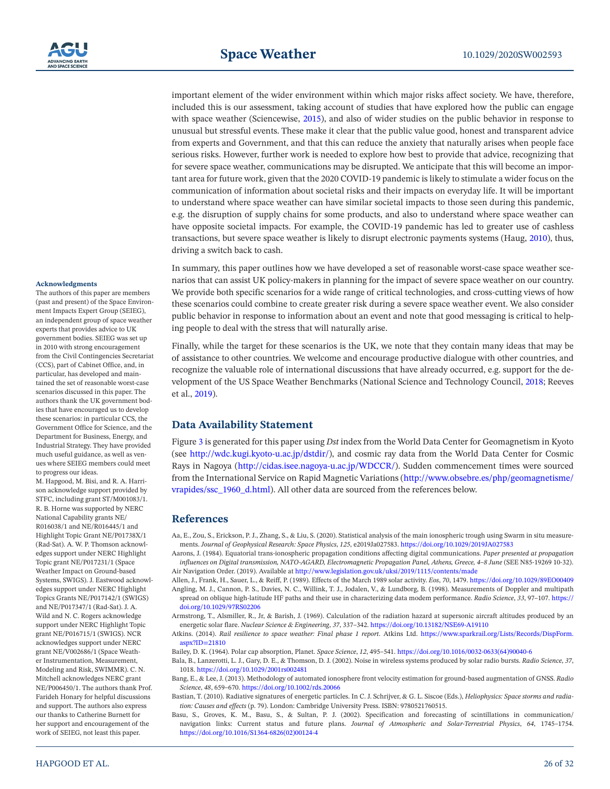important element of the wider environment within which major risks affect society. We have, therefore, included this is our assessment, taking account of studies that have explored how the public can engage with space weather (Sciencewise, [2015](#page-30-1)), and also of wider studies on the public behavior in response to unusual but stressful events. These make it clear that the public value good, honest and transparent advice from experts and Government, and that this can reduce the anxiety that naturally arises when people face serious risks. However, further work is needed to explore how best to provide that advice, recognizing that for severe space weather, communications may be disrupted. We anticipate that this will become an important area for future work, given that the 2020 COVID-19 pandemic is likely to stimulate a wider focus on the communication of information about societal risks and their impacts on everyday life. It will be important to understand where space weather can have similar societal impacts to those seen during this pandemic, e.g. the disruption of supply chains for some products, and also to understand where space weather can have opposite societal impacts. For example, the COVID-19 pandemic has led to greater use of cashless transactions, but severe space weather is likely to disrupt electronic payments systems (Haug, [2010](#page-28-36)), thus, driving a switch back to cash.

In summary, this paper outlines how we have developed a set of reasonable worst-case space weather scenarios that can assist UK policy-makers in planning for the impact of severe space weather on our country. We provide both specific scenarios for a wide range of critical technologies, and cross-cutting views of how these scenarios could combine to create greater risk during a severe space weather event. We also consider public behavior in response to information about an event and note that good messaging is critical to helping people to deal with the stress that will naturally arise.

Finally, while the target for these scenarios is the UK, we note that they contain many ideas that may be of assistance to other countries. We welcome and encourage productive dialogue with other countries, and recognize the valuable role of international discussions that have already occurred, e.g. support for the development of the US Space Weather Benchmarks (National Science and Technology Council, [2018](#page-29-22); Reeves et al., [2019](#page-30-26)).

# **Data Availability Statement**

Figure [3](#page-21-0) is generated for this paper using *Dst* index from the World Data Center for Geomagnetism in Kyoto (see <http://wdc.kugi.kyoto-u.ac.jp/dstdir/>), and cosmic ray data from the World Data Center for Cosmic Rays in Nagoya ([http://cidas.isee.nagoya-u.ac.jp/WDCCR/\)](http://cidas.isee.nagoya-u.ac.jp/WDCCR/). Sudden commencement times were sourced from the International Service on Rapid Magnetic Variations [\(http://www.obsebre.es/php/geomagnetisme/](http://www.obsebre.es/php/geomagnetisme/vrapides/ssc_1960_d.html) [vrapides/ssc\\_1960\\_d.html](http://www.obsebre.es/php/geomagnetisme/vrapides/ssc_1960_d.html)). All other data are sourced from the references below.

# **References**

<span id="page-25-2"></span>Aa, E., Zou, S., Erickson, P. J., Zhang, S., & Liu, S. (2020). Statistical analysis of the main ionospheric trough using Swarm in situ measurements. *Journal of Geophysical Research: Space Physics*, *125*, e2019Ja027583.<https://doi.org/10.1029/2019JA027583>

<span id="page-25-3"></span>Aarons, J. (1984). Equatorial trans-ionospheric propagation conditions affecting digital communications. *Paper presented at propagation influences on Digital transmission, NATO-AGARD, Electromagnetic Propagation Panel, Athens, Greece, 4–8 June* (SEE N85-19269 10-32). Air Navigation Order. (2019). Available at<http://www.legislation.gov.uk/uksi/2019/1115/contents/made>

<span id="page-25-9"></span><span id="page-25-7"></span><span id="page-25-6"></span>Allen, J., Frank, H., Sauer, L., & Reiff, P. (1989). Effects of the March 1989 solar activity. *Eos*, *70*, 1479. <https://doi.org/10.1029/89EO00409> Angling, M. J., Cannon, P. S., Davies, N. C., Willink, T. J., Jodalen, V., & Lundborg, B. (1998). Measurements of Doppler and multipath

spread on oblique high-latitude HF paths and their use in characterizing data modem performance. *Radio Science*, *33*, 97–107. [https://](https://doi.org/10.1029/97RS02206) [doi.org/10.1029/97RS02206](https://doi.org/10.1029/97RS02206)

<span id="page-25-8"></span>Armstrong, T., Alsmiller, R., Jr, & Barish, J. (1969). Calculation of the radiation hazard at supersonic aircraft altitudes produced by an energetic solar flare. *Nuclear Science & Engineering*, *37*, 337–342. <https://doi.org/10.13182/NSE69-A19110>

<span id="page-25-0"></span>Atkins. (2014). *Rail resilience to space weather: Final phase 1 report*. Atkins Ltd. [https://www.sparkrail.org/Lists/Records/DispForm.](https://www.sparkrail.org/Lists/Records/DispForm.aspx?ID=21810) [aspx?ID=21810](https://www.sparkrail.org/Lists/Records/DispForm.aspx?ID=21810)

<span id="page-25-5"></span>Bailey, D. K. (1964). Polar cap absorption, Planet. *Space Science*, *12*, 495–541. [https://doi.org/10.1016/0032-0633\(64\)90040-6](https://doi.org/10.1016/0032-0633(64)90040-6)

<span id="page-25-11"></span>Bala, B., Lanzerotti, L. J., Gary, D. E., & Thomson, D. J. (2002). Noise in wireless systems produced by solar radio bursts. *Radio Science*, *37*, 1018. <https://doi.org/10.1029/2001rs002481>

<span id="page-25-4"></span>Bang, E., & Lee, J. (2013). Methodology of automated ionosphere front velocity estimation for ground-based augmentation of GNSS. *Radio Science*, *48*, 659–670. <https://doi.org/10.1002/rds.20066>

<span id="page-25-10"></span>Bastian, T. (2010). Radiative signatures of energetic particles. In C. J. Schrijver, & G. L. Siscoe (Eds.), *Heliophysics: Space storms and radiation: Causes and effects* (p. 79). London: Cambridge University Press. ISBN: 9780521760515.

<span id="page-25-1"></span>Basu, S., Groves, K. M., Basu, S., & Sultan, P. J. (2002). Specification and forecasting of scintillations in communication/ navigation links: Current status and future plans. *Journal of Atmospheric and Solar-Terrestrial Physics*, *64*, 1745–1754. [https://doi.org/10.1016/S1364-6826\(02\)00124-4](https://doi.org/10.1016/S1364-6826(02)00124-4)

#### **Acknowledgments**

The authors of this paper are members (past and present) of the Space Environment Impacts Expert Group (SEIEG), an independent group of space weather experts that provides advice to UK government bodies. SEIEG was set up in 2010 with strong encouragement from the Civil Contingencies Secretariat (CCS), part of Cabinet Office, and, in particular, has developed and maintained the set of reasonable worst-case scenarios discussed in this paper. The authors thank the UK government bodies that have encouraged us to develop these scenarios: in particular CCS, the Government Office for Science, and the Department for Business, Energy, and Industrial Strategy. They have provided much useful guidance, as well as venues where SEIEG members could meet to progress our ideas.

M. Hapgood, M. Bisi, and R. A. Harrison acknowledge support provided by STFC, including grant ST/M001083/1. R. B. Horne was supported by NERC National Capability grants NE/ R016038/1 and NE/R016445/1 and Highlight Topic Grant NE/P01738X/1 (Rad-Sat). A. W. P. Thomson acknowledges support under NERC Highlight Topic grant NE/P017231/1 (Space Weather Impact on Ground-based Systems, SWIGS). J. Eastwood acknowledges support under NERC Highlight Topics Grants NE/P017142/1 (SWIGS) and NE/P017347/1 (Rad-Sat). J. A. Wild and N. C. Rogers acknowledge support under NERC Highlight Topic grant NE/P016715/1 (SWIGS). NCR acknowledges support under NERC grant NE/V002686/1 (Space Weather Instrumentation, Measurement, Modeling and Risk, SWIMMR). C. N. Mitchell acknowledges NERC grant NE/P006450/1. The authors thank Prof. Farideh Honary for helpful discussions and support. The authors also express our thanks to Catherine Burnett for her support and encouragement of the work of SEIEG, not least this paper.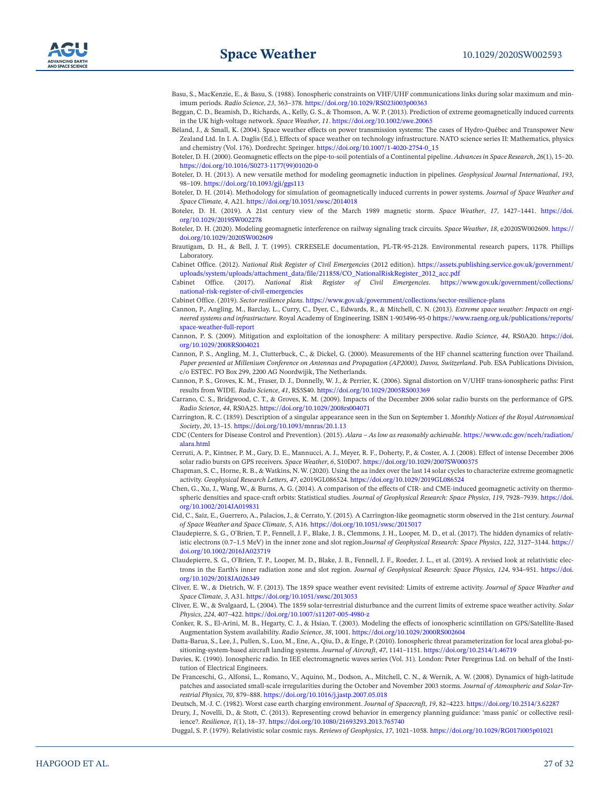- <span id="page-26-14"></span>Basu, S., MacKenzie, E., & Basu, S. (1988). Ionospheric constraints on VHF/UHF communications links during solar maximum and minimum periods. *Radio Science*, *23*, 363–378.<https://doi.org/10.1029/RS023i003p00363>
- <span id="page-26-5"></span>Beggan, C. D., Beamish, D., Richards, A., Kelly, G. S., & Thomson, A. W. P. (2013). Prediction of extreme geomagnetically induced currents in the UK high-voltage network. *Space Weather*, *11*. <https://doi.org/10.1002/swe.20065>
- <span id="page-26-31"></span>Béland, J., & Small, K. (2004). Space weather effects on power transmission systems: The cases of Hydro-Québec and Transpower New Zealand Ltd. In I. A. Daglis (Ed.), Effects of space weather on technology infrastructure. NATO science series II: Mathematics, physics and chemistry (Vol. 176). Dordrecht: Springer. [https://doi.org/10.1007/1-4020-2754-0\\_15](https://doi.org/10.1007/1-4020-2754-0_15)
- <span id="page-26-10"></span>Boteler, D. H. (2000). Geomagnetic effects on the pipe-to-soil potentials of a Continental pipeline. *Advances in Space Research*, *26*(1), 15–20. [https://doi.org/10.1016/S0273-1177\(99\)01020-0](https://doi.org/10.1016/S0273-1177(99)01020-0)
- <span id="page-26-11"></span>Boteler, D. H. (2013). A new versatile method for modeling geomagnetic induction in pipelines. *Geophysical Journal International*, *193*, 98–109. <https://doi.org/10.1093/gji/ggs113>
- <span id="page-26-4"></span>Boteler, D. H. (2014). Methodology for simulation of geomagnetically induced currents in power systems. *Journal of Space Weather and Space Climate*, *4*, A21.<https://doi.org/10.1051/swsc/2014018>
- <span id="page-26-7"></span>Boteler, D. H. (2019). A 21st century view of the March 1989 magnetic storm. *Space Weather*, *17*, 1427–1441. [https://doi.](https://doi.org/10.1029/2019SW002278) [org/10.1029/2019SW002278](https://doi.org/10.1029/2019SW002278)
- <span id="page-26-12"></span>Boteler, D. H. (2020). Modeling geomagnetic interference on railway signaling track circuits. *Space Weather*, *18*, e2020SW002609. [https://](https://doi.org/10.1029/2020SW002609) [doi.org/10.1029/2020SW002609](https://doi.org/10.1029/2020SW002609)
- <span id="page-26-24"></span>Brautigam, D. H., & Bell, J. T. (1995). CRRESELE documentation, PL-TR-95-2128. Environmental research papers, 1178. Phillips Laboratory.
- <span id="page-26-0"></span>Cabinet Office. (2012). *National Risk Register of Civil Emergencies* (2012 edition). [https://assets.publishing.service.gov.uk/government/](https://assets.publishing.service.gov.uk/government/uploads/system/uploads/attachment_data/file/211858/CO_NationalRiskRegister_2012_acc.pdf) [uploads/system/uploads/attachment\\_data/file/211858/CO\\_NationalRiskRegister\\_2012\\_acc.pdf](https://assets.publishing.service.gov.uk/government/uploads/system/uploads/attachment_data/file/211858/CO_NationalRiskRegister_2012_acc.pdf)
- <span id="page-26-33"></span>Cabinet Office. (2017). *National Risk Register of Civil Emergencies*. [https://www.gov.uk/government/collections/](https://www.gov.uk/government/collections/national-risk-register-of-civil-emergencies) [national-risk-register-of-civil-emergencies](https://www.gov.uk/government/collections/national-risk-register-of-civil-emergencies)
- <span id="page-26-1"></span>Cabinet Office. (2019). *Sector resilience plans*.<https://www.gov.uk/government/collections/sector-resilience-plans>
- <span id="page-26-2"></span>Cannon, P., Angling, M., Barclay, L., Curry, C., Dyer, C., Edwards, R., & Mitchell, C. N. (2013). *Extreme space weather: Impacts on engineered systems and infrastructure*. Royal Academy of Engineering. ISBN 1-903496-95-0 [https://www.raeng.org.uk/publications/reports/](https://www.raeng.org.uk/publications/reports/space-weather-full-report) [space-weather-full-report](https://www.raeng.org.uk/publications/reports/space-weather-full-report)
- <span id="page-26-13"></span>Cannon, P. S. (2009). Mitigation and exploitation of the ionosphere: A military perspective. *Radio Science*, *44*, RS0A20. [https://doi.](https://doi.org/10.1029/2008RS004021) [org/10.1029/2008RS004021](https://doi.org/10.1029/2008RS004021)
- <span id="page-26-20"></span>Cannon, P. S., Angling, M. J., Clutterbuck, C., & Dickel, G. (2000). Measurements of the HF channel scattering function over Thailand. *Paper presented at Millenium Conference on Antennas and Propagation (AP2000), Davos, Switzerland*. Pub. ESA Publications Division, c/o ESTEC. PO Box 299, 2200 AG Noordwijik, The Netherlands.
- <span id="page-26-15"></span>Cannon, P. S., Groves, K. M., Fraser, D. J., Donnelly, W. J., & Perrier, K. (2006). Signal distortion on V/UHF trans-ionospheric paths: First results from WIDE. *Radio Science*, *41*, RS5S40.<https://doi.org/10.1029/2005RS003369>
- <span id="page-26-29"></span>Carrano, C. S., Bridgwood, C. T., & Groves, K. M. (2009). Impacts of the December 2006 solar radio bursts on the performance of GPS. *Radio Science*, *44*, RS0A25. <https://doi.org/10.1029/2008rs004071>
- <span id="page-26-3"></span>Carrington, R. C. (1859). Description of a singular appearance seen in the Sun on September 1. *Monthly Notices of the Royal Astronomical Society*, *20*, 13–15. <https://doi.org/10.1093/mnras/20.1.13>
- <span id="page-26-27"></span>CDC (Centers for Disease Control and Prevention). (2015). *Alara – As low as reasonably achievable*. [https://www.cdc.gov/nceh/radiation/](https://www.cdc.gov/nceh/radiation/alara.html) [alara.html](https://www.cdc.gov/nceh/radiation/alara.html)
- <span id="page-26-28"></span>Cerruti, A. P., Kintner, P. M., Gary, D. E., Mannucci, A. J., Meyer, R. F., Doherty, P., & Coster, A. J. (2008). Effect of intense December 2006 solar radio bursts on GPS receivers. *Space Weather*, *6*, S10D07. <https://doi.org/10.1029/2007SW000375>
- <span id="page-26-9"></span>Chapman, S. C., Horne, R. B., & Watkins, N. W. (2020). Using the aa index over the last 14 solar cycles to characterize extreme geomagnetic activity. *Geophysical Research Letters*, *47*, e2019GL086524. <https://doi.org/10.1029/2019GL086524>
- <span id="page-26-25"></span>Chen, G., Xu, J., Wang, W., & Burns, A. G. (2014). A comparison of the effects of CIR- and CME-induced geomagnetic activity on thermospheric densities and space-craft orbits: Statistical studies. *Journal of Geophysical Research: Space Physics*, *119*, 7928–7939. [https://doi.](https://doi.org/10.1002/2014JA019831) [org/10.1002/2014JA019831](https://doi.org/10.1002/2014JA019831)
- <span id="page-26-6"></span>Cid, C., Saiz, E., Guerrero, A., Palacios, J., & Cerrato, Y. (2015). A Carrington-like geomagnetic storm observed in the 21st century. *Journal of Space Weather and Space Climate*, *5*, A16. <https://doi.org/10.1051/swsc/2015017>
- <span id="page-26-22"></span>Claudepierre, S. G., O'Brien, T. P., Fennell, J. F., Blake, J. B., Clemmons, J. H., Looper, M. D., et al. (2017). The hidden dynamics of relativistic electrons (0.7–1.5 MeV) in the inner zone and slot region.*Journal of Geophysical Research: Space Physics*, *122*, 3127–3144. [https://](https://doi.org/10.1002/2016JA023719) [doi.org/10.1002/2016JA023719](https://doi.org/10.1002/2016JA023719)
- <span id="page-26-23"></span>Claudepierre, S. G., O'Brien, T. P., Looper, M. D., Blake, J. B., Fennell, J. F., Roeder, J. L., et al. (2019). A revised look at relativistic electrons in the Earth's inner radiation zone and slot region. *Journal of Geophysical Research: Space Physics*, *124*, 934–951. [https://doi.](https://doi.org/10.1029/2018JA026349) [org/10.1029/2018JA026349](https://doi.org/10.1029/2018JA026349)
- <span id="page-26-8"></span>Cliver, E. W., & Dietrich, W. F. (2013). The 1859 space weather event revisited: Limits of extreme activity. *Journal of Space Weather and Space Climate*, *3*, A31.<https://doi.org/10.1051/swsc/2013053>
- <span id="page-26-30"></span>Cliver, E. W., & Svalgaard, L. (2004). The 1859 solar-terrestrial disturbance and the current limits of extreme space weather activity. *Solar Physics*, *224*, 407–422.<https://doi.org/10.1007/s11207-005-4980-z>
- <span id="page-26-18"></span>Conker, R. S., El-Arini, M. B., Hegarty, C. J., & Hsiao, T. (2003). Modeling the effects of ionospheric scintillation on GPS/Satellite-Based Augmentation System availability. *Radio Science*, *38*, 1001. <https://doi.org/10.1029/2000RS002604>
- <span id="page-26-16"></span>Datta-Barua, S., Lee, J., Pullen, S., Luo, M., Ene, A., Qiu, D., & Enge, P. (2010). Ionospheric threat parameterization for local area global-positioning-system-based aircraft landing systems. *Journal of Aircraft*, *47*, 1141–1151.<https://doi.org/10.2514/1.46719>
- <span id="page-26-19"></span>Davies, K. (1990). Ionospheric radio. In IEE electromagnetic waves series (Vol. 31). London: Peter Peregrinus Ltd. on behalf of the Institution of Electrical Engineers.
- <span id="page-26-17"></span>De Franceschi, G., Alfonsi, L., Romano, V., Aquino, M., Dodson, A., Mitchell, C. N., & Wernik, A. W. (2008). Dynamics of high-latitude patches and associated small-scale irregularities during the October and November 2003 storms. *Journal of Atmospheric and Solar-Terrestrial Physics*, *70*, 879–888. <https://doi.org/10.1016/j.jastp.2007.05.018>
- <span id="page-26-21"></span>Deutsch, M.-J. C. (1982). Worst case earth charging environment. *Journal of Spacecraft*, *19*, 82–4223.<https://doi.org/10.2514/3.62287>
- <span id="page-26-32"></span>Drury, J., Novelli, D., & Stott, C. (2013). Representing crowd behavior in emergency planning guidance: 'mass panic' or collective resilience?. *Resilience*, *1*(1), 18–37. <https://doi.org/10.1080/21693293.2013.765740>
- <span id="page-26-26"></span>Duggal, S. P. (1979). Relativistic solar cosmic rays. *Reviews of Geophysics*, *17*, 1021–1058. <https://doi.org/10.1029/RG017i005p01021>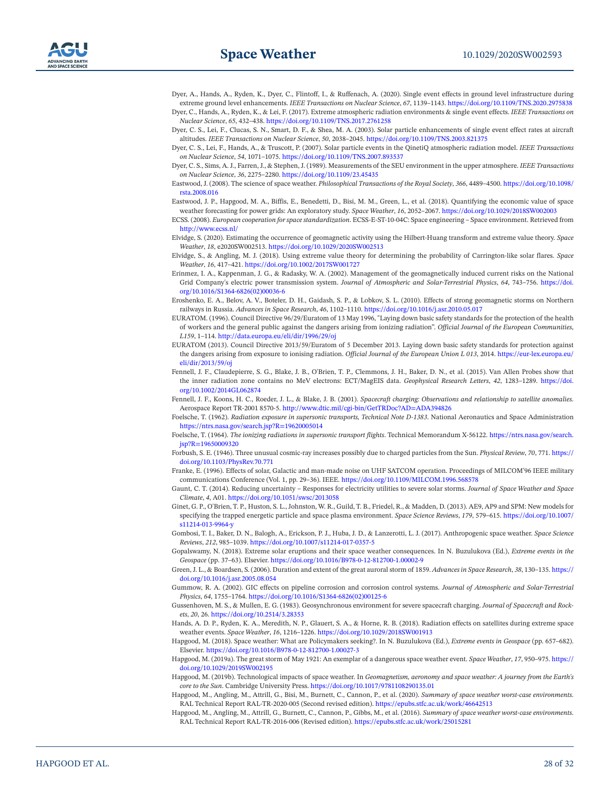- <span id="page-27-28"></span><span id="page-27-3"></span>Dyer, A., Hands, A., Ryden, K., Dyer, C., Flintoff, I., & Ruffenach, A. (2020). Single event effects in ground level infrastructure during extreme ground level enhancements. *IEEE Transactions on Nuclear Science*, *67*, 1139–1143. <https://doi.org/10.1109/TNS.2020.2975838> Dyer, C., Hands, A., Ryden, K., & Lei, F. (2017). Extreme atmospheric radiation environments & single event effects. *IEEE Transactions on Nuclear Science*, *65*, 432–438.<https://doi.org/10.1109/TNS.2017.2761258>
- <span id="page-27-23"></span>Dyer, C. S., Lei, F., Clucas, S. N., Smart, D. F., & Shea, M. A. (2003). Solar particle enhancements of single event effect rates at aircraft altitudes. *IEEE Transactions on Nuclear Science*, *50*, 2038–2045. <https://doi.org/10.1109/TNS.2003.821375>
- <span id="page-27-27"></span>Dyer, C. S., Lei, F., Hands, A., & Truscott, P. (2007). Solar particle events in the QinetiQ atmospheric radiation model. *IEEE Transactions on Nuclear Science*, *54*, 1071–1075.<https://doi.org/10.1109/TNS.2007.893537>
- <span id="page-27-22"></span>Dyer, C. S., Sims, A. J., Farren, J., & Stephen, J. (1989). Measurements of the SEU environment in the upper atmosphere. *IEEE Transactions on Nuclear Science*, *36*, 2275–2280.<https://doi.org/10.1109/23.45435>
- <span id="page-27-30"></span>Eastwood, J. (2008). The science of space weather. *Philosophical Transactions of the Royal Society*, *366*, 4489–4500. [https://doi.org/10.1098/](https://doi.org/10.1098/rsta.2008.016) [rsta.2008.016](https://doi.org/10.1098/rsta.2008.016)
- <span id="page-27-31"></span>Eastwood, J. P., Hapgood, M. A., Biffis, E., Benedetti, D., Bisi, M. M., Green, L., et al. (2018). Quantifying the economic value of space weather forecasting for power grids: An exploratory study. *Space Weather*, *16*, 2052–2067. <https://doi.org/10.1029/2018SW002003>
- <span id="page-27-13"></span>ECSS. (2008). *European cooperation for space standardization*. ECSS-E-ST-10-04C: Space engineering – Space environment. Retrieved from <http://www.ecss.nl/>
- <span id="page-27-6"></span>Elvidge, S. (2020). Estimating the occurrence of geomagnetic activity using the Hilbert-Huang transform and extreme value theory. *Space Weather*, *18*, e2020SW002513. <https://doi.org/10.1029/2020SW002513>
- <span id="page-27-12"></span>Elvidge, S., & Angling, M. J. (2018). Using extreme value theory for determining the probability of Carrington-like solar flares. *Space Weather*, *16*, 417–421. <https://doi.org/10.1002/2017SW001727>
- <span id="page-27-8"></span>Erinmez, I. A., Kappenman, J. G., & Radasky, W. A. (2002). Management of the geomagnetically induced current risks on the National Grid Company's electric power transmission system. *Journal of Atmospheric and Solar-Terrestrial Physics*, *64*, 743–756. [https://doi.](https://doi.org/10.1016/S1364-6826(02)00036-6) [org/10.1016/S1364-6826\(02\)00036-6](https://doi.org/10.1016/S1364-6826(02)00036-6)
- <span id="page-27-10"></span>Eroshenko, E. A., Belov, A. V., Boteler, D. H., Gaidash, S. P., & Lobkov, S. L. (2010). Effects of strong geomagnetic storms on Northern railways in Russia. *Advances in Space Research*, *46*, 1102–1110. <https://doi.org/10.1016/j.asr.2010.05.017>
- <span id="page-27-25"></span>EURATOM. (1996). Council Directive 96/29/Euratom of 13 May 1996, "Laying down basic safety standards for the protection of the health of workers and the general public against the dangers arising from ionizing radiation". *Official Journal of the European Communities*, *L159*, 1–114. <http://data.europa.eu/eli/dir/1996/29/oj>
- <span id="page-27-26"></span>EURATOM (2013). Council Directive 2013/59/Euratom of 5 December 2013. Laying down basic safety standards for protection against the dangers arising from exposure to ionising radiation. *Official Journal of the European Union L 013*, 2014. [https://eur-lex.europa.eu/](https://eur-lex.europa.eu/eli/dir/2013/59/oj) [eli/dir/2013/59/oj](https://eur-lex.europa.eu/eli/dir/2013/59/oj)
- <span id="page-27-17"></span>Fennell, J. F., Claudepierre, S. G., Blake, J. B., O'Brien, T. P., Clemmons, J. H., Baker, D. N., et al. (2015). Van Allen Probes show that the inner radiation zone contains no MeV electrons: ECT/MagEIS data. *Geophysical Research Letters*, *42*, 1283–1289. [https://doi.](https://doi.org/10.1002/2014GL062874) [org/10.1002/2014GL062874](https://doi.org/10.1002/2014GL062874)
- <span id="page-27-15"></span>Fennell, J. F., Koons, H. C., Roeder, J. L., & Blake, J. B. (2001). *Spacecraft charging: Observations and relationship to satellite anomalies*. Aerospace Report TR-2001 8570-5. <http://www.dtic.mil/cgi-bin/GetTRDoc?AD=ADA394826>
- <span id="page-27-20"></span>Foelsche, T. (1962). *Radiation exposure in supersonic transports, Technical Note D-1383*. National Aeronautics and Space Administration <https://ntrs.nasa.gov/search.jsp?R=19620005014>
- <span id="page-27-21"></span>Foelsche, T. (1964). *The ionizing radiations in supersonic transport flights*. Technical Memorandum X-56122. [https://ntrs.nasa.gov/search.](https://ntrs.nasa.gov/search.jsp?R=19650009320) [jsp?R=19650009320](https://ntrs.nasa.gov/search.jsp?R=19650009320)
- <span id="page-27-24"></span>Forbush, S. E. (1946). Three unusual cosmic-ray increases possibly due to charged particles from the Sun. *Physical Review*, *70*, 771. [https://](https://doi.org/10.1103/PhysRev.70.771) [doi.org/10.1103/PhysRev.70.771](https://doi.org/10.1103/PhysRev.70.771)
- <span id="page-27-29"></span>Franke, E. (1996). Effects of solar, Galactic and man-made noise on UHF SATCOM operation. Proceedings of MILCOM'96 IEEE military communications Conference (Vol. 1, pp. 29–36). IEEE. <https://doi.org/10.1109/MILCOM.1996.568578>
- <span id="page-27-7"></span>Gaunt, C. T. (2014). Reducing uncertainty – Responses for electricity utilities to severe solar storms. *Journal of Space Weather and Space Climate*, *4*, A01. <https://doi.org/10.1051/swsc/2013058>
- <span id="page-27-18"></span>Ginet, G. P., O'Brien, T. P., Huston, S. L., Johnston, W. R., Guild, T. B., Friedel, R., & Madden, D. (2013). AE9, AP9 and SPM: New models for specifying the trapped energetic particle and space plasma environment. *Space Science Reviews*, *179*, 579–615. [https://doi.org/10.1007/](https://doi.org/10.1007/s11214-013-9964-y) [s11214-013-9964-y](https://doi.org/10.1007/s11214-013-9964-y)
- <span id="page-27-4"></span>Gombosi, T. I., Baker, D. N., Balogh, A., Erickson, P. J., Huba, J. D., & Lanzerotti, L. J. (2017). Anthropogenic space weather. *Space Science Reviews*, *212*, 985–1039.<https://doi.org/10.1007/s11214-017-0357-5>
- <span id="page-27-14"></span>Gopalswamy, N. (2018). Extreme solar eruptions and their space weather consequences. In N. Buzulukova (Ed.), *Extreme events in the Geospace* (pp. 37–63). Elsevier. <https://doi.org/10.1016/B978-0-12-812700-1.00002-9>
- <span id="page-27-11"></span>Green, J. L., & Boardsen, S. (2006). Duration and extent of the great auroral storm of 1859. *Advances in Space Research*, *38*, 130–135. [https://](https://doi.org/10.1016/j.asr.2005.08.054) [doi.org/10.1016/j.asr.2005.08.054](https://doi.org/10.1016/j.asr.2005.08.054)
- <span id="page-27-9"></span>Gummow, R. A. (2002). GIC effects on pipeline corrosion and corrosion control systems. *Journal of Atmospheric and Solar-Terrestrial Physics*, *64*, 1755–1764. [https://doi.org/10.1016/S1364-6826\(02\)00125-6](https://doi.org/10.1016/S1364-6826(02)00125-6)
- <span id="page-27-16"></span>Gussenhoven, M. S., & Mullen, E. G. (1983). Geosynchronous environment for severe spacecraft charging. *Journal of Spacecraft and Rockets*, *20*, 26. <https://doi.org/10.2514/3.28353>
- <span id="page-27-19"></span>Hands, A. D. P., Ryden, K. A., Meredith, N. P., Glauert, S. A., & Horne, R. B. (2018). Radiation effects on satellites during extreme space weather events. *Space Weather*, *16*, 1216–1226. <https://doi.org/10.1029/2018SW001913>
- <span id="page-27-2"></span>Hapgood, M. (2018). Space weather: What are Policymakers seeking?. In N. Buzulukova (Ed.), *Extreme events in Geospace* (pp. 657–682). Elsevier.<https://doi.org/10.1016/B978-0-12-812700-1.00027-3>
- <span id="page-27-5"></span>Hapgood, M. (2019a). The great storm of May 1921: An exemplar of a dangerous space weather event. *Space Weather*, *17*, 950–975. [https://](https://doi.org/10.1029/2019SW002195) [doi.org/10.1029/2019SW002195](https://doi.org/10.1029/2019SW002195)
- <span id="page-27-32"></span>Hapgood, M. (2019b). Technological impacts of space weather. In *Geomagnetism, aeronomy and space weather: A journey from the Earth's core to the Sun*. Cambridge University Press. <https://doi.org/10.1017/9781108290135.01>
- <span id="page-27-1"></span>Hapgood, M., Angling, M., Attrill, G., Bisi, M., Burnett, C., Cannon, P., et al. (2020). *Summary of space weather worst-case environments*. RAL Technical Report RAL-TR-2020-005 (Second revised edition). <https://epubs.stfc.ac.uk/work/46642513>
- <span id="page-27-0"></span>Hapgood, M., Angling, M., Attrill, G., Burnett, C., Cannon, P., Gibbs, M., et al. (2016). *Summary of space weather worst-case environments*. RAL Technical Report RAL-TR-2016-006 (Revised edition). <https://epubs.stfc.ac.uk/work/25015281>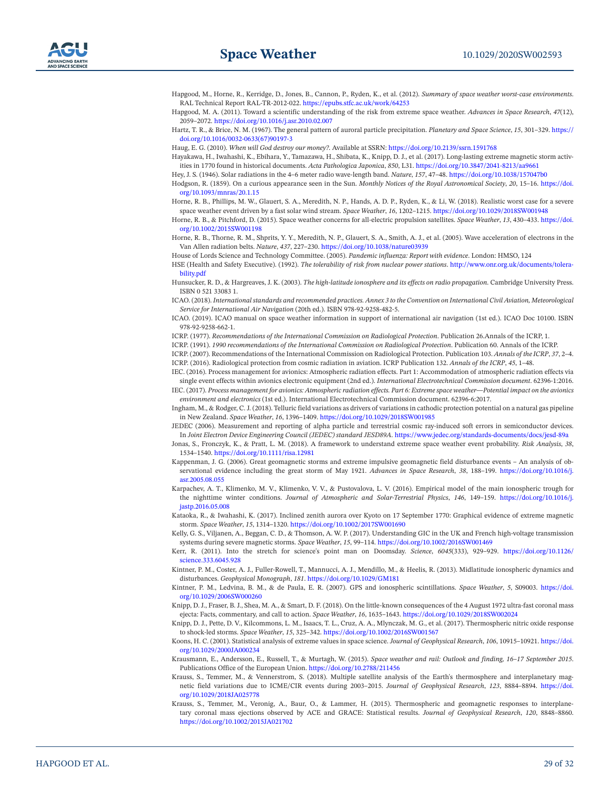<span id="page-28-0"></span>Hapgood, M., Horne, R., Kerridge, D., Jones, B., Cannon, P., Ryden, K., et al. (2012). *Summary of space weather worst-case environments*. RAL Technical Report RAL-TR-2012-022.<https://epubs.stfc.ac.uk/work/64253>

<span id="page-28-35"></span>Hapgood, M. A. (2011). Toward a scientific understanding of the risk from extreme space weather. *Advances in Space Research*, *47*(12), 2059–2072.<https://doi.org/10.1016/j.asr.2010.02.007>

<span id="page-28-13"></span>Hartz, T. R., & Brice, N. M. (1967). The general pattern of auroral particle precipitation. *Planetary and Space Science*, *15*, 301–329. [https://](https://doi.org/10.1016/0032-0633(67)90197-3) [doi.org/10.1016/0032-0633\(67\)90197-3](https://doi.org/10.1016/0032-0633(67)90197-3)

<span id="page-28-36"></span>Haug, E. G. (2010). *When will God destroy our money?*. Available at SSRN:<https://doi.org/10.2139/ssrn.1591768>

<span id="page-28-5"></span>Hayakawa, H., Iwahashi, K., Ebihara, Y., Tamazawa, H., Shibata, K., Knipp, D. J., et al. (2017). Long-lasting extreme magnetic storm activities in 1770 found in historical documents. *Acta Pathologica Japonica*, *850*, L31. <https://doi.org/10.3847/2041-8213/aa9661>

<span id="page-28-31"></span>Hey, J. S. (1946). Solar radiations in the 4–6 meter radio wave-length band. *Nature*, *157*, 47–48. <https://doi.org/10.1038/157047b0>

<span id="page-28-2"></span>Hodgson, R. (1859). On a curious appearance seen in the Sun. *Monthly Notices of the Royal Astronomical Society*, *20*, 15–16. [https://doi.](https://doi.org/10.1093/mnras/20.1.15) [org/10.1093/mnras/20.1.15](https://doi.org/10.1093/mnras/20.1.15)

<span id="page-28-17"></span>Horne, R. B., Phillips, M. W., Glauert, S. A., Meredith, N. P., Hands, A. D. P., Ryden, K., & Li, W. (2018). Realistic worst case for a severe space weather event driven by a fast solar wind stream. *Space Weather*, *16*, 1202–1215. <https://doi.org/10.1029/2018SW001948>

<span id="page-28-18"></span>Horne, R. B., & Pitchford, D. (2015). Space weather concerns for all-electric propulsion satellites. *Space Weather*, *13*, 430–433. [https://doi.](https://doi.org/10.1002/2015SW001198) [org/10.1002/2015SW001198](https://doi.org/10.1002/2015SW001198)

<span id="page-28-16"></span>Horne, R. B., Thorne, R. M., Shprits, Y. Y., Meredith, N. P., Glauert, S. A., Smith, A. J., et al. (2005). Wave acceleration of electrons in the Van Allen radiation belts. *Nature*, *437*, 227–230. <https://doi.org/10.1038/nature03939>

<span id="page-28-33"></span>House of Lords Science and Technology Committee. (2005). *Pandemic influenza: Report with evidence*. London: HMSO, 124

<span id="page-28-1"></span>HSE (Health and Safety Executive). (1992). *The tolerability of risk from nuclear power stations*. [http://www.onr.org.uk/documents/tolera](http://www.onr.org.uk/documents/tolerability.pdf)[bility.pdf](http://www.onr.org.uk/documents/tolerability.pdf)

<span id="page-28-12"></span>Hunsucker, R. D., & Hargreaves, J. K. (2003). *The high-latitude ionosphere and its effects on radio propagation*. Cambridge University Press. ISBN 0 521 33083 1.

<span id="page-28-29"></span>ICAO. (2018). *International standards and recommended practices. Annex 3 to the Convention on International Civil Aviation, Meteorological Service for International Air Navigation* (20th ed.). ISBN 978-92-9258-482-5.

<span id="page-28-30"></span>ICAO. (2019). ICAO manual on space weather information in support of international air navigation (1st ed.). ICAO Doc 10100. ISBN 978-92-9258-662-1.

<span id="page-28-22"></span>ICRP. (1977). *Recommendations of the International Commission on Radiological Protection*. Publication 26.Annals of the ICRP, 1.

<span id="page-28-23"></span>ICRP. (1991). *1990 recommendations of the International Commission on Radiological Protection*. Publication 60. Annals of the ICRP.

<span id="page-28-25"></span><span id="page-28-24"></span>ICRP. (2007). Recommendations of the International Commission on Radiological Protection. Publication 103. *Annals of the ICRP*, *37*, 2–4. ICRP. (2016). Radiological protection from cosmic radiation in aviation. ICRP Publication 132. *Annals of the ICRP*, *45*, 1–48.

<span id="page-28-27"></span>IEC. (2016). Process management for avionics: Atmospheric radiation effects. Part 1: Accommodation of atmospheric radiation effects via

<span id="page-28-28"></span>single event effects within avionics electronic equipment (2nd ed.). *International Electrotechnical Commission document*. 62396-1:2016. IEC. (2017). *Process management for avionics: Atmospheric radiation effects. Part 6: Extreme space weather—Potential impact on the avionics environment and electronics* (1st ed.). International Electrotechnical Commission document. 62396-6:2017.

<span id="page-28-8"></span>Ingham, M., & Rodger, C. J. (2018). Telluric field variations as drivers of variations in cathodic protection potential on a natural gas pipeline in New Zealand. *Space Weather*, *16*, 1396–1409.<https://doi.org/10.1029/2018SW001985>

<span id="page-28-26"></span>JEDEC (2006). Measurement and reporting of alpha particle and terrestrial cosmic ray-induced soft errors in semiconductor devices. In *Joint Electron Device Engineering Council (JEDEC) standard JESD89A*.<https://www.jedec.org/standards-documents/docs/jesd-89a>

- <span id="page-28-7"></span>Jonas, S., Fronczyk, K., & Pratt, L. M. (2018). A framework to understand extreme space weather event probability. *Risk Analysis*, *38*, 1534–1540.<https://doi.org/10.1111/risa.12981>
- <span id="page-28-3"></span>Kappenman, J. G. (2006). Great geomagnetic storms and extreme impulsive geomagnetic field disturbance events – An analysis of observational evidence including the great storm of May 1921. *Advances in Space Research*, *38*, 188–199. [https://doi.org/10.1016/j.](https://doi.org/10.1016/j.asr.2005.08.055) [asr.2005.08.055](https://doi.org/10.1016/j.asr.2005.08.055)
- <span id="page-28-10"></span>Karpachev, A. T., Klimenko, M. V., Klimenko, V. V., & Pustovalova, L. V. (2016). Empirical model of the main ionospheric trough for the nighttime winter conditions. *Journal of Atmospheric and Solar-Terrestrial Physics*, *146*, 149–159. [https://doi.org/10.1016/j.](https://doi.org/10.1016/j.jastp.2016.05.008) [jastp.2016.05.008](https://doi.org/10.1016/j.jastp.2016.05.008)

<span id="page-28-6"></span>Kataoka, R., & Iwahashi, K. (2017). Inclined zenith aurora over Kyoto on 17 September 1770: Graphical evidence of extreme magnetic storm. *Space Weather*, *15*, 1314–1320. <https://doi.org/10.1002/2017SW001690>

<span id="page-28-4"></span>Kelly, G. S., Viljanen, A., Beggan, C. D., & Thomson, A. W. P. (2017). Understanding GIC in the UK and French high-voltage transmission systems during severe magnetic storms. *Space Weather*, *15*, 99–114.<https://doi.org/10.1002/2016SW001469>

<span id="page-28-32"></span>Kerr, R. (2011). Into the stretch for science's point man on Doomsday. *Science*, *6045*(333), 929–929. [https://doi.org/10.1126/](https://doi.org/10.1126/science.333.6045.928) [science.333.6045.928](https://doi.org/10.1126/science.333.6045.928)

<span id="page-28-14"></span>Kintner, P. M., Coster, A. J., Fuller-Rowell, T., Mannucci, A. J., Mendillo, M., & Heelis, R. (2013). Midlatitude ionospheric dynamics and disturbances. *Geophysical Monograph*, *181*. <https://doi.org/10.1029/GM181>

<span id="page-28-11"></span>Kintner, P. M., Ledvina, B. M., & de Paula, E. R. (2007). GPS and ionospheric scintillations. *Space Weather*, *5*, S09003. [https://doi.](https://doi.org/10.1029/2006SW000260) [org/10.1029/2006SW000260](https://doi.org/10.1029/2006SW000260)

<span id="page-28-34"></span>Knipp, D. J., Fraser, B. J., Shea, M. A., & Smart, D. F. (2018). On the little-known consequences of the 4 August 1972 ultra-fast coronal mass ejecta: Facts, commentary, and call to action. *Space Weather*, *16*, 1635–1643.<https://doi.org/10.1029/2018SW002024>

<span id="page-28-20"></span>Knipp, D. J., Pette, D. V., Kilcommons, L. M., Isaacs, T. L., Cruz, A. A., Mlynczak, M. G., et al. (2017). Thermospheric nitric oxide response to shock-led storms. *Space Weather*, *15*, 325–342. <https://doi.org/10.1002/2016SW001567>

<span id="page-28-15"></span>Koons, H. C. (2001). Statistical analysis of extreme values in space science. *Journal of Geophysical Research*, *106*, 10915–10921. [https://doi.](https://doi.org/10.1029/2000JA000234) [org/10.1029/2000JA000234](https://doi.org/10.1029/2000JA000234)

<span id="page-28-9"></span>Krausmann, E., Andersson, E., Russell, T., & Murtagh, W. (2015). *Space weather and rail: Outlook and finding, 16–17 September 2015*. Publications Office of the European Union.<https://doi.org/10.2788/211456>

- <span id="page-28-19"></span>Krauss, S., Temmer, M., & Vennerstrom, S. (2018). Multiple satellite analysis of the Earth's thermosphere and interplanetary magnetic field variations due to ICME/CIR events during 2003–2015. *Journal of Geophysical Research*, *123*, 8884–8894. [https://doi.](https://doi.org/10.1029/2018JA025778) [org/10.1029/2018JA025778](https://doi.org/10.1029/2018JA025778)
- <span id="page-28-21"></span>Krauss, S., Temmer, M., Veronig, A., Baur, O., & Lammer, H. (2015). Thermospheric and geomagnetic responses to interplanetary coronal mass ejections observed by ACE and GRACE: Statistical results. *Journal of Geophysical Research*, *120*, 8848–8860. <https://doi.org/10.1002/2015JA021702>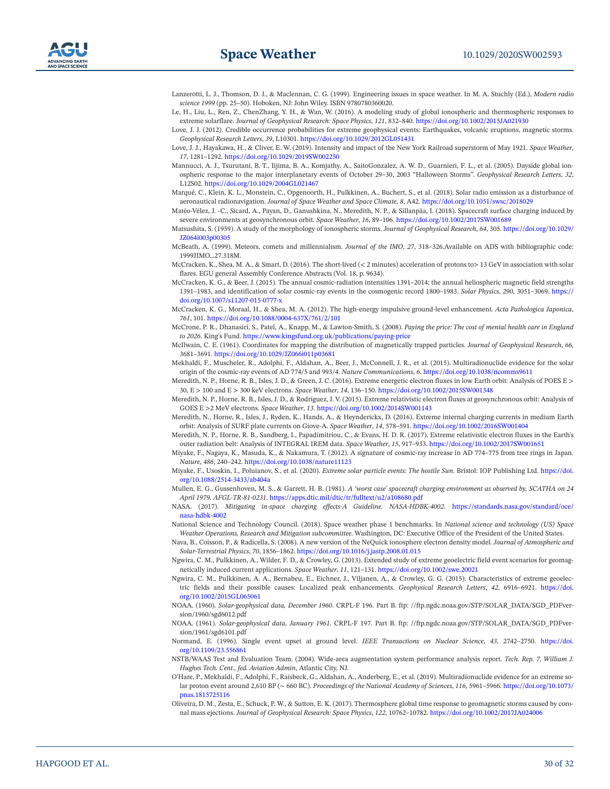- <span id="page-29-27"></span>Lanzerotti, L. J., Thomson, D. J., & Maclennan, C. G. (1999). Engineering issues in space weather. In M. A. Stuchly (Ed.), *Modern radio science 1999* (pp. 25–50). Hoboken, NJ: John Wiley. ISBN 9780780360020.
- <span id="page-29-21"></span>Le, H., Liu, L., Ren, Z., ChenZhang, Y. H., & Wan, W. (2016). A modeling study of global ionospheric and thermospheric responses to extreme solarflare. *Journal of Geophysical Research: Space Physics*, *121*, 832–840. <https://doi.org/10.1002/2015JA021930>
- <span id="page-29-7"></span>Love, J. J. (2012). Credible occurrence probabilities for extreme geophysical events: Earthquakes, volcanic eruptions, magnetic storms. *Geophysical Research Letters*, *39*, L10301. <https://doi.org/10.1029/2012GL051431>
- <span id="page-29-6"></span>Love, J. J., Hayakawa, H., & Cliver, E. W. (2019). Intensity and impact of the New York Railroad superstorm of May 1921. *Space Weather*, *17*, 1281–1292.<https://doi.org/10.1029/2019SW002250>
- <span id="page-29-9"></span>Mannucci, A. J., Tsurutani, B. T., Iijima, B. A., Komjathy, A., SaitoGonzalez, A. W. D., Guarnieri, F. L., et al. (2005). Dayside global ionospheric response to the major interplanetary events of October 29–30, 2003 "Halloween Storms". *Geophysical Research Letters*, *32*, L12S02.<https://doi.org/10.1029/2004GL021467>
- <span id="page-29-28"></span>Marqué, C., Klein, K. L., Monstein, C., Opgenoorth, H., Pulkkinen, A., Buchert, S., et al. (2018). Solar radio emission as a disturbance of aeronautical radionavigation. *Journal of Space Weather and Space Climate*, *8*, A42. <https://doi.org/10.1051/swsc/2018029>
- <span id="page-29-14"></span>Matéo-Vélez, J. -C., Sicard, A., Payan, D., Ganushkina, N., Meredith, N. P., & Sillanpäa, I. (2018). Spacecraft surface charging induced by severe environments at geosynchronous orbit. *Space Weather*, *16*, 89–106. <https://doi.org/10.1002/2017SW001689>
- <span id="page-29-8"></span>Matsushita, S. (1959). A study of the morphology of ionospheric storms. *Journal of Geophysical Research*, *64*, 305. [https://doi.org/10.1029/](https://doi.org/10.1029/JZ064i003p00305) [JZ064i003p00305](https://doi.org/10.1029/JZ064i003p00305)
- <span id="page-29-31"></span>McBeath, A. (1999). Meteors, comets and millennialism. *Journal of the IMO*, *27*, 318–326.Available on ADS with bibliographic code: 1999JIMO…27.318M.
- <span id="page-29-26"></span>McCracken, K., Shea, M. A., & Smart, D. (2016). The short-lived (< 2 minutes) acceleration of protons to> 13 GeV in association with solar flares. EGU general Assembly Conference Abstracts (Vol. 18, p. 9634).
- <span id="page-29-24"></span>McCracken, K. G., & Beer, J. (2015). The annual cosmic-radiation intensities 1391–2014; the annual heliospheric magnetic field strengths 1391–1983, and identification of solar cosmic-ray events in the cosmogenic record 1800–1983. *Solar Physics*, *290*, 3051–3069. [https://](https://doi.org/10.1007/s11207-015-0777-x) [doi.org/10.1007/s11207-015-0777-x](https://doi.org/10.1007/s11207-015-0777-x)
- <span id="page-29-25"></span>McCracken, K. G., Moraal, H., & Shea, M. A. (2012). The high-energy impulsive ground-level enhancement. *Acta Pathologica Japonica*, *761*, 101. <https://doi.org/10.1088/0004-637X/761/2/101>
- <span id="page-29-32"></span>McCrone, P. R., Dhanasiri, S., Patel, A., Knapp, M., & Lawton-Smith, S. (2008). *Paying the price: The cost of mental health care in England to 2026*. King's Fund.<https://www.kingsfund.org.uk/publications/paying-price>
- <span id="page-29-18"></span>McIlwain, C. E. (1961). Coordinates for mapping the distribution of magnetically trapped particles. *Journal of Geophysical Research*, *66*, 3681–3691.<https://doi.org/10.1029/JZ066i011p03681>
- <span id="page-29-1"></span>Mekhaldi, F., Muscheler, R., Adolphi, F., Aldahan, A., Beer, J., McConnell, J. R., et al. (2015). Multiradionuclide evidence for the solar origin of the cosmic-ray events of AD 774/5 and 993/4. *Nature Communications*, *6*.<https://doi.org/10.1038/ncomms9611>
- <span id="page-29-19"></span>Meredith, N. P., Horne, R. B., Isles, J. D., & Green, J. C. (2016). Extreme energetic electron fluxes in low Earth orbit: Analysis of POES E > 30, E > 100 and E > 300 keV electrons. *Space Weather*, *14*, 136–150. <https://doi.org/10.1002/2015SW001348>
- <span id="page-29-15"></span>Meredith, N. P., Horne, R. B., Isles, J. D., & Rodriguez, J. V. (2015). Extreme relativistic electron fluxes at geosynchronous orbit: Analysis of GOES E >2 MeV electrons. *Space Weather*, *13*.<https://doi.org/10.1002/2014SW001143>
- <span id="page-29-17"></span>Meredith, N., Horne, R., Isles, J., Ryden, K., Hands, A., & Heynderickx, D. (2016). Extreme internal charging currents in medium Earth orbit: Analysis of SURF plate currents on Giove-A. *Space Weather*, *14*, 578–591. <https://doi.org/10.1002/2016SW001404>
- <span id="page-29-16"></span>Meredith, N. P., Horne, R. B., Sandberg, I., Papadimitriou, C., & Evans, H. D. R. (2017). Extreme relativistic electron fluxes in the Earth's outer radiation belt: Analysis of INTEGRAL IREM data. *Space Weather*, *15*, 917–933.<https://doi.org/10.1002/2017SW001651>
- <span id="page-29-0"></span>Miyake, F., Nagaya, K., Masuda, K., & Nakamura, T. (2012). A signature of cosmic-ray increase in AD 774–775 from tree rings in Japan. *Nature*, *486*, 240–242. <https://doi.org/10.1038/nature11123>
- <span id="page-29-3"></span>Miyake, F., Usoskin, I., Poluianov, S., et al. (2020). *Extreme solar particle events: The hostile Sun*. Bristol: IOP Publishing Ltd. [https://doi.](https://doi.org/10.1088/2514-3433/ab404a) [org/10.1088/2514-3433/ab404a](https://doi.org/10.1088/2514-3433/ab404a)
- <span id="page-29-13"></span>Mullen, E. G., Gussenhoven, M. S., & Garrett, H. B. (1981). *A 'worst case' spacecraft charging environment as observed by, SCATHA on 24 April 1979. AFGL-TR-81-0231*. <https://apps.dtic.mil/dtic/tr/fulltext/u2/a108680.pdf>
- <span id="page-29-12"></span>NASA. (2017). *Mitigating in-space charging effects-A Guideline. NASA-HDBK-4002*. [https://standards.nasa.gov/standard/oce/](https://standards.nasa.gov/standard/oce/nasa-hdbk-4002) [nasa-hdbk-4002](https://standards.nasa.gov/standard/oce/nasa-hdbk-4002)
- <span id="page-29-22"></span>National Science and Technology Council. (2018). Space weather phase 1 benchmarks. In *National science and technology (US) Space Weather Operations, Research and Mitigation subcommittee*. Washington, DC: Executive Office of the President of the United States.
- <span id="page-29-10"></span>Nava, B., Coisson, P., & Radicella, S. (2008). A new version of the NeQuick ionosphere electron density model. *Journal of Atmospheric and Solar-Terrestrial Physics*, *70*, 1856–1862.<https://doi.org/10.1016/j.jastp.2008.01.015>
- <span id="page-29-4"></span>Ngwira, C. M., Pulkkinen, A., Wilder, F. D., & Crowley, G. (2013). Extended study of extreme geoelectric field event scenarios for geomagnetically induced current applications. *Space Weather*, *11*, 121–131.<https://doi.org/10.1002/swe.20021>
- <span id="page-29-5"></span>Ngwira, C. M., Pulkkinen, A. A., Bernabeu, E., Eichner, J., Viljanen, A., & Crowley, G. G. (2015). Characteristics of extreme geoelectric fields and their possible causes: Localized peak enhancements. *Geophysical Research Letters*, *42*, 6916–6921. [https://doi.](https://doi.org/10.1002/2015GL065061) [org/10.1002/2015GL065061](https://doi.org/10.1002/2015GL065061)
- <span id="page-29-29"></span>NOAA. (1960). *Solar-geophysical data, December 1960*. CRPL-F 196. Part B. ftp: //ftp.ngdc.noaa.gov/STP/SOLAR\_DATA/SGD\_PDFversion/1960/sgd6012.pdf
- <span id="page-29-30"></span>NOAA. (1961). *Solar-geophysical data, January 1961*. CRPL-F 197. Part B. ftp: //ftp.ngdc.noaa.gov/STP/SOLAR\_DATA/SGD\_PDFversion/1961/sgd6101.pdf
- <span id="page-29-23"></span>Normand, E. (1996). Single event upset at ground level. *IEEE Transactions on Nuclear Science*, *43*, 2742–2750. [https://doi.](https://doi.org/10.1109/23.556861) [org/10.1109/23.556861](https://doi.org/10.1109/23.556861)
- <span id="page-29-11"></span>NSTB/WAAS Test and Evaluation Team. (2004). Wide-area augmentation system performance analysis report. *Tech. Rep. 7, William J. Hughes Tech. Cent., fed. Aviation Admin*, Atlantic City, NJ.
- <span id="page-29-2"></span>O'Hare, P., Mekhaldi, F., Adolphi, F., Raisbeck, G., Aldahan, A., Anderberg, E., et al. (2019). Multiradionuclide evidence for an extreme solar proton event around 2,610 BP (∼ 660 BC). *Proceedings of the National Academy of Sciences*, *116*, 5961–5966. [https://doi.org/10.1073/](https://doi.org/10.1073/pnas.1815725116) [pnas.1815725116](https://doi.org/10.1073/pnas.1815725116)
- <span id="page-29-20"></span>Oliveira, D. M., Zesta, E., Schuck, P. W., & Sutton, E. K. (2017). Thermosphere global time response to geomagnetic storms caused by coronal mass ejections. *Journal of Geophysical Research: Space Physics*, *122*, 10762–10782. <https://doi.org/10.1002/2017JA024006>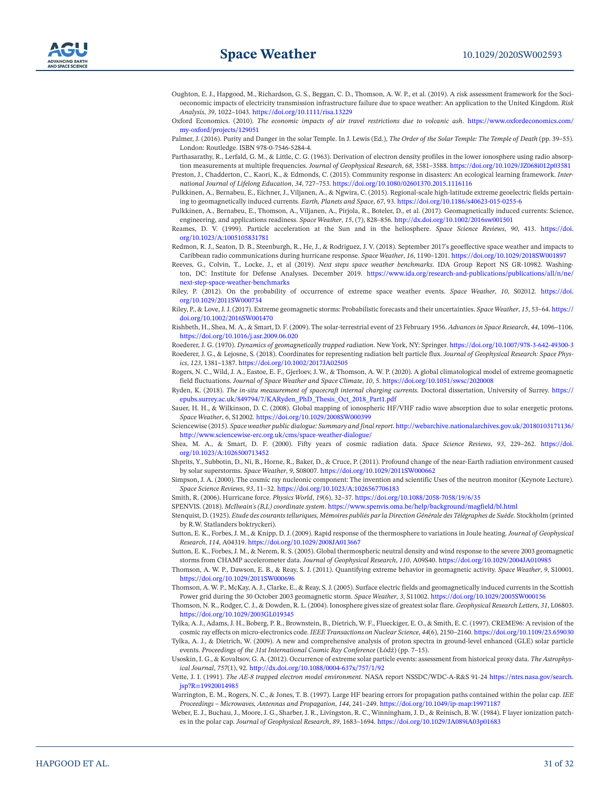- <span id="page-30-6"></span>Oughton, E. J., Hapgood, M., Richardson, G. S., Beggan, C. D., Thomson, A. W. P., et al. (2019). A risk assessment framework for the Socioeconomic impacts of electricity transmission infrastructure failure due to space weather: An application to the United Kingdom. *Risk Analysis*, *39*, 1022–1043.<https://doi.org/10.1111/risa.13229>
- <span id="page-30-0"></span>Oxford Economics. (2010). *The economic impacts of air travel restrictions due to volcanic ash*. [https://www.oxfordeconomics.com/](https://www.oxfordeconomics.com/my-oxford/projects/129051) [my-oxford/projects/129051](https://www.oxfordeconomics.com/my-oxford/projects/129051)
- <span id="page-30-34"></span>Palmer, J. (2016). Purity and Danger in the solar Temple. In J. Lewis (Ed.), *The Order of the Solar Temple: The Temple of Death* (pp. 39–55). London: Routledge. ISBN 978-0-7546-5284-4.
- <span id="page-30-15"></span>Parthasarathy, R., Lerfald, G. M., & Little, C. G. (1963). Derivation of electron density profiles in the lower ionosphere using radio absorption measurements at multiple frequencies. *Journal of Geophysical Research*, *68*, 3581–3588. <https://doi.org/10.1029/JZ068i012p03581>
- <span id="page-30-33"></span>Preston, J., Chadderton, C., Kaori, K., & Edmonds, C. (2015). Community response in disasters: An ecological learning framework. *International Journal of Lifelong Education*, *34*, 727–753.<https://doi.org/10.1080/02601370.2015.1116116>
- <span id="page-30-5"></span>Pulkkinen, A., Bernabeu, E., Eichner, J., Viljanen, A., & Ngwira, C. (2015). Regional-scale high-latitude extreme geoelectric fields pertaining to geomagnetically induced currents. *Earth, Planets and Space*, *67*, 93. <https://doi.org/10.1186/s40623-015-0255-6>
- <span id="page-30-9"></span>Pulkkinen, A., Bernabeu, E., Thomson, A., Viljanen, A., Pirjola, R., Boteler, D., et al. (2017). Geomagnetically induced currents: Science, engineering, and applications readiness. *Space Weather*, *15*, (7), 828–856. <http://dx.doi.org/10.1002/2016sw001501>

<span id="page-30-13"></span>Reames, D. V. (1999). Particle acceleration at the Sun and in the heliosphere. *Space Science Reviews*, *90*, 413. [https://doi.](https://doi.org/10.1023/A:1005105831781) [org/10.1023/A:1005105831781](https://doi.org/10.1023/A:1005105831781)

<span id="page-30-12"></span>Redmon, R. J., Seaton, D. B., Steenburgh, R., He, J., & Rodriguez, J. V. (2018). September 2017's geoeffective space weather and impacts to Caribbean radio communications during hurricane response. *Space Weather*, *16*, 1190–1201.<https://doi.org/10.1029/2018SW001897>

<span id="page-30-26"></span>Reeves, G., Colvin, T., Locke, J., et al (2019). *Next steps space weather benchmarks*. IDA Group Report NS GR-10982. Washington, DC: Institute for Defense Analyses. December 2019. [https://www.ida.org/research-and-publications/publications/all/n/ne/](https://www.ida.org/research-and-publications/publications/all/n/ne/next-step-space-weather-benchmarks) [next-step-space-weather-benchmarks](https://www.ida.org/research-and-publications/publications/all/n/ne/next-step-space-weather-benchmarks)

<span id="page-30-7"></span>Riley, P. (2012). On the probability of occurrence of extreme space weather events. *Space Weather*, *10*, S02012. [https://doi.](https://doi.org/10.1029/2011SW000734) [org/10.1029/2011SW000734](https://doi.org/10.1029/2011SW000734)

- <span id="page-30-8"></span>Riley, P., & Love, J. J. (2017). Extreme geomagnetic storms: Probabilistic forecasts and their uncertainties. *Space Weather*, *15*, 53–64. [https://](https://doi.org/10.1002/2016SW001470) [doi.org/10.1002/2016SW001470](https://doi.org/10.1002/2016SW001470)
- <span id="page-30-30"></span>Rishbeth, H., Shea, M. A., & Smart, D. F. (2009). The solar-terrestrial event of 23 February 1956. *Advances in Space Research*, *44*, 1096–1106. <https://doi.org/10.1016/j.asr.2009.06.020>

<span id="page-30-21"></span><span id="page-30-20"></span>Roederer, J. G. (1970). *Dynamics of geomagnetically trapped radiation*. New York, NY: Springer.<https://doi.org/10.1007/978-3-642-49300-3> Roederer, J. G., & Lejosne, S. (2018). Coordinates for representing radiation belt particle flux. *Journal of Geophysical Research: Space Phys-*

<span id="page-30-3"></span>*ics*, *123*, 1381–1387. <https://doi.org/10.1002/2017JA02505> Rogers, N. C., Wild, J. A., Eastoe, E. F., Gjerloev, J. W., & Thomson, A. W. P. (2020). A global climatological model of extreme geomagnetic field fluctuations. *Journal of Space Weather and Space Climate*, *10*, 5.<https://doi.org/10.1051/swsc/2020008>

<span id="page-30-22"></span>Ryden, K. (2018). *The in-situ measurement of spacecraft internal charging currents*. Doctoral dissertation, University of Surrey. [https://](https://epubs.surrey.ac.uk/849794/7/KARyden_PhD_Thesis_Oct_2018_Part1.pdf) [epubs.surrey.ac.uk/849794/7/KARyden\\_PhD\\_Thesis\\_Oct\\_2018\\_Part1.pdf](https://epubs.surrey.ac.uk/849794/7/KARyden_PhD_Thesis_Oct_2018_Part1.pdf)

<span id="page-30-14"></span>Sauer, H. H., & Wilkinson, D. C. (2008). Global mapping of ionospheric HF/VHF radio wave absorption due to solar energetic protons. *Space Weather*, *6*, S12002.<https://doi.org/10.1029/2008SW000399>

<span id="page-30-1"></span>Sciencewise (2015). *Space weather public dialogue: Summary and final report*. [http://webarchive.nationalarchives.gov.uk/20180103171136/](http://webarchive.nationalarchives.gov.uk/20180103171136/http://www.sciencewise-erc.org.uk/cms/space-weather-dialogue/) [http://www.sciencewise-erc.org.uk/cms/space-weather-dialogue/](http://webarchive.nationalarchives.gov.uk/20180103171136/http://www.sciencewise-erc.org.uk/cms/space-weather-dialogue/)

<span id="page-30-28"></span>Shea, M. A., & Smart, D. F. (2000). Fifty years of cosmic radiation data. *Space Science Reviews*, *93*, 229–262. [https://doi.](https://doi.org/10.1023/A:1026500713452) [org/10.1023/A:1026500713452](https://doi.org/10.1023/A:1026500713452)

<span id="page-30-19"></span>Shprits, Y., Subbotin, D., Ni, B., Horne, R., Baker, D., & Cruce, P. (2011). Profound change of the near-Earth radiation environment caused by solar superstorms. *Space Weather*, *9*, S08007. <https://doi.org/10.1029/2011SW000662>

<span id="page-30-29"></span>Simpson, J. A. (2000). The cosmic ray nucleonic component: The invention and scientific Uses of the neutron monitor (Keynote Lecture). *Space Science Reviews*, *93*, 11–32.<https://doi.org/10.1023/A:1026567706183>

<span id="page-30-35"></span>Smith, R. (2006). Hurricane force. *Physics World*, *19*(6), 32–37.<https://doi.org/10.1088/2058-7058/19/6/35>

<span id="page-30-23"></span>SPENVIS. (2018). *McIlwain's (B,L) coordinate system*.<https://www.spenvis.oma.be/help/background/magfield/bl.html>

- <span id="page-30-4"></span>Stenquist, D. (1925). *Etude des courants telluriques, Mémoires publiés par la Direction Générale des Télégraphes de Suède*. Stockholm (printed by R.W. Statlanders boktryckeri).
- <span id="page-30-25"></span>Sutton, E. K., Forbes, J. M., & Knipp, D. J. (2009). Rapid response of the thermosphere to variations in Joule heating. *Journal of Geophysical Research*, *114*, A04319. <https://doi.org/10.1029/2008JA013667>

<span id="page-30-27"></span>Sutton, E. K., Forbes, J. M., & Nerem, R. S. (2005). Global thermospheric neutral density and wind response to the severe 2003 geomagnetic storms from CHAMP accelerometer data. *Journal of Geophysical Research*, *110*, A09S40.<https://doi.org/10.1029/2004JA010985>

<span id="page-30-2"></span>Thomson, A. W. P., Dawson, E. B., & Reay, S. J. (2011). Quantifying extreme behavior in geomagnetic activity. *Space Weather*, *9*, S10001. <https://doi.org/10.1029/2011SW000696>

<span id="page-30-10"></span>Thomson, A. W. P., McKay, A. J., Clarke, E., & Reay, S. J. (2005). Surface electric fields and geomagnetically induced currents in the Scottish Power grid during the 30 October 2003 geomagnetic storm. *Space Weather*, *3*, S11002. <https://doi.org/10.1029/2005SW000156>

<span id="page-30-16"></span>Thomson, N. R., Rodger, C. J., & Dowden, R. L. (2004). Ionosphere gives size of greatest solar flare. *Geophysical Research Letters*, *31*, L06803. <https://doi.org/10.1029/2003GL019345>

<span id="page-30-18"></span>Tylka, A. J., Adams, J. H., Boberg, P. R., Brownstein, B., Dietrich, W. F., Flueckiger, E. O., & Smith, E. C. (1997). CREME96: A revision of the cosmic ray effects on micro-electronics code. *IEEE Transactions on Nuclear Science*, *44*(6), 2150–2160.<https://doi.org/10.1109/23.659030>

<span id="page-30-32"></span>Tylka, A. J., & Dietrich, W. (2009). A new and comprehensive analysis of proton spectra in ground-level enhanced (GLE) solar particle events. *Proceedings of the 31st International Cosmic Ray Conference* (Łódź) (pp. 7–15).

<span id="page-30-31"></span>Usoskin, I. G., & Kovaltsov, G. A. (2012). Occurrence of extreme solar particle events: assessment from historical proxy data. *The Astrophysical Journal*, *757*(1), 92.<http://dx.doi.org/10.1088/0004-637x/757/1/92>

<span id="page-30-24"></span>Vette, J. I. (1991). *The AE-8 trapped electron model environment*. NASA report NSSDC/WDC-A-R&S 91-24 [https://ntrs.nasa.gov/search.](https://ntrs.nasa.gov/search.jsp?R=19920014985) [jsp?R=19920014985](https://ntrs.nasa.gov/search.jsp?R=19920014985)

<span id="page-30-17"></span>Warrington, E. M., Rogers, N. C., & Jones, T. B. (1997). Large HF bearing errors for propagation paths contained within the polar cap. *IEE Proceedings – Microwaves, Antennas and Propagation*, *144*, 241–249.<https://doi.org/10.1049/ip-map:19971187>

<span id="page-30-11"></span>Weber, E. J., Buchau, J., Moore, J. G., Sharber, J. R., Livingston, R. C., Winningham, J. D., & Reinisch, B. W. (1984). F layer ionization patches in the polar cap. *Journal of Geophysical Research*, *89*, 1683–1694. <https://doi.org/10.1029/JA089iA03p01683>